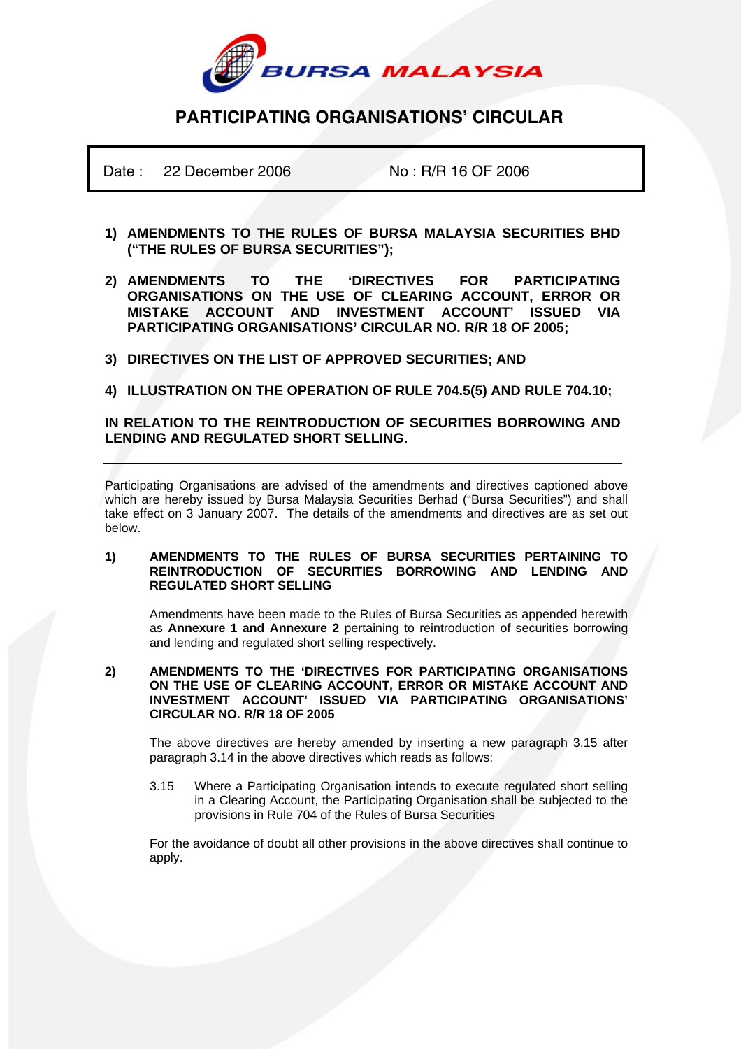

# **PARTICIPATING ORGANISATIONS' CIRCULAR**

Date : 22 December 2006 No : R/R 16 OF 2006

- **1) AMENDMENTS TO THE RULES OF BURSA MALAYSIA SECURITIES BHD ("THE RULES OF BURSA SECURITIES");**
- **2) AMENDMENTS TO THE 'DIRECTIVES FOR PARTICIPATING ORGANISATIONS ON THE USE OF CLEARING ACCOUNT, ERROR OR MISTAKE ACCOUNT AND INVESTMENT ACCOUNT' ISSUED VIA PARTICIPATING ORGANISATIONS' CIRCULAR NO. R/R 18 OF 2005;**
- **3) DIRECTIVES ON THE LIST OF APPROVED SECURITIES; AND**
- **4) ILLUSTRATION ON THE OPERATION OF RULE 704.5(5) AND RULE 704.10;**

# **IN RELATION TO THE REINTRODUCTION OF SECURITIES BORROWING AND LENDING AND REGULATED SHORT SELLING.**

Participating Organisations are advised of the amendments and directives captioned above which are hereby issued by Bursa Malaysia Securities Berhad ("Bursa Securities") and shall take effect on 3 January 2007. The details of the amendments and directives are as set out below.

#### **1) AMENDMENTS TO THE RULES OF BURSA SECURITIES PERTAINING TO REINTRODUCTION OF SECURITIES BORROWING AND LENDING AND REGULATED SHORT SELLING**

Amendments have been made to the Rules of Bursa Securities as appended herewith as **Annexure 1 and Annexure 2** pertaining to reintroduction of securities borrowing and lending and regulated short selling respectively.

**2) AMENDMENTS TO THE 'DIRECTIVES FOR PARTICIPATING ORGANISATIONS ON THE USE OF CLEARING ACCOUNT, ERROR OR MISTAKE ACCOUNT AND INVESTMENT ACCOUNT' ISSUED VIA PARTICIPATING ORGANISATIONS' CIRCULAR NO. R/R 18 OF 2005** 

The above directives are hereby amended by inserting a new paragraph 3.15 after paragraph 3.14 in the above directives which reads as follows:

3.15 Where a Participating Organisation intends to execute regulated short selling in a Clearing Account, the Participating Organisation shall be subjected to the provisions in Rule 704 of the Rules of Bursa Securities

For the avoidance of doubt all other provisions in the above directives shall continue to apply.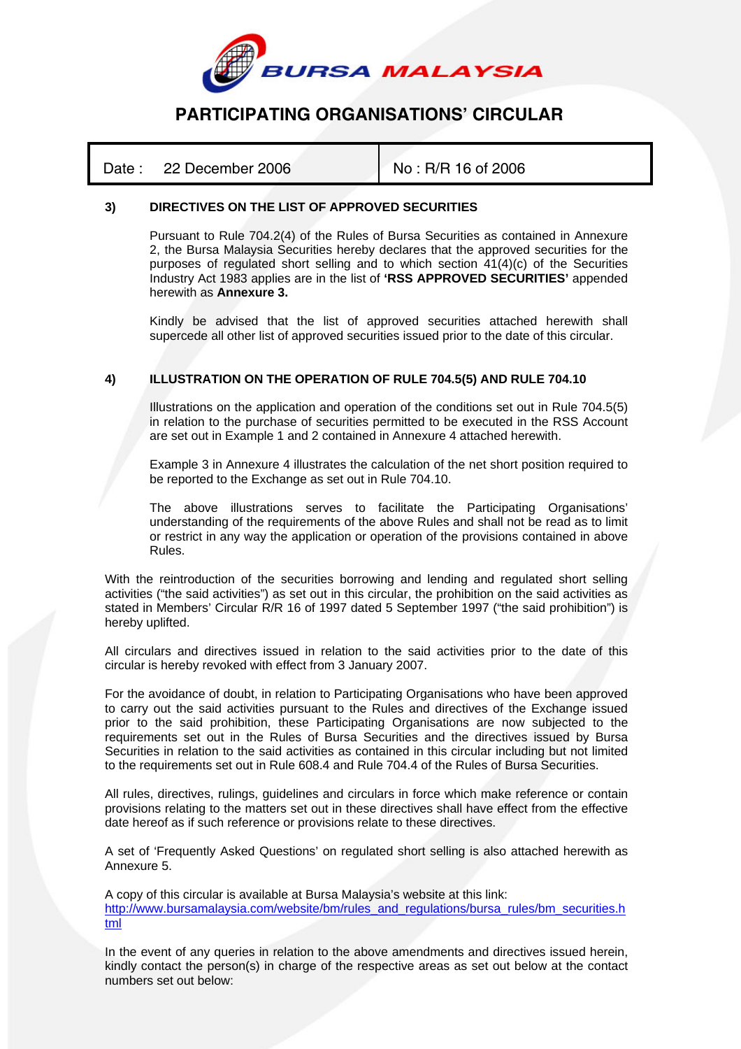

# **PARTICIPATING ORGANISATIONS' CIRCULAR**

| Date: | 22 December 2006 |
|-------|------------------|
|-------|------------------|

 $No: R/R 16 of 2006$ 

# **3) DIRECTIVES ON THE LIST OF APPROVED SECURITIES**

Pursuant to Rule 704.2(4) of the Rules of Bursa Securities as contained in Annexure 2, the Bursa Malaysia Securities hereby declares that the approved securities for the purposes of regulated short selling and to which section 41(4)(c) of the Securities Industry Act 1983 applies are in the list of **'RSS APPROVED SECURITIES'** appended herewith as **Annexure 3.**

Kindly be advised that the list of approved securities attached herewith shall supercede all other list of approved securities issued prior to the date of this circular.

# **4) ILLUSTRATION ON THE OPERATION OF RULE 704.5(5) AND RULE 704.10**

Illustrations on the application and operation of the conditions set out in Rule 704.5(5) in relation to the purchase of securities permitted to be executed in the RSS Account are set out in Example 1 and 2 contained in Annexure 4 attached herewith.

Example 3 in Annexure 4 illustrates the calculation of the net short position required to be reported to the Exchange as set out in Rule 704.10.

The above illustrations serves to facilitate the Participating Organisations' understanding of the requirements of the above Rules and shall not be read as to limit or restrict in any way the application or operation of the provisions contained in above Rules.

With the reintroduction of the securities borrowing and lending and regulated short selling activities ("the said activities") as set out in this circular, the prohibition on the said activities as stated in Members' Circular R/R 16 of 1997 dated 5 September 1997 ("the said prohibition") is hereby uplifted.

All circulars and directives issued in relation to the said activities prior to the date of this circular is hereby revoked with effect from 3 January 2007.

For the avoidance of doubt, in relation to Participating Organisations who have been approved to carry out the said activities pursuant to the Rules and directives of the Exchange issued prior to the said prohibition, these Participating Organisations are now subjected to the requirements set out in the Rules of Bursa Securities and the directives issued by Bursa Securities in relation to the said activities as contained in this circular including but not limited to the requirements set out in Rule 608.4 and Rule 704.4 of the Rules of Bursa Securities.

All rules, directives, rulings, guidelines and circulars in force which make reference or contain provisions relating to the matters set out in these directives shall have effect from the effective date hereof as if such reference or provisions relate to these directives.

A set of 'Frequently Asked Questions' on regulated short selling is also attached herewith as Annexure 5.

A copy of this circular is available at Bursa Malaysia's website at this link: http://www.bursamalaysia.com/website/bm/rules\_and\_regulations/bursa\_rules/bm\_securities.h tml

In the event of any queries in relation to the above amendments and directives issued herein, kindly contact the person(s) in charge of the respective areas as set out below at the contact numbers set out below: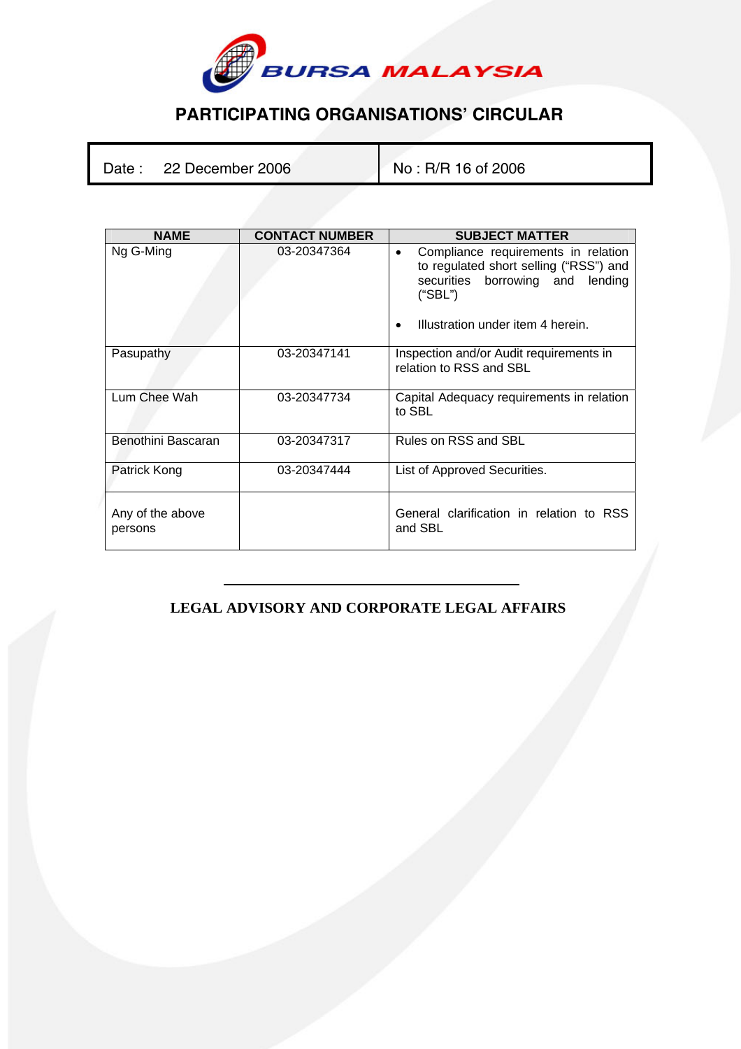

# **PARTICIPATING ORGANISATIONS' CIRCULAR**

Date : 22 December 2006 No : R/R 16 of 2006

| <b>NAME</b>                 | <b>CONTACT NUMBER</b> | <b>SUBJECT MATTER</b>                                                                                                                                                                          |
|-----------------------------|-----------------------|------------------------------------------------------------------------------------------------------------------------------------------------------------------------------------------------|
| Ng G-Ming                   | 03-20347364           | Compliance requirements in relation<br>$\bullet$<br>to regulated short selling ("RSS") and<br>securities borrowing and<br>lending<br>("SBL")<br>Illustration under item 4 herein.<br>$\bullet$ |
| Pasupathy                   | 03-20347141           | Inspection and/or Audit requirements in<br>relation to RSS and SBL                                                                                                                             |
| Lum Chee Wah                | 03-20347734           | Capital Adequacy requirements in relation<br>to SBL                                                                                                                                            |
| Benothini Bascaran          | 03-20347317           | Rules on RSS and SBL                                                                                                                                                                           |
| Patrick Kong                | 03-20347444           | List of Approved Securities.                                                                                                                                                                   |
| Any of the above<br>persons |                       | General clarification in relation to RSS<br>and SBL                                                                                                                                            |

# **LEGAL ADVISORY AND CORPORATE LEGAL AFFAIRS**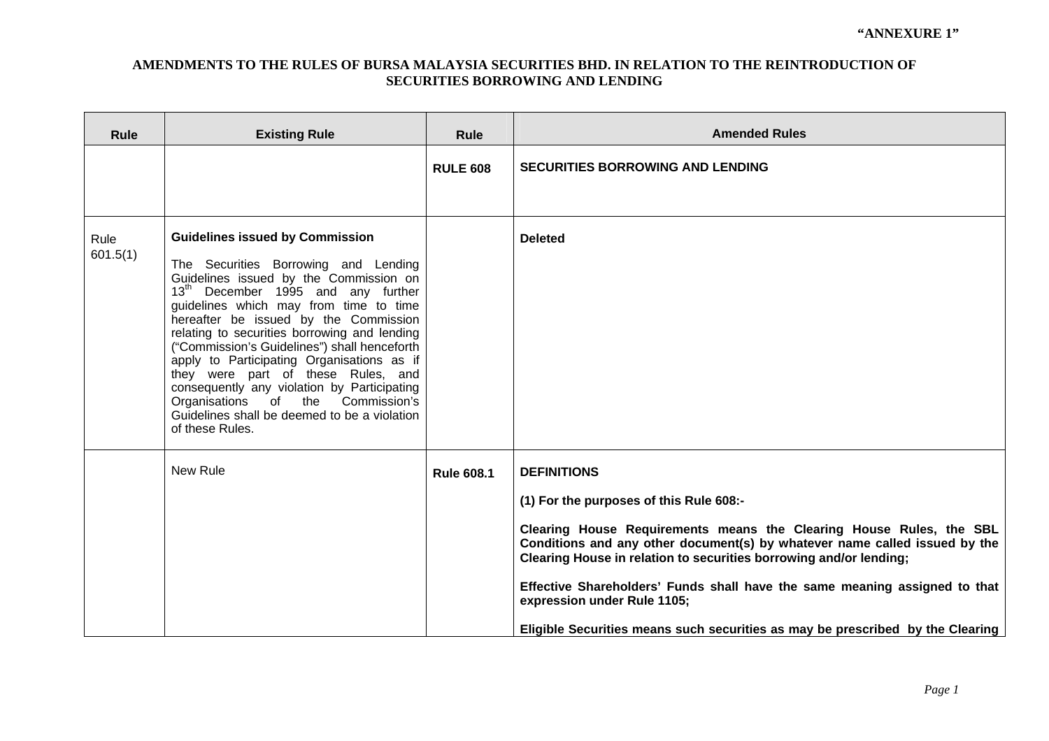| <b>Rule</b>      | <b>Existing Rule</b>                                                                                                                                                                                                                                                                                                                                                                                                                                                                                                                                                                                     | <b>Rule</b>       | <b>Amended Rules</b>                                                                                                                                                                                                                                                                                                                                                                                                                                                                    |
|------------------|----------------------------------------------------------------------------------------------------------------------------------------------------------------------------------------------------------------------------------------------------------------------------------------------------------------------------------------------------------------------------------------------------------------------------------------------------------------------------------------------------------------------------------------------------------------------------------------------------------|-------------------|-----------------------------------------------------------------------------------------------------------------------------------------------------------------------------------------------------------------------------------------------------------------------------------------------------------------------------------------------------------------------------------------------------------------------------------------------------------------------------------------|
|                  |                                                                                                                                                                                                                                                                                                                                                                                                                                                                                                                                                                                                          | <b>RULE 608</b>   | <b>SECURITIES BORROWING AND LENDING</b>                                                                                                                                                                                                                                                                                                                                                                                                                                                 |
| Rule<br>601.5(1) | <b>Guidelines issued by Commission</b><br>The Securities Borrowing and Lending<br>Guidelines issued by the Commission on<br>13 <sup>th</sup> December 1995 and any further<br>guidelines which may from time to time<br>hereafter be issued by the Commission<br>relating to securities borrowing and lending<br>("Commission's Guidelines") shall henceforth<br>apply to Participating Organisations as if<br>they were part of these Rules, and<br>consequently any violation by Participating<br>Organisations of the Commission's<br>Guidelines shall be deemed to be a violation<br>of these Rules. |                   | <b>Deleted</b>                                                                                                                                                                                                                                                                                                                                                                                                                                                                          |
|                  | New Rule                                                                                                                                                                                                                                                                                                                                                                                                                                                                                                                                                                                                 | <b>Rule 608.1</b> | <b>DEFINITIONS</b><br>(1) For the purposes of this Rule 608:-<br>Clearing House Requirements means the Clearing House Rules, the SBL<br>Conditions and any other document(s) by whatever name called issued by the<br>Clearing House in relation to securities borrowing and/or lending;<br>Effective Shareholders' Funds shall have the same meaning assigned to that<br>expression under Rule 1105;<br>Eligible Securities means such securities as may be prescribed by the Clearing |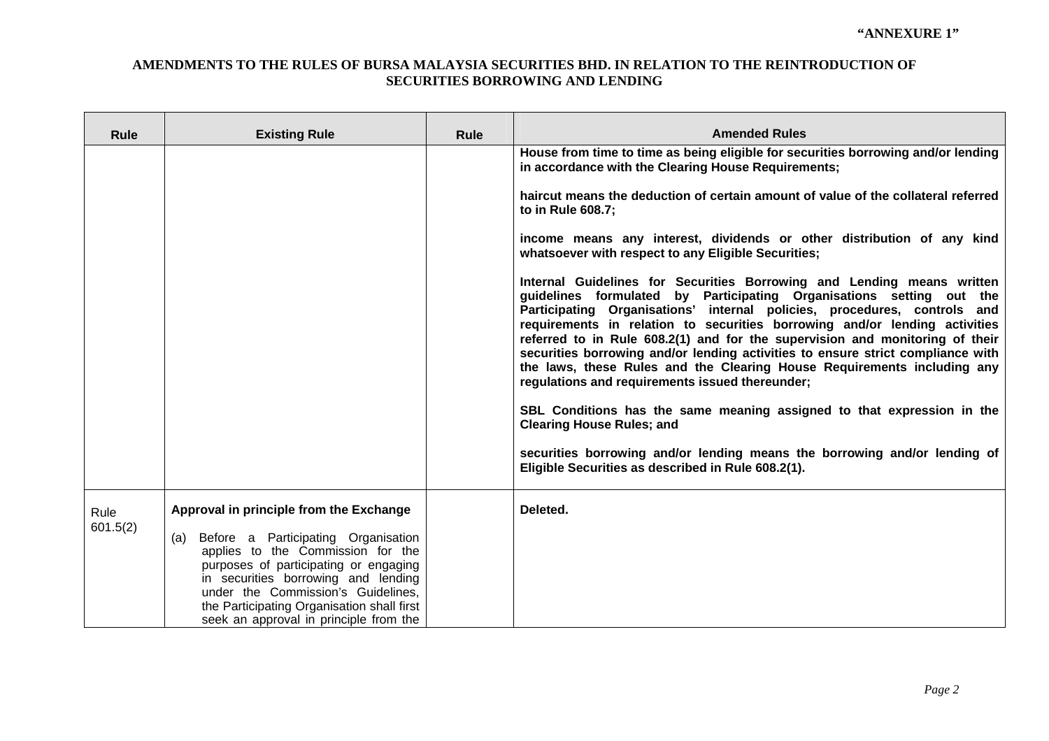| <b>Rule</b> | <b>Existing Rule</b>                                                                                                                                                                                                                                                                          | <b>Rule</b> | <b>Amended Rules</b>                                                                                                                                                                                                                                                                                                                                                                                                                                                                                                                                                                                                                                                                                                                                                                                                                                       |
|-------------|-----------------------------------------------------------------------------------------------------------------------------------------------------------------------------------------------------------------------------------------------------------------------------------------------|-------------|------------------------------------------------------------------------------------------------------------------------------------------------------------------------------------------------------------------------------------------------------------------------------------------------------------------------------------------------------------------------------------------------------------------------------------------------------------------------------------------------------------------------------------------------------------------------------------------------------------------------------------------------------------------------------------------------------------------------------------------------------------------------------------------------------------------------------------------------------------|
|             |                                                                                                                                                                                                                                                                                               |             | House from time to time as being eligible for securities borrowing and/or lending<br>in accordance with the Clearing House Requirements;                                                                                                                                                                                                                                                                                                                                                                                                                                                                                                                                                                                                                                                                                                                   |
|             |                                                                                                                                                                                                                                                                                               |             | haircut means the deduction of certain amount of value of the collateral referred<br>to in Rule 608.7;                                                                                                                                                                                                                                                                                                                                                                                                                                                                                                                                                                                                                                                                                                                                                     |
|             |                                                                                                                                                                                                                                                                                               |             | income means any interest, dividends or other distribution of any kind<br>whatsoever with respect to any Eligible Securities;                                                                                                                                                                                                                                                                                                                                                                                                                                                                                                                                                                                                                                                                                                                              |
|             |                                                                                                                                                                                                                                                                                               |             | Internal Guidelines for Securities Borrowing and Lending means written<br>guidelines formulated by Participating Organisations setting out the<br>Participating Organisations' internal policies, procedures, controls and<br>requirements in relation to securities borrowing and/or lending activities<br>referred to in Rule 608.2(1) and for the supervision and monitoring of their<br>securities borrowing and/or lending activities to ensure strict compliance with<br>the laws, these Rules and the Clearing House Requirements including any<br>regulations and requirements issued thereunder;<br>SBL Conditions has the same meaning assigned to that expression in the<br><b>Clearing House Rules; and</b><br>securities borrowing and/or lending means the borrowing and/or lending of<br>Eligible Securities as described in Rule 608.2(1). |
| Rule        | Approval in principle from the Exchange                                                                                                                                                                                                                                                       |             | Deleted.                                                                                                                                                                                                                                                                                                                                                                                                                                                                                                                                                                                                                                                                                                                                                                                                                                                   |
| 601.5(2)    | Before a Participating Organisation<br>(a)<br>applies to the Commission for the<br>purposes of participating or engaging<br>in securities borrowing and lending<br>under the Commission's Guidelines,<br>the Participating Organisation shall first<br>seek an approval in principle from the |             |                                                                                                                                                                                                                                                                                                                                                                                                                                                                                                                                                                                                                                                                                                                                                                                                                                                            |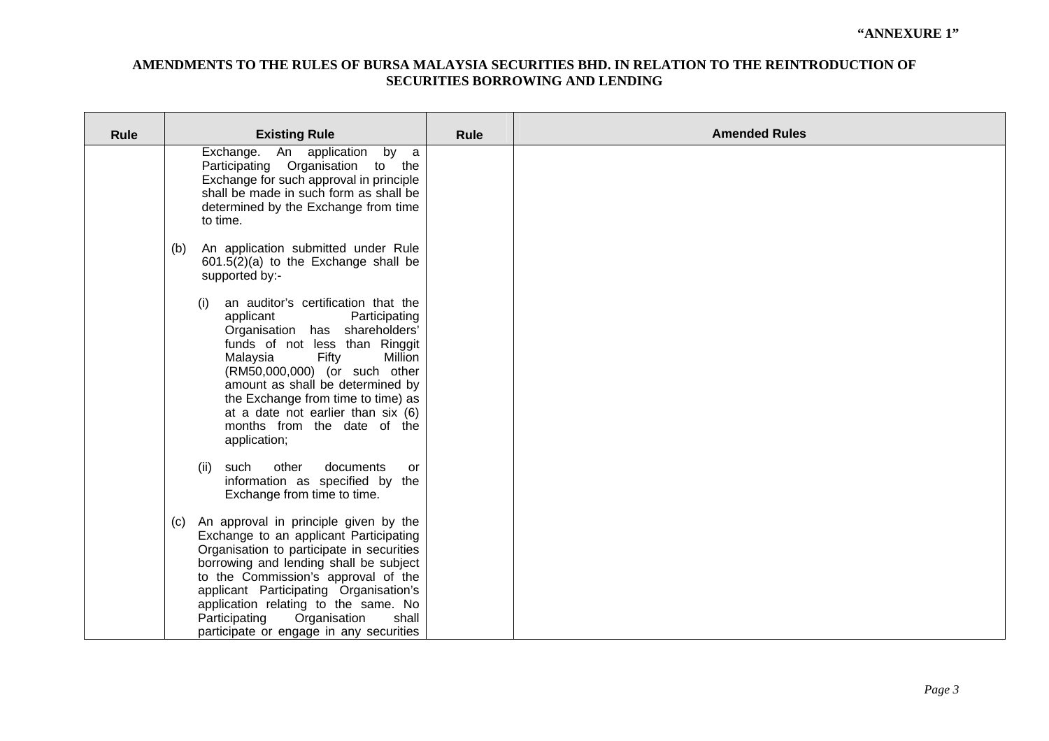| <b>Rule</b> | <b>Existing Rule</b>                                                                                                                                                                                                                                                                                                                                                                     | <b>Rule</b> | <b>Amended Rules</b> |
|-------------|------------------------------------------------------------------------------------------------------------------------------------------------------------------------------------------------------------------------------------------------------------------------------------------------------------------------------------------------------------------------------------------|-------------|----------------------|
|             | Exchange. An application<br>by a<br>Participating Organisation to the<br>Exchange for such approval in principle<br>shall be made in such form as shall be<br>determined by the Exchange from time<br>to time.                                                                                                                                                                           |             |                      |
|             | An application submitted under Rule<br>(b)<br>$601.5(2)(a)$ to the Exchange shall be<br>supported by:-                                                                                                                                                                                                                                                                                   |             |                      |
|             | an auditor's certification that the<br>(i)<br>applicant<br>Participating<br>Organisation has shareholders'<br>funds of not less than Ringgit<br>Fifty<br>Million<br>Malaysia<br>(RM50,000,000) (or such other<br>amount as shall be determined by<br>the Exchange from time to time) as<br>at a date not earlier than six (6)<br>months from the date of the<br>application;             |             |                      |
|             | such<br>other<br>documents<br>(ii)<br>or<br>information as specified by the<br>Exchange from time to time.                                                                                                                                                                                                                                                                               |             |                      |
|             | (c) An approval in principle given by the<br>Exchange to an applicant Participating<br>Organisation to participate in securities<br>borrowing and lending shall be subject<br>to the Commission's approval of the<br>applicant Participating Organisation's<br>application relating to the same. No<br>Participating<br>Organisation<br>shall<br>participate or engage in any securities |             |                      |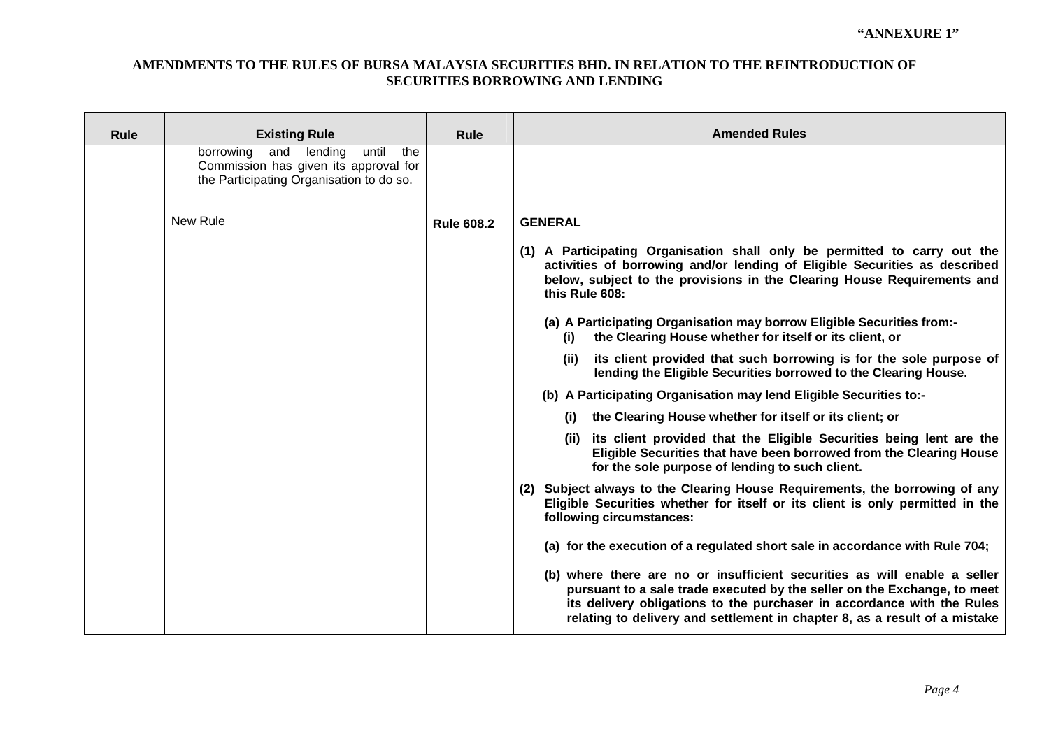| <b>Rule</b> | <b>Existing Rule</b>                                                                                                          | <b>Rule</b>       | <b>Amended Rules</b>                                                                                                                                                                                                                                                                                          |
|-------------|-------------------------------------------------------------------------------------------------------------------------------|-------------------|---------------------------------------------------------------------------------------------------------------------------------------------------------------------------------------------------------------------------------------------------------------------------------------------------------------|
|             | until<br>and lending<br>the<br>borrowing<br>Commission has given its approval for<br>the Participating Organisation to do so. |                   |                                                                                                                                                                                                                                                                                                               |
|             | New Rule                                                                                                                      | <b>Rule 608.2</b> | <b>GENERAL</b>                                                                                                                                                                                                                                                                                                |
|             |                                                                                                                               |                   | (1) A Participating Organisation shall only be permitted to carry out the<br>activities of borrowing and/or lending of Eligible Securities as described<br>below, subject to the provisions in the Clearing House Requirements and<br>this Rule 608:                                                          |
|             |                                                                                                                               |                   | (a) A Participating Organisation may borrow Eligible Securities from:-<br>the Clearing House whether for itself or its client, or<br>(i)                                                                                                                                                                      |
|             |                                                                                                                               |                   | its client provided that such borrowing is for the sole purpose of<br>(ii)<br>lending the Eligible Securities borrowed to the Clearing House.                                                                                                                                                                 |
|             |                                                                                                                               |                   | (b) A Participating Organisation may lend Eligible Securities to:-                                                                                                                                                                                                                                            |
|             |                                                                                                                               |                   | the Clearing House whether for itself or its client; or<br>(i)                                                                                                                                                                                                                                                |
|             |                                                                                                                               |                   | (ii) its client provided that the Eligible Securities being lent are the<br>Eligible Securities that have been borrowed from the Clearing House<br>for the sole purpose of lending to such client.                                                                                                            |
|             |                                                                                                                               |                   | (2) Subject always to the Clearing House Requirements, the borrowing of any<br>Eligible Securities whether for itself or its client is only permitted in the<br>following circumstances:                                                                                                                      |
|             |                                                                                                                               |                   | (a) for the execution of a regulated short sale in accordance with Rule 704;                                                                                                                                                                                                                                  |
|             |                                                                                                                               |                   | (b) where there are no or insufficient securities as will enable a seller<br>pursuant to a sale trade executed by the seller on the Exchange, to meet<br>its delivery obligations to the purchaser in accordance with the Rules<br>relating to delivery and settlement in chapter 8, as a result of a mistake |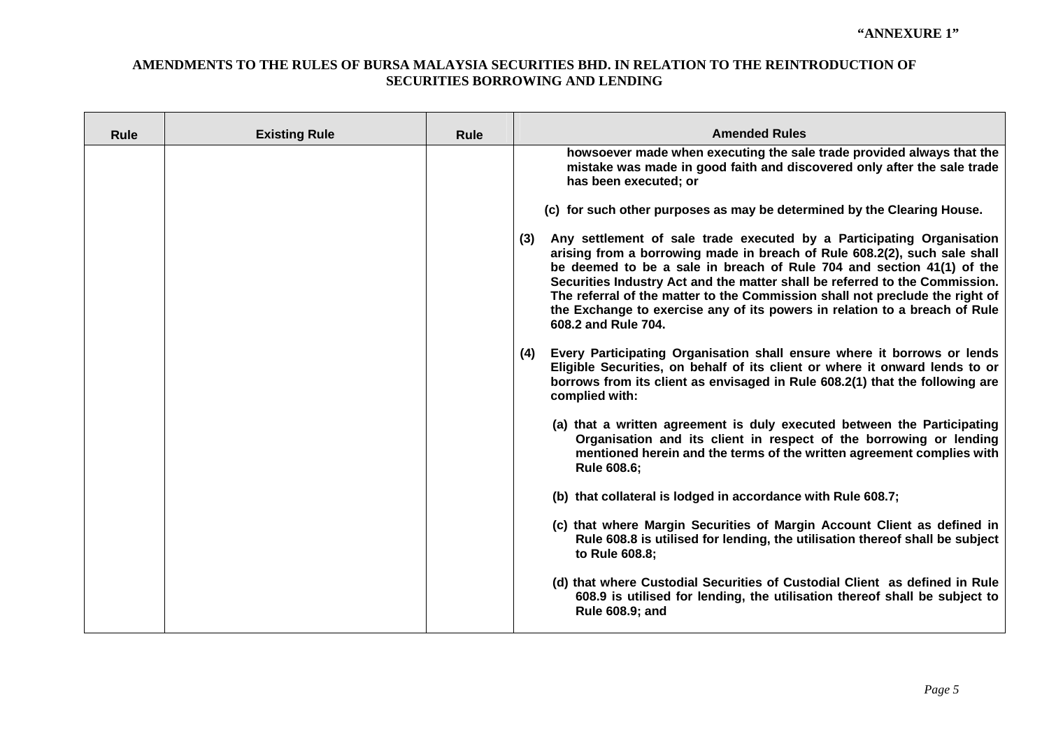| <b>Rule</b> | <b>Existing Rule</b> | <b>Rule</b> | <b>Amended Rules</b>                                                                                                                                                                                                                                                                                                                                                                                                                                                                                                                                                                                                                                                                                                                                                                                                                                                                                                                                                                                                                                                                                                                                                                                                                                                                                                                                                                                                                                                                                                    |
|-------------|----------------------|-------------|-------------------------------------------------------------------------------------------------------------------------------------------------------------------------------------------------------------------------------------------------------------------------------------------------------------------------------------------------------------------------------------------------------------------------------------------------------------------------------------------------------------------------------------------------------------------------------------------------------------------------------------------------------------------------------------------------------------------------------------------------------------------------------------------------------------------------------------------------------------------------------------------------------------------------------------------------------------------------------------------------------------------------------------------------------------------------------------------------------------------------------------------------------------------------------------------------------------------------------------------------------------------------------------------------------------------------------------------------------------------------------------------------------------------------------------------------------------------------------------------------------------------------|
|             |                      |             | howsoever made when executing the sale trade provided always that the<br>mistake was made in good faith and discovered only after the sale trade<br>has been executed; or<br>(c) for such other purposes as may be determined by the Clearing House.<br>Any settlement of sale trade executed by a Participating Organisation<br>(3)<br>arising from a borrowing made in breach of Rule 608.2(2), such sale shall<br>be deemed to be a sale in breach of Rule 704 and section 41(1) of the<br>Securities Industry Act and the matter shall be referred to the Commission.<br>The referral of the matter to the Commission shall not preclude the right of<br>the Exchange to exercise any of its powers in relation to a breach of Rule<br>608.2 and Rule 704.<br>Every Participating Organisation shall ensure where it borrows or lends<br>(4)<br>Eligible Securities, on behalf of its client or where it onward lends to or<br>borrows from its client as envisaged in Rule 608.2(1) that the following are<br>complied with:<br>(a) that a written agreement is duly executed between the Participating<br>Organisation and its client in respect of the borrowing or lending<br>mentioned herein and the terms of the written agreement complies with<br>Rule 608.6;<br>(b) that collateral is lodged in accordance with Rule 608.7;<br>(c) that where Margin Securities of Margin Account Client as defined in<br>Rule 608.8 is utilised for lending, the utilisation thereof shall be subject<br>to Rule 608.8; |
|             |                      |             | (d) that where Custodial Securities of Custodial Client as defined in Rule<br>608.9 is utilised for lending, the utilisation thereof shall be subject to<br>Rule 608.9; and                                                                                                                                                                                                                                                                                                                                                                                                                                                                                                                                                                                                                                                                                                                                                                                                                                                                                                                                                                                                                                                                                                                                                                                                                                                                                                                                             |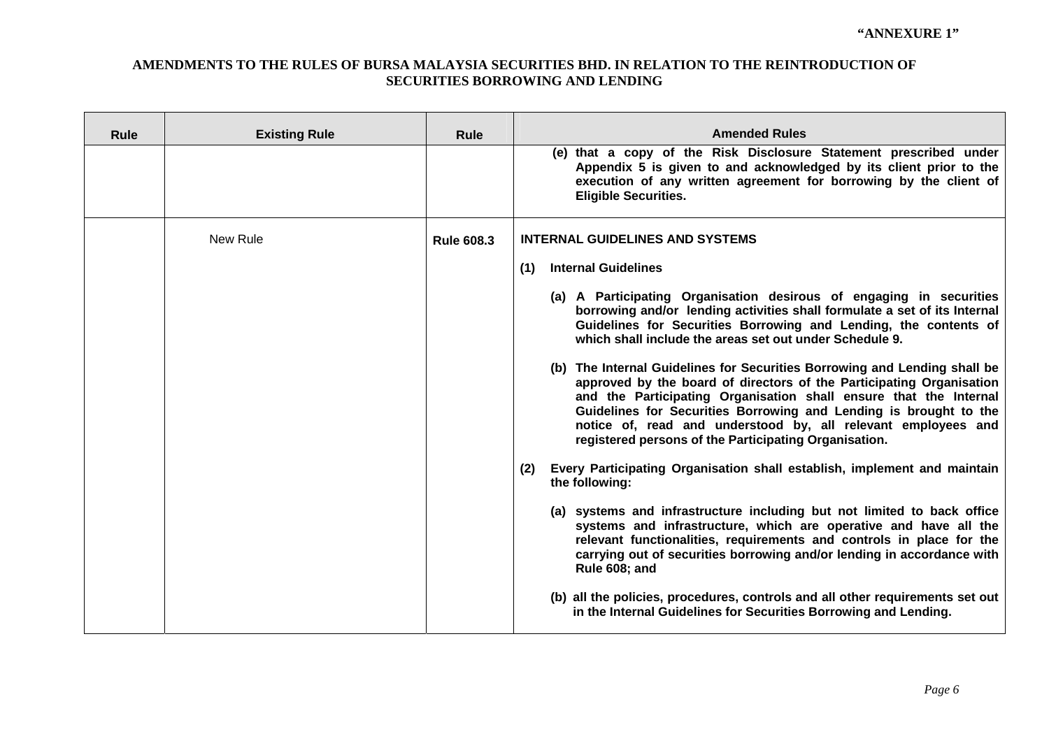| <b>Rule</b> | <b>Existing Rule</b> | <b>Rule</b>       | <b>Amended Rules</b>                                                                                                                                                                                                                                                                                                                                                                                                  |
|-------------|----------------------|-------------------|-----------------------------------------------------------------------------------------------------------------------------------------------------------------------------------------------------------------------------------------------------------------------------------------------------------------------------------------------------------------------------------------------------------------------|
|             |                      |                   | (e) that a copy of the Risk Disclosure Statement prescribed under<br>Appendix 5 is given to and acknowledged by its client prior to the<br>execution of any written agreement for borrowing by the client of<br><b>Eligible Securities.</b>                                                                                                                                                                           |
|             | New Rule             | <b>Rule 608.3</b> | <b>INTERNAL GUIDELINES AND SYSTEMS</b>                                                                                                                                                                                                                                                                                                                                                                                |
|             |                      |                   | <b>Internal Guidelines</b><br>(1)                                                                                                                                                                                                                                                                                                                                                                                     |
|             |                      |                   | (a) A Participating Organisation desirous of engaging in securities<br>borrowing and/or lending activities shall formulate a set of its Internal<br>Guidelines for Securities Borrowing and Lending, the contents of<br>which shall include the areas set out under Schedule 9.                                                                                                                                       |
|             |                      |                   | (b) The Internal Guidelines for Securities Borrowing and Lending shall be<br>approved by the board of directors of the Participating Organisation<br>and the Participating Organisation shall ensure that the Internal<br>Guidelines for Securities Borrowing and Lending is brought to the<br>notice of, read and understood by, all relevant employees and<br>registered persons of the Participating Organisation. |
|             |                      |                   | Every Participating Organisation shall establish, implement and maintain<br>(2)<br>the following:                                                                                                                                                                                                                                                                                                                     |
|             |                      |                   | (a) systems and infrastructure including but not limited to back office<br>systems and infrastructure, which are operative and have all the<br>relevant functionalities, requirements and controls in place for the<br>carrying out of securities borrowing and/or lending in accordance with<br>Rule 608; and                                                                                                        |
|             |                      |                   | (b) all the policies, procedures, controls and all other requirements set out<br>in the Internal Guidelines for Securities Borrowing and Lending.                                                                                                                                                                                                                                                                     |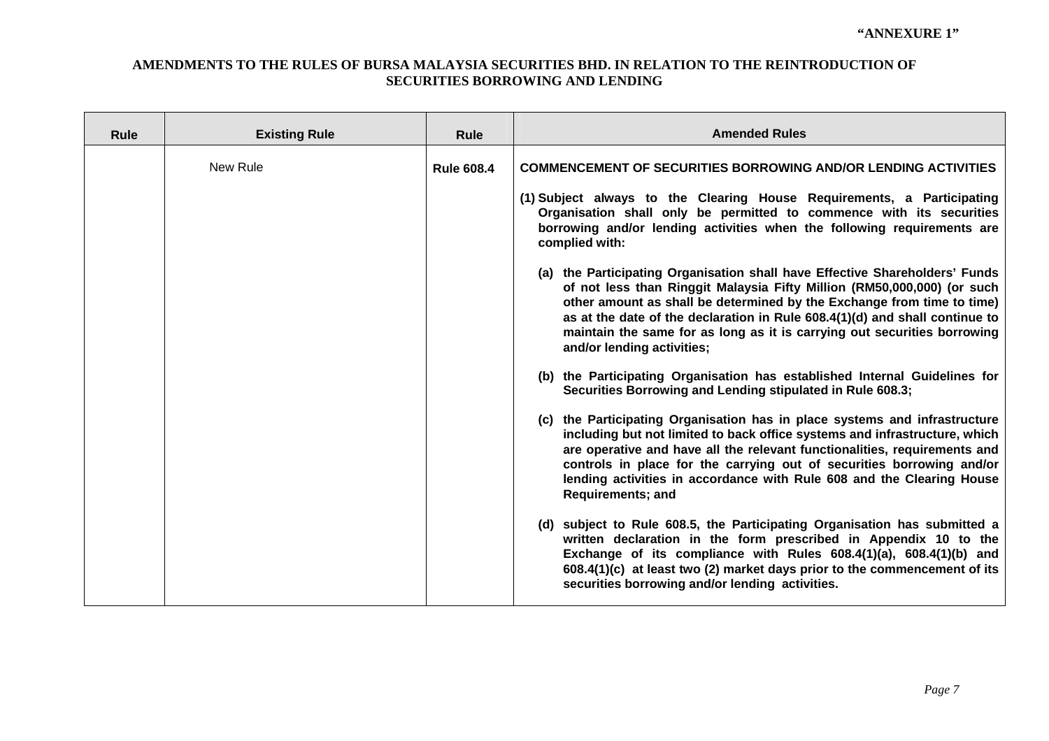| <b>Rule</b> | <b>Existing Rule</b> | Rule              | <b>Amended Rules</b>                                                                                                                                                                                                                                                                                                                                                                                                      |
|-------------|----------------------|-------------------|---------------------------------------------------------------------------------------------------------------------------------------------------------------------------------------------------------------------------------------------------------------------------------------------------------------------------------------------------------------------------------------------------------------------------|
|             | New Rule             | <b>Rule 608.4</b> | <b>COMMENCEMENT OF SECURITIES BORROWING AND/OR LENDING ACTIVITIES</b>                                                                                                                                                                                                                                                                                                                                                     |
|             |                      |                   | (1) Subject always to the Clearing House Requirements, a Participating<br>Organisation shall only be permitted to commence with its securities<br>borrowing and/or lending activities when the following requirements are<br>complied with:                                                                                                                                                                               |
|             |                      |                   | (a) the Participating Organisation shall have Effective Shareholders' Funds<br>of not less than Ringgit Malaysia Fifty Million (RM50,000,000) (or such<br>other amount as shall be determined by the Exchange from time to time)<br>as at the date of the declaration in Rule 608.4(1)(d) and shall continue to<br>maintain the same for as long as it is carrying out securities borrowing<br>and/or lending activities; |
|             |                      |                   | (b) the Participating Organisation has established Internal Guidelines for<br>Securities Borrowing and Lending stipulated in Rule 608.3;                                                                                                                                                                                                                                                                                  |
|             |                      |                   | (c) the Participating Organisation has in place systems and infrastructure<br>including but not limited to back office systems and infrastructure, which<br>are operative and have all the relevant functionalities, requirements and<br>controls in place for the carrying out of securities borrowing and/or<br>lending activities in accordance with Rule 608 and the Clearing House<br><b>Requirements; and</b>       |
|             |                      |                   | (d) subject to Rule 608.5, the Participating Organisation has submitted a<br>written declaration in the form prescribed in Appendix 10 to the<br>Exchange of its compliance with Rules 608.4(1)(a), 608.4(1)(b) and<br>608.4(1)(c) at least two (2) market days prior to the commencement of its<br>securities borrowing and/or lending activities.                                                                       |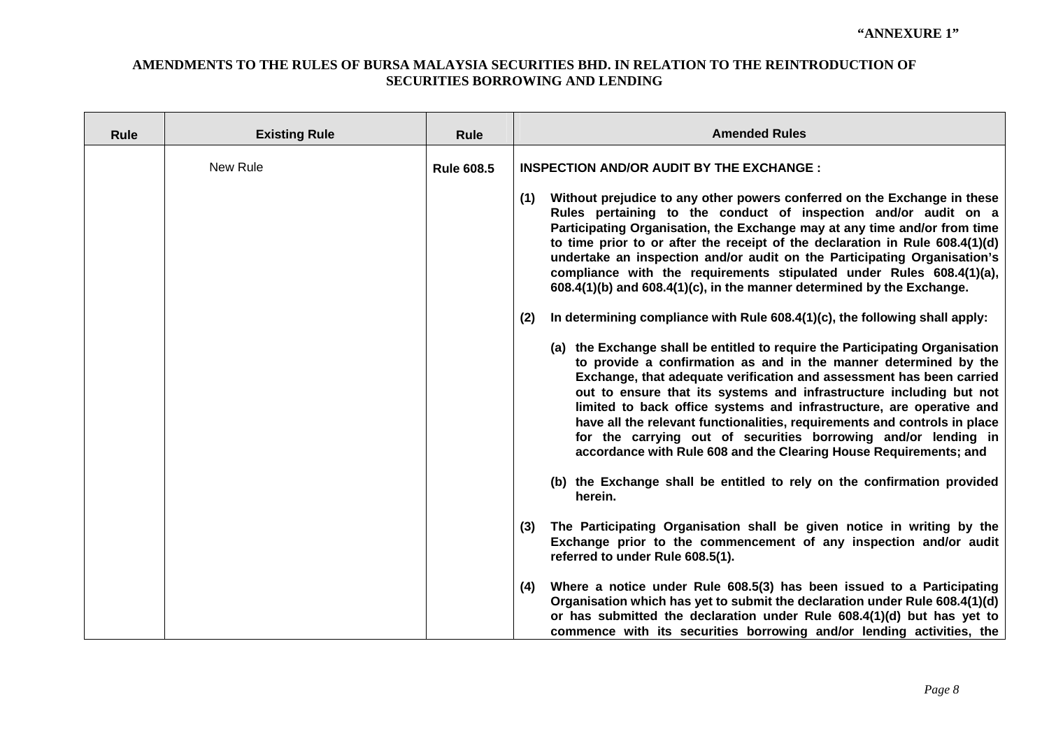| <b>Rule</b> | <b>Existing Rule</b> | <b>Rule</b>       | <b>Amended Rules</b>                                                                                                                                                                                                                                                                                                                                                                                                                                                                                                                                                                                                                                                                                                                                                                                                                                                                                                                                                                                                                                                                                                                                                                                                                                                                   |
|-------------|----------------------|-------------------|----------------------------------------------------------------------------------------------------------------------------------------------------------------------------------------------------------------------------------------------------------------------------------------------------------------------------------------------------------------------------------------------------------------------------------------------------------------------------------------------------------------------------------------------------------------------------------------------------------------------------------------------------------------------------------------------------------------------------------------------------------------------------------------------------------------------------------------------------------------------------------------------------------------------------------------------------------------------------------------------------------------------------------------------------------------------------------------------------------------------------------------------------------------------------------------------------------------------------------------------------------------------------------------|
|             | New Rule             | <b>Rule 608.5</b> | <b>INSPECTION AND/OR AUDIT BY THE EXCHANGE :</b><br>Without prejudice to any other powers conferred on the Exchange in these<br>(1)<br>Rules pertaining to the conduct of inspection and/or audit on a<br>Participating Organisation, the Exchange may at any time and/or from time<br>to time prior to or after the receipt of the declaration in Rule 608.4(1)(d)<br>undertake an inspection and/or audit on the Participating Organisation's<br>compliance with the requirements stipulated under Rules 608.4(1)(a),<br>608.4(1)(b) and 608.4(1)(c), in the manner determined by the Exchange.<br>In determining compliance with Rule 608.4(1)(c), the following shall apply:<br>(2)<br>(a) the Exchange shall be entitled to require the Participating Organisation<br>to provide a confirmation as and in the manner determined by the<br>Exchange, that adequate verification and assessment has been carried<br>out to ensure that its systems and infrastructure including but not<br>limited to back office systems and infrastructure, are operative and<br>have all the relevant functionalities, requirements and controls in place<br>for the carrying out of securities borrowing and/or lending in<br>accordance with Rule 608 and the Clearing House Requirements; and |
|             |                      |                   | (b) the Exchange shall be entitled to rely on the confirmation provided<br>herein.                                                                                                                                                                                                                                                                                                                                                                                                                                                                                                                                                                                                                                                                                                                                                                                                                                                                                                                                                                                                                                                                                                                                                                                                     |
|             |                      |                   | The Participating Organisation shall be given notice in writing by the<br>(3)<br>Exchange prior to the commencement of any inspection and/or audit<br>referred to under Rule 608.5(1).                                                                                                                                                                                                                                                                                                                                                                                                                                                                                                                                                                                                                                                                                                                                                                                                                                                                                                                                                                                                                                                                                                 |
|             |                      |                   | Where a notice under Rule 608.5(3) has been issued to a Participating<br>(4)<br>Organisation which has yet to submit the declaration under Rule 608.4(1)(d)<br>or has submitted the declaration under Rule 608.4(1)(d) but has yet to<br>commence with its securities borrowing and/or lending activities, the                                                                                                                                                                                                                                                                                                                                                                                                                                                                                                                                                                                                                                                                                                                                                                                                                                                                                                                                                                         |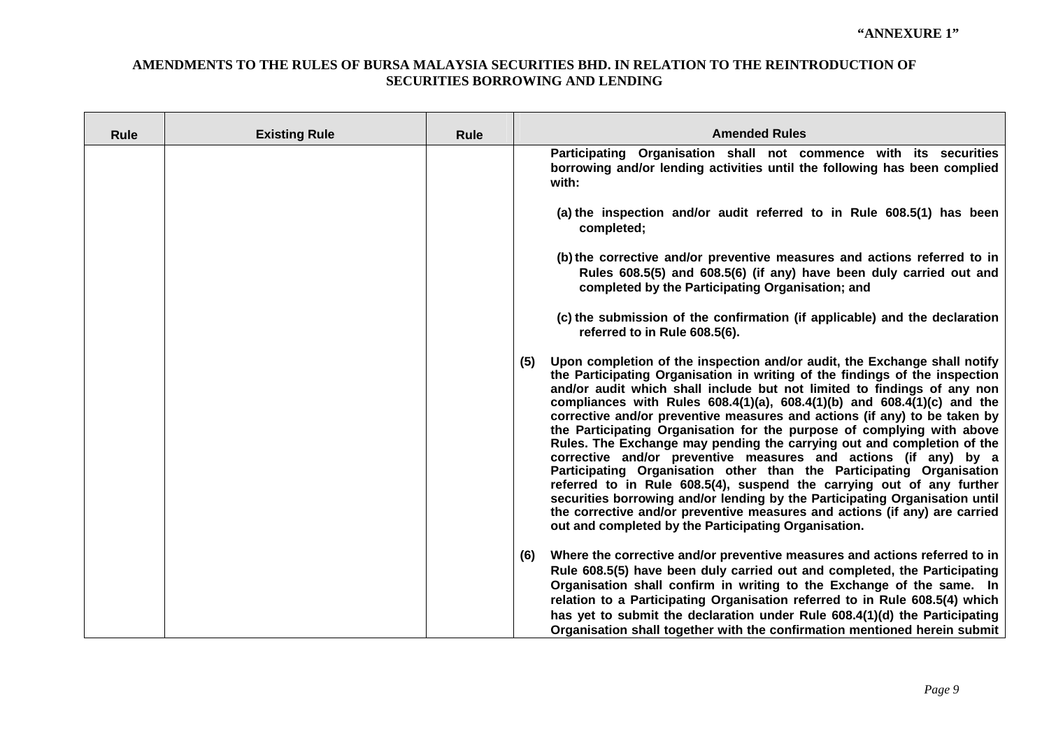| <b>Rule</b> | <b>Existing Rule</b> | <b>Rule</b> | <b>Amended Rules</b>                                                                                                                                                                                                                                                                                                                                                                                                                                                                                                                                                                                                                                                                                                                                                                                                                                                                                                                                                                                   |
|-------------|----------------------|-------------|--------------------------------------------------------------------------------------------------------------------------------------------------------------------------------------------------------------------------------------------------------------------------------------------------------------------------------------------------------------------------------------------------------------------------------------------------------------------------------------------------------------------------------------------------------------------------------------------------------------------------------------------------------------------------------------------------------------------------------------------------------------------------------------------------------------------------------------------------------------------------------------------------------------------------------------------------------------------------------------------------------|
|             |                      |             | Participating Organisation shall not commence with its securities<br>borrowing and/or lending activities until the following has been complied<br>with:<br>(a) the inspection and/or audit referred to in Rule 608.5(1) has been<br>completed;                                                                                                                                                                                                                                                                                                                                                                                                                                                                                                                                                                                                                                                                                                                                                         |
|             |                      |             | (b) the corrective and/or preventive measures and actions referred to in<br>Rules 608.5(5) and 608.5(6) (if any) have been duly carried out and<br>completed by the Participating Organisation; and                                                                                                                                                                                                                                                                                                                                                                                                                                                                                                                                                                                                                                                                                                                                                                                                    |
|             |                      |             | (c) the submission of the confirmation (if applicable) and the declaration<br>referred to in Rule 608.5(6).                                                                                                                                                                                                                                                                                                                                                                                                                                                                                                                                                                                                                                                                                                                                                                                                                                                                                            |
|             |                      |             | Upon completion of the inspection and/or audit, the Exchange shall notify<br>(5)<br>the Participating Organisation in writing of the findings of the inspection<br>and/or audit which shall include but not limited to findings of any non<br>compliances with Rules $608.4(1)(a)$ , $608.4(1)(b)$ and $608.4(1)(c)$ and the<br>corrective and/or preventive measures and actions (if any) to be taken by<br>the Participating Organisation for the purpose of complying with above<br>Rules. The Exchange may pending the carrying out and completion of the<br>corrective and/or preventive measures and actions (if any) by a<br>Participating Organisation other than the Participating Organisation<br>referred to in Rule 608.5(4), suspend the carrying out of any further<br>securities borrowing and/or lending by the Participating Organisation until<br>the corrective and/or preventive measures and actions (if any) are carried<br>out and completed by the Participating Organisation. |
|             |                      |             | Where the corrective and/or preventive measures and actions referred to in<br>(6)<br>Rule 608.5(5) have been duly carried out and completed, the Participating<br>Organisation shall confirm in writing to the Exchange of the same. In<br>relation to a Participating Organisation referred to in Rule 608.5(4) which<br>has yet to submit the declaration under Rule 608.4(1)(d) the Participating<br>Organisation shall together with the confirmation mentioned herein submit                                                                                                                                                                                                                                                                                                                                                                                                                                                                                                                      |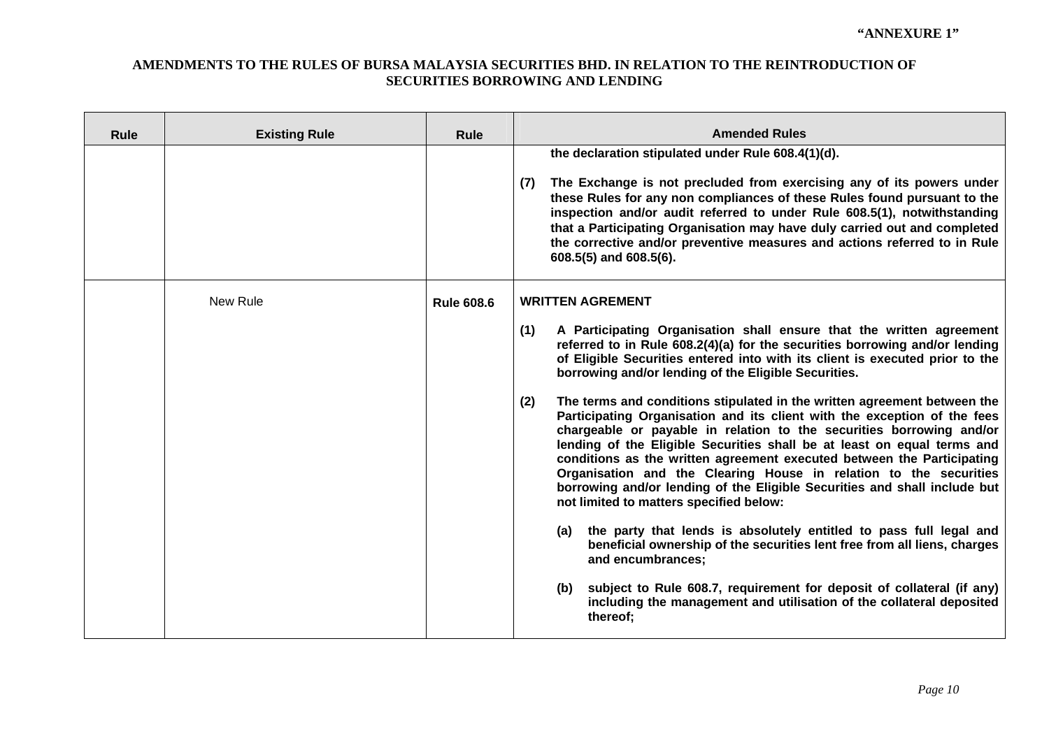| <b>Rule</b> | <b>Existing Rule</b> | <b>Rule</b>       | <b>Amended Rules</b>                                                                                                                                                                                                                                                                                                                                                                                                                                                                                                                                                                  |
|-------------|----------------------|-------------------|---------------------------------------------------------------------------------------------------------------------------------------------------------------------------------------------------------------------------------------------------------------------------------------------------------------------------------------------------------------------------------------------------------------------------------------------------------------------------------------------------------------------------------------------------------------------------------------|
|             |                      |                   | the declaration stipulated under Rule 608.4(1)(d).<br>The Exchange is not precluded from exercising any of its powers under<br>(7)<br>these Rules for any non compliances of these Rules found pursuant to the<br>inspection and/or audit referred to under Rule 608.5(1), notwithstanding<br>that a Participating Organisation may have duly carried out and completed<br>the corrective and/or preventive measures and actions referred to in Rule<br>608.5(5) and 608.5(6).                                                                                                        |
|             | <b>New Rule</b>      | <b>Rule 608.6</b> | <b>WRITTEN AGREMENT</b>                                                                                                                                                                                                                                                                                                                                                                                                                                                                                                                                                               |
|             |                      |                   | (1)<br>A Participating Organisation shall ensure that the written agreement<br>referred to in Rule 608.2(4)(a) for the securities borrowing and/or lending<br>of Eligible Securities entered into with its client is executed prior to the<br>borrowing and/or lending of the Eligible Securities.                                                                                                                                                                                                                                                                                    |
|             |                      |                   | (2)<br>The terms and conditions stipulated in the written agreement between the<br>Participating Organisation and its client with the exception of the fees<br>chargeable or payable in relation to the securities borrowing and/or<br>lending of the Eligible Securities shall be at least on equal terms and<br>conditions as the written agreement executed between the Participating<br>Organisation and the Clearing House in relation to the securities<br>borrowing and/or lending of the Eligible Securities and shall include but<br>not limited to matters specified below: |
|             |                      |                   | the party that lends is absolutely entitled to pass full legal and<br>(a)<br>beneficial ownership of the securities lent free from all liens, charges<br>and encumbrances:                                                                                                                                                                                                                                                                                                                                                                                                            |
|             |                      |                   | subject to Rule 608.7, requirement for deposit of collateral (if any)<br>(b)<br>including the management and utilisation of the collateral deposited<br>thereof;                                                                                                                                                                                                                                                                                                                                                                                                                      |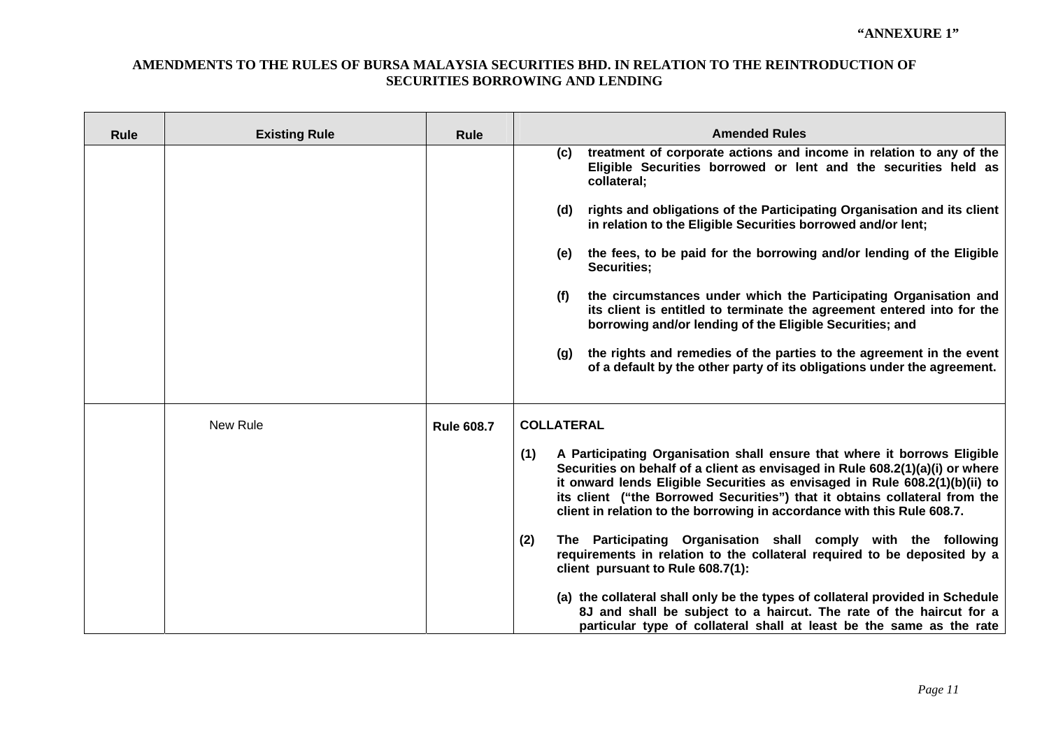| <b>Rule</b> | <b>Existing Rule</b> | <b>Rule</b>       | <b>Amended Rules</b>                                                                                                                                                                                                                                                                                                                                                                                     |
|-------------|----------------------|-------------------|----------------------------------------------------------------------------------------------------------------------------------------------------------------------------------------------------------------------------------------------------------------------------------------------------------------------------------------------------------------------------------------------------------|
|             |                      |                   | treatment of corporate actions and income in relation to any of the<br>(C)<br>Eligible Securities borrowed or lent and the securities held as<br>collateral;                                                                                                                                                                                                                                             |
|             |                      |                   | rights and obligations of the Participating Organisation and its client<br>(d)<br>in relation to the Eligible Securities borrowed and/or lent;                                                                                                                                                                                                                                                           |
|             |                      |                   | the fees, to be paid for the borrowing and/or lending of the Eligible<br>(e)<br>Securities;                                                                                                                                                                                                                                                                                                              |
|             |                      |                   | the circumstances under which the Participating Organisation and<br>(f)<br>its client is entitled to terminate the agreement entered into for the<br>borrowing and/or lending of the Eligible Securities; and                                                                                                                                                                                            |
|             |                      |                   | the rights and remedies of the parties to the agreement in the event<br>(g)<br>of a default by the other party of its obligations under the agreement.                                                                                                                                                                                                                                                   |
|             | New Rule             | <b>Rule 608.7</b> | <b>COLLATERAL</b>                                                                                                                                                                                                                                                                                                                                                                                        |
|             |                      |                   | A Participating Organisation shall ensure that where it borrows Eligible<br>(1)<br>Securities on behalf of a client as envisaged in Rule 608.2(1)(a)(i) or where<br>it onward lends Eligible Securities as envisaged in Rule 608.2(1)(b)(ii) to<br>its client ("the Borrowed Securities") that it obtains collateral from the<br>client in relation to the borrowing in accordance with this Rule 608.7. |
|             |                      |                   | (2)<br>The Participating Organisation shall comply with the following<br>requirements in relation to the collateral required to be deposited by a<br>client pursuant to Rule 608.7(1):                                                                                                                                                                                                                   |
|             |                      |                   | (a) the collateral shall only be the types of collateral provided in Schedule<br>8J and shall be subject to a haircut. The rate of the haircut for a<br>particular type of collateral shall at least be the same as the rate                                                                                                                                                                             |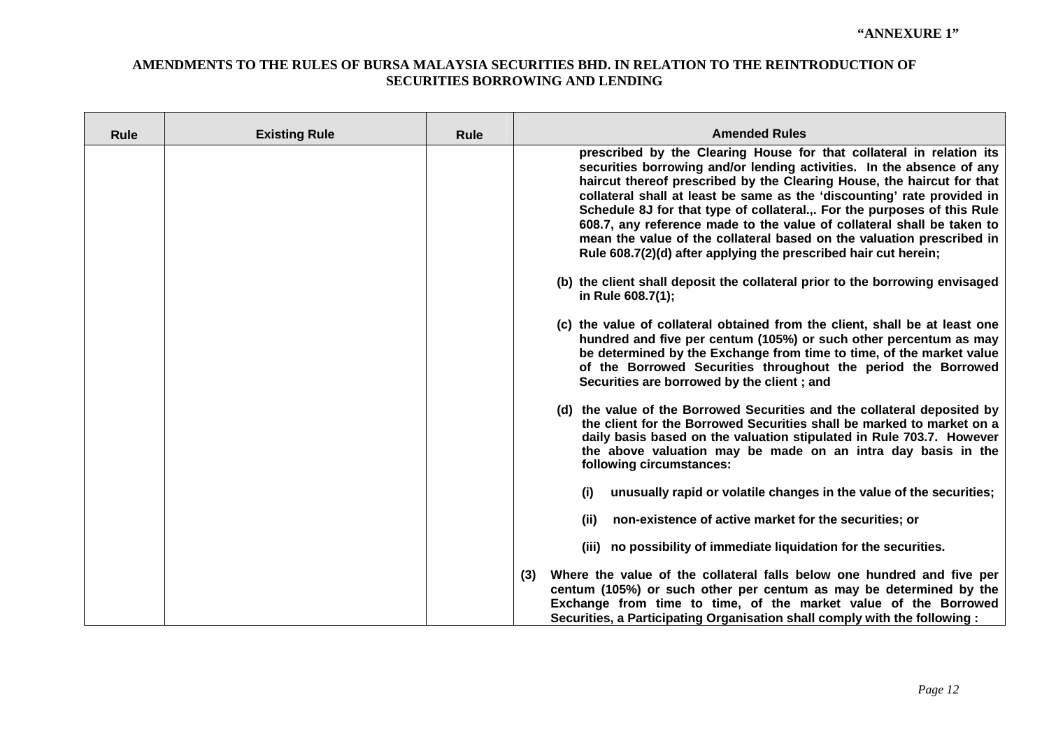| <b>Rule</b> | <b>Existing Rule</b> | Rule | <b>Amended Rules</b>                                                                                                                                                                                                                                                                                                                                                                                                                                                                                                                                                                                 |
|-------------|----------------------|------|------------------------------------------------------------------------------------------------------------------------------------------------------------------------------------------------------------------------------------------------------------------------------------------------------------------------------------------------------------------------------------------------------------------------------------------------------------------------------------------------------------------------------------------------------------------------------------------------------|
|             |                      |      | prescribed by the Clearing House for that collateral in relation its<br>securities borrowing and/or lending activities. In the absence of any<br>haircut thereof prescribed by the Clearing House, the haircut for that<br>collateral shall at least be same as the 'discounting' rate provided in<br>Schedule 8J for that type of collateral.,. For the purposes of this Rule<br>608.7, any reference made to the value of collateral shall be taken to<br>mean the value of the collateral based on the valuation prescribed in<br>Rule 608.7(2)(d) after applying the prescribed hair cut herein; |
|             |                      |      | (b) the client shall deposit the collateral prior to the borrowing envisaged<br>in Rule 608.7(1);                                                                                                                                                                                                                                                                                                                                                                                                                                                                                                    |
|             |                      |      | (c) the value of collateral obtained from the client, shall be at least one<br>hundred and five per centum (105%) or such other percentum as may<br>be determined by the Exchange from time to time, of the market value<br>of the Borrowed Securities throughout the period the Borrowed<br>Securities are borrowed by the client; and                                                                                                                                                                                                                                                              |
|             |                      |      | (d) the value of the Borrowed Securities and the collateral deposited by<br>the client for the Borrowed Securities shall be marked to market on a<br>daily basis based on the valuation stipulated in Rule 703.7. However<br>the above valuation may be made on an intra day basis in the<br>following circumstances:                                                                                                                                                                                                                                                                                |
|             |                      |      | unusually rapid or volatile changes in the value of the securities;<br>(i)                                                                                                                                                                                                                                                                                                                                                                                                                                                                                                                           |
|             |                      |      | non-existence of active market for the securities; or<br>(ii)                                                                                                                                                                                                                                                                                                                                                                                                                                                                                                                                        |
|             |                      |      | (iii) no possibility of immediate liquidation for the securities.                                                                                                                                                                                                                                                                                                                                                                                                                                                                                                                                    |
|             |                      |      | Where the value of the collateral falls below one hundred and five per<br>(3)<br>centum (105%) or such other per centum as may be determined by the<br>Exchange from time to time, of the market value of the Borrowed<br>Securities, a Participating Organisation shall comply with the following :                                                                                                                                                                                                                                                                                                 |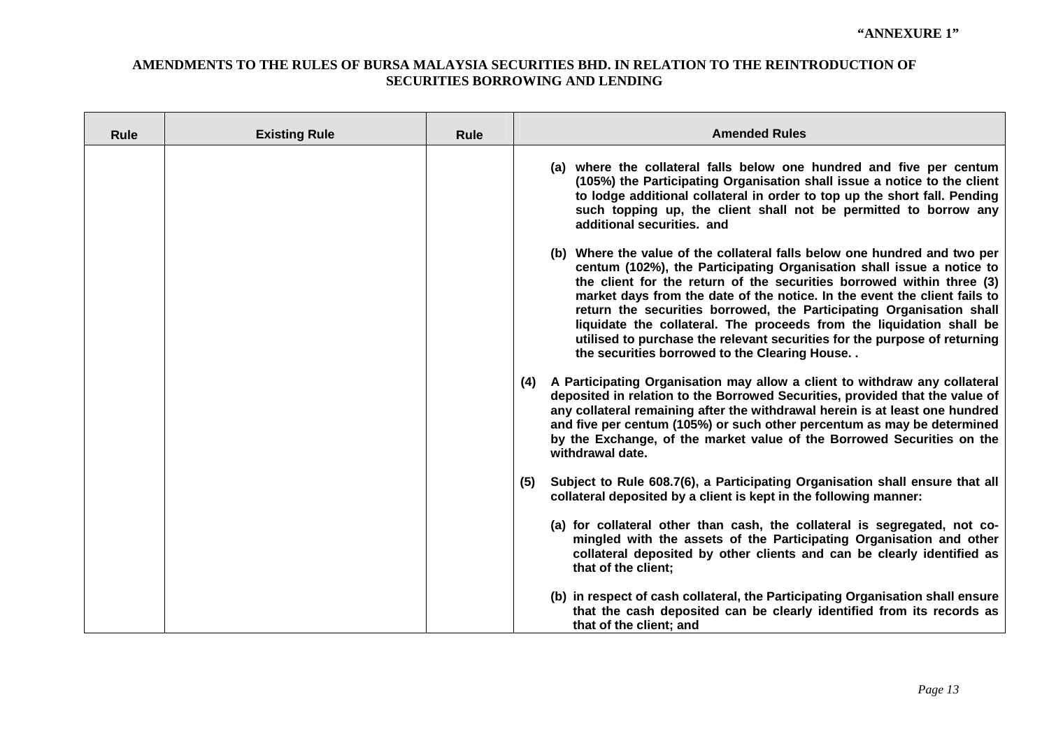| <b>Rule</b> | <b>Existing Rule</b> | <b>Rule</b> | <b>Amended Rules</b>                                                                                                                                                                                                                                                                                                                                                                                                                                                                                                                                                                   |
|-------------|----------------------|-------------|----------------------------------------------------------------------------------------------------------------------------------------------------------------------------------------------------------------------------------------------------------------------------------------------------------------------------------------------------------------------------------------------------------------------------------------------------------------------------------------------------------------------------------------------------------------------------------------|
|             |                      |             | (a) where the collateral falls below one hundred and five per centum<br>(105%) the Participating Organisation shall issue a notice to the client<br>to lodge additional collateral in order to top up the short fall. Pending<br>such topping up, the client shall not be permitted to borrow any<br>additional securities. and                                                                                                                                                                                                                                                        |
|             |                      |             | (b) Where the value of the collateral falls below one hundred and two per<br>centum (102%), the Participating Organisation shall issue a notice to<br>the client for the return of the securities borrowed within three (3)<br>market days from the date of the notice. In the event the client fails to<br>return the securities borrowed, the Participating Organisation shall<br>liquidate the collateral. The proceeds from the liquidation shall be<br>utilised to purchase the relevant securities for the purpose of returning<br>the securities borrowed to the Clearing House |
|             |                      |             | A Participating Organisation may allow a client to withdraw any collateral<br>(4)<br>deposited in relation to the Borrowed Securities, provided that the value of<br>any collateral remaining after the withdrawal herein is at least one hundred<br>and five per centum (105%) or such other percentum as may be determined<br>by the Exchange, of the market value of the Borrowed Securities on the<br>withdrawal date.                                                                                                                                                             |
|             |                      |             | Subject to Rule 608.7(6), a Participating Organisation shall ensure that all<br>(5)<br>collateral deposited by a client is kept in the following manner:                                                                                                                                                                                                                                                                                                                                                                                                                               |
|             |                      |             | (a) for collateral other than cash, the collateral is segregated, not co-<br>mingled with the assets of the Participating Organisation and other<br>collateral deposited by other clients and can be clearly identified as<br>that of the client;                                                                                                                                                                                                                                                                                                                                      |
|             |                      |             | (b) in respect of cash collateral, the Participating Organisation shall ensure<br>that the cash deposited can be clearly identified from its records as<br>that of the client; and                                                                                                                                                                                                                                                                                                                                                                                                     |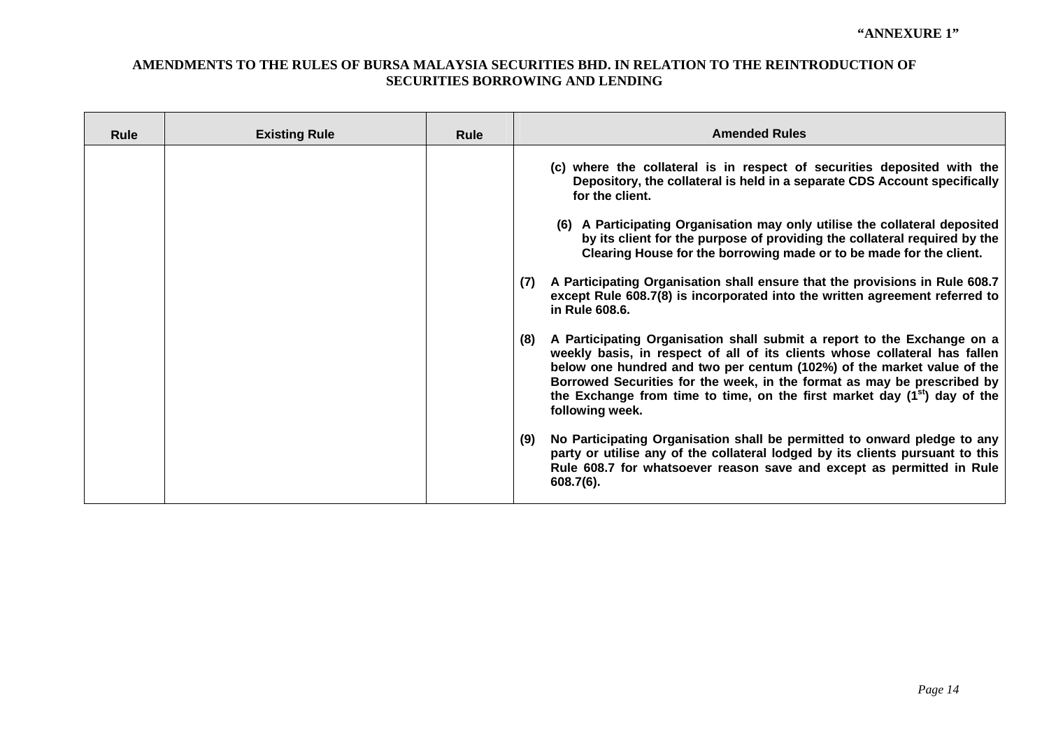| <b>Rule</b> | <b>Existing Rule</b> | <b>Rule</b> | <b>Amended Rules</b>                                                                                                                                                                                                                                                                                                                                                                                                                                                                                                                                                                                                                                                                                                                                                                                                                                                                                                                                                                                |
|-------------|----------------------|-------------|-----------------------------------------------------------------------------------------------------------------------------------------------------------------------------------------------------------------------------------------------------------------------------------------------------------------------------------------------------------------------------------------------------------------------------------------------------------------------------------------------------------------------------------------------------------------------------------------------------------------------------------------------------------------------------------------------------------------------------------------------------------------------------------------------------------------------------------------------------------------------------------------------------------------------------------------------------------------------------------------------------|
|             |                      |             | (c) where the collateral is in respect of securities deposited with the<br>Depository, the collateral is held in a separate CDS Account specifically<br>for the client.<br>(6) A Participating Organisation may only utilise the collateral deposited<br>by its client for the purpose of providing the collateral required by the<br>Clearing House for the borrowing made or to be made for the client.<br>A Participating Organisation shall ensure that the provisions in Rule 608.7<br>(7)<br>except Rule 608.7(8) is incorporated into the written agreement referred to<br>in Rule 608.6.<br>A Participating Organisation shall submit a report to the Exchange on a<br>(8)<br>weekly basis, in respect of all of its clients whose collateral has fallen<br>below one hundred and two per centum (102%) of the market value of the<br>Borrowed Securities for the week, in the format as may be prescribed by<br>the Exchange from time to time, on the first market day $(1st)$ day of the |
|             |                      |             | following week.<br>No Participating Organisation shall be permitted to onward pledge to any<br>(9)<br>party or utilise any of the collateral lodged by its clients pursuant to this<br>Rule 608.7 for whatsoever reason save and except as permitted in Rule<br>$608.7(6)$ .                                                                                                                                                                                                                                                                                                                                                                                                                                                                                                                                                                                                                                                                                                                        |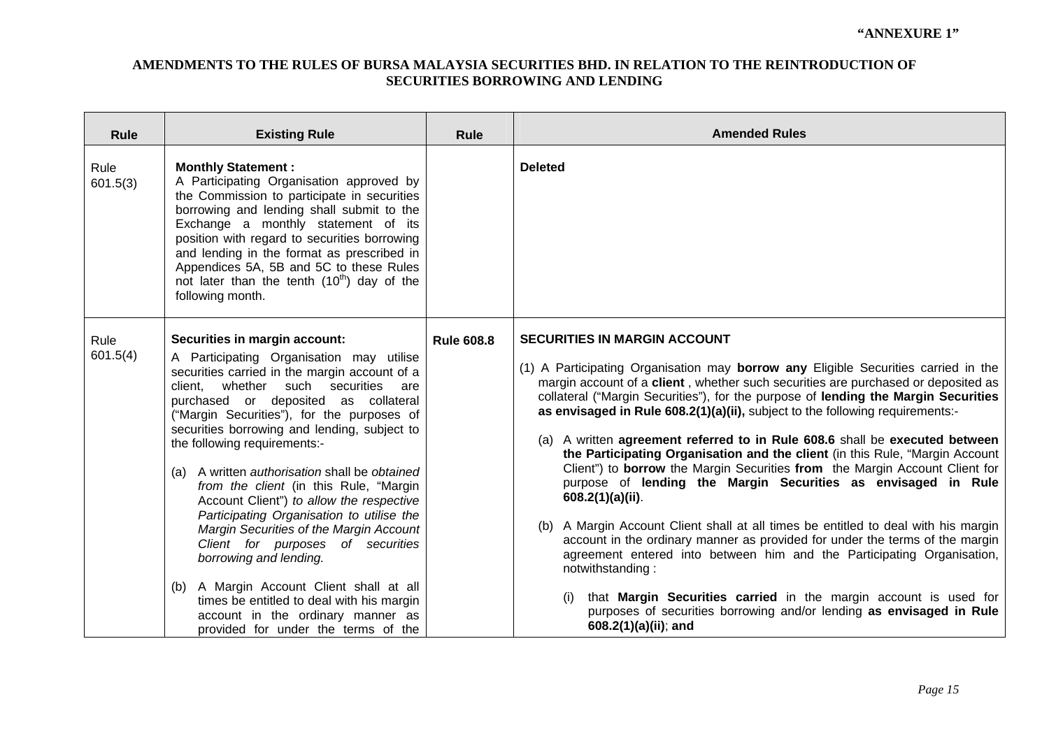| <b>Rule</b>      | <b>Existing Rule</b>                                                                                                                                                                                                                                                                                                                                                                                                                                                                                                                                                                                                                                                                                                                                                                                              | <b>Rule</b>       | <b>Amended Rules</b>                                                                                                                                                                                                                                                                                                                                                                                                                                                                                                                                                                                                                                                                                                                                                                                                                                                                                                                                                                                                                                                                                                                                                       |
|------------------|-------------------------------------------------------------------------------------------------------------------------------------------------------------------------------------------------------------------------------------------------------------------------------------------------------------------------------------------------------------------------------------------------------------------------------------------------------------------------------------------------------------------------------------------------------------------------------------------------------------------------------------------------------------------------------------------------------------------------------------------------------------------------------------------------------------------|-------------------|----------------------------------------------------------------------------------------------------------------------------------------------------------------------------------------------------------------------------------------------------------------------------------------------------------------------------------------------------------------------------------------------------------------------------------------------------------------------------------------------------------------------------------------------------------------------------------------------------------------------------------------------------------------------------------------------------------------------------------------------------------------------------------------------------------------------------------------------------------------------------------------------------------------------------------------------------------------------------------------------------------------------------------------------------------------------------------------------------------------------------------------------------------------------------|
| Rule<br>601.5(3) | <b>Monthly Statement:</b><br>A Participating Organisation approved by<br>the Commission to participate in securities<br>borrowing and lending shall submit to the<br>Exchange a monthly statement of its<br>position with regard to securities borrowing<br>and lending in the format as prescribed in<br>Appendices 5A, 5B and 5C to these Rules<br>not later than the tenth (10 <sup>th</sup> ) day of the<br>following month.                                                                                                                                                                                                                                                                                                                                                                                  |                   | <b>Deleted</b>                                                                                                                                                                                                                                                                                                                                                                                                                                                                                                                                                                                                                                                                                                                                                                                                                                                                                                                                                                                                                                                                                                                                                             |
| Rule<br>601.5(4) | Securities in margin account:<br>A Participating Organisation may utilise<br>securities carried in the margin account of a<br>client, whether such securities are<br>purchased or deposited as collateral<br>("Margin Securities"), for the purposes of<br>securities borrowing and lending, subject to<br>the following requirements:-<br>(a) A written <i>authorisation</i> shall be obtained<br>from the client (in this Rule, "Margin<br>Account Client") to allow the respective<br>Participating Organisation to utilise the<br>Margin Securities of the Margin Account<br>Client for purposes of securities<br>borrowing and lending.<br>(b) A Margin Account Client shall at all<br>times be entitled to deal with his margin<br>account in the ordinary manner as<br>provided for under the terms of the | <b>Rule 608.8</b> | <b>SECURITIES IN MARGIN ACCOUNT</b><br>(1) A Participating Organisation may <b>borrow any</b> Eligible Securities carried in the<br>margin account of a client, whether such securities are purchased or deposited as<br>collateral ("Margin Securities"), for the purpose of lending the Margin Securities<br>as envisaged in Rule 608.2(1)(a)(ii), subject to the following requirements:-<br>(a) A written agreement referred to in Rule 608.6 shall be executed between<br>the Participating Organisation and the client (in this Rule, "Margin Account<br>Client") to borrow the Margin Securities from the Margin Account Client for<br>purpose of lending the Margin Securities as envisaged in Rule<br>$608.2(1)(a)(ii)$ .<br>(b) A Margin Account Client shall at all times be entitled to deal with his margin<br>account in the ordinary manner as provided for under the terms of the margin<br>agreement entered into between him and the Participating Organisation,<br>notwithstanding:<br>that Margin Securities carried in the margin account is used for<br>purposes of securities borrowing and/or lending as envisaged in Rule<br>608.2(1)(a)(ii); and |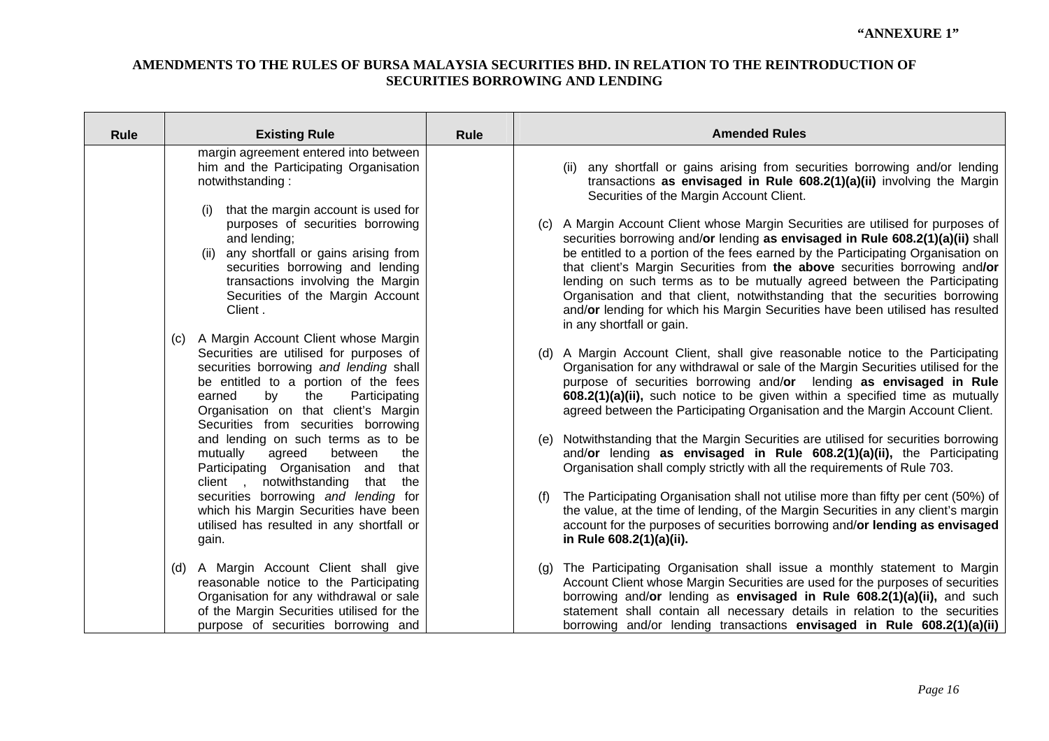| <b>Rule</b> | <b>Existing Rule</b>                                                                                                                                                                                                                                                                          | <b>Rule</b> | <b>Amended Rules</b>                                                                                                                                                                                                                                                                                                                                                                                                                                                                                                                                                                                           |
|-------------|-----------------------------------------------------------------------------------------------------------------------------------------------------------------------------------------------------------------------------------------------------------------------------------------------|-------------|----------------------------------------------------------------------------------------------------------------------------------------------------------------------------------------------------------------------------------------------------------------------------------------------------------------------------------------------------------------------------------------------------------------------------------------------------------------------------------------------------------------------------------------------------------------------------------------------------------------|
|             | margin agreement entered into between<br>him and the Participating Organisation<br>notwithstanding:                                                                                                                                                                                           |             | any shortfall or gains arising from securities borrowing and/or lending<br>(ii)<br>transactions as envisaged in Rule 608.2(1)(a)(ii) involving the Margin<br>Securities of the Margin Account Client.                                                                                                                                                                                                                                                                                                                                                                                                          |
|             | that the margin account is used for<br>(i)<br>purposes of securities borrowing<br>and lending;<br>any shortfall or gains arising from<br>(ii)<br>securities borrowing and lending<br>transactions involving the Margin<br>Securities of the Margin Account<br>Client.                         |             | (c) A Margin Account Client whose Margin Securities are utilised for purposes of<br>securities borrowing and/or lending as envisaged in Rule 608.2(1)(a)(ii) shall<br>be entitled to a portion of the fees earned by the Participating Organisation on<br>that client's Margin Securities from the above securities borrowing and/or<br>lending on such terms as to be mutually agreed between the Participating<br>Organisation and that client, notwithstanding that the securities borrowing<br>and/or lending for which his Margin Securities have been utilised has resulted<br>in any shortfall or gain. |
|             | (c) A Margin Account Client whose Margin<br>Securities are utilised for purposes of<br>securities borrowing and lending shall<br>be entitled to a portion of the fees<br>earned<br>Participating<br>by<br>the<br>Organisation on that client's Margin<br>Securities from securities borrowing |             | A Margin Account Client, shall give reasonable notice to the Participating<br>(d)<br>Organisation for any withdrawal or sale of the Margin Securities utilised for the<br>purpose of securities borrowing and/or lending as envisaged in Rule<br>608.2(1)(a)(ii), such notice to be given within a specified time as mutually<br>agreed between the Participating Organisation and the Margin Account Client.                                                                                                                                                                                                  |
|             | and lending on such terms as to be<br>mutually<br>agreed<br>between<br>the<br>Participating Organisation and<br>that<br>notwithstanding<br>that<br>the<br>client,                                                                                                                             |             | Notwithstanding that the Margin Securities are utilised for securities borrowing<br>(e)<br>and/or lending as envisaged in Rule $608.2(1)(a)(ii)$ , the Participating<br>Organisation shall comply strictly with all the requirements of Rule 703.                                                                                                                                                                                                                                                                                                                                                              |
|             | securities borrowing and lending for<br>which his Margin Securities have been<br>utilised has resulted in any shortfall or<br>gain.                                                                                                                                                           |             | The Participating Organisation shall not utilise more than fifty per cent (50%) of<br>(f)<br>the value, at the time of lending, of the Margin Securities in any client's margin<br>account for the purposes of securities borrowing and/or lending as envisaged<br>in Rule 608.2(1)(a)(ii).                                                                                                                                                                                                                                                                                                                    |
|             | (d) A Margin Account Client shall give<br>reasonable notice to the Participating<br>Organisation for any withdrawal or sale<br>of the Margin Securities utilised for the<br>purpose of securities borrowing and                                                                               |             | The Participating Organisation shall issue a monthly statement to Margin<br>(q)<br>Account Client whose Margin Securities are used for the purposes of securities<br>borrowing and/or lending as envisaged in Rule 608.2(1)(a)(ii), and such<br>statement shall contain all necessary details in relation to the securities<br>borrowing and/or lending transactions envisaged in Rule 608.2(1)(a)(ii)                                                                                                                                                                                                         |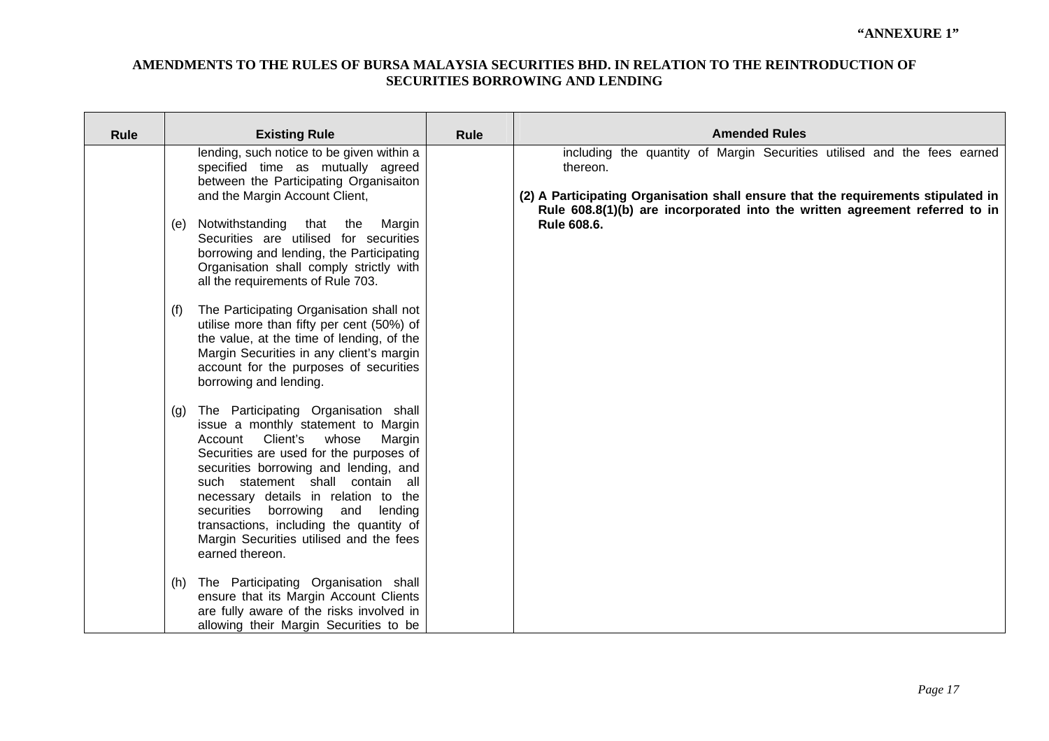| <b>Rule</b> | <b>Existing Rule</b>                                                                                                                                                                                                                                                                                                                                                                                                                         | <b>Rule</b> | <b>Amended Rules</b>                                                                                                                                                                                                                                     |
|-------------|----------------------------------------------------------------------------------------------------------------------------------------------------------------------------------------------------------------------------------------------------------------------------------------------------------------------------------------------------------------------------------------------------------------------------------------------|-------------|----------------------------------------------------------------------------------------------------------------------------------------------------------------------------------------------------------------------------------------------------------|
|             | lending, such notice to be given within a<br>specified time as mutually agreed<br>between the Participating Organisaiton<br>and the Margin Account Client,                                                                                                                                                                                                                                                                                   |             | including the quantity of Margin Securities utilised and the fees earned<br>thereon.<br>(2) A Participating Organisation shall ensure that the requirements stipulated in<br>Rule 608.8(1)(b) are incorporated into the written agreement referred to in |
|             | (e) Notwithstanding that the<br>Margin<br>Securities are utilised for securities<br>borrowing and lending, the Participating<br>Organisation shall comply strictly with<br>all the requirements of Rule 703.                                                                                                                                                                                                                                 |             | <b>Rule 608.6.</b>                                                                                                                                                                                                                                       |
|             | The Participating Organisation shall not<br>(f)<br>utilise more than fifty per cent (50%) of<br>the value, at the time of lending, of the<br>Margin Securities in any client's margin<br>account for the purposes of securities<br>borrowing and lending.                                                                                                                                                                                    |             |                                                                                                                                                                                                                                                          |
|             | (g) The Participating Organisation shall<br>issue a monthly statement to Margin<br>Client's<br>whose<br>Margin<br>Account<br>Securities are used for the purposes of<br>securities borrowing and lending, and<br>such statement shall contain all<br>necessary details in relation to the<br>securities<br>borrowing and<br>lending<br>transactions, including the quantity of<br>Margin Securities utilised and the fees<br>earned thereon. |             |                                                                                                                                                                                                                                                          |
|             | (h) The Participating Organisation shall<br>ensure that its Margin Account Clients<br>are fully aware of the risks involved in<br>allowing their Margin Securities to be                                                                                                                                                                                                                                                                     |             |                                                                                                                                                                                                                                                          |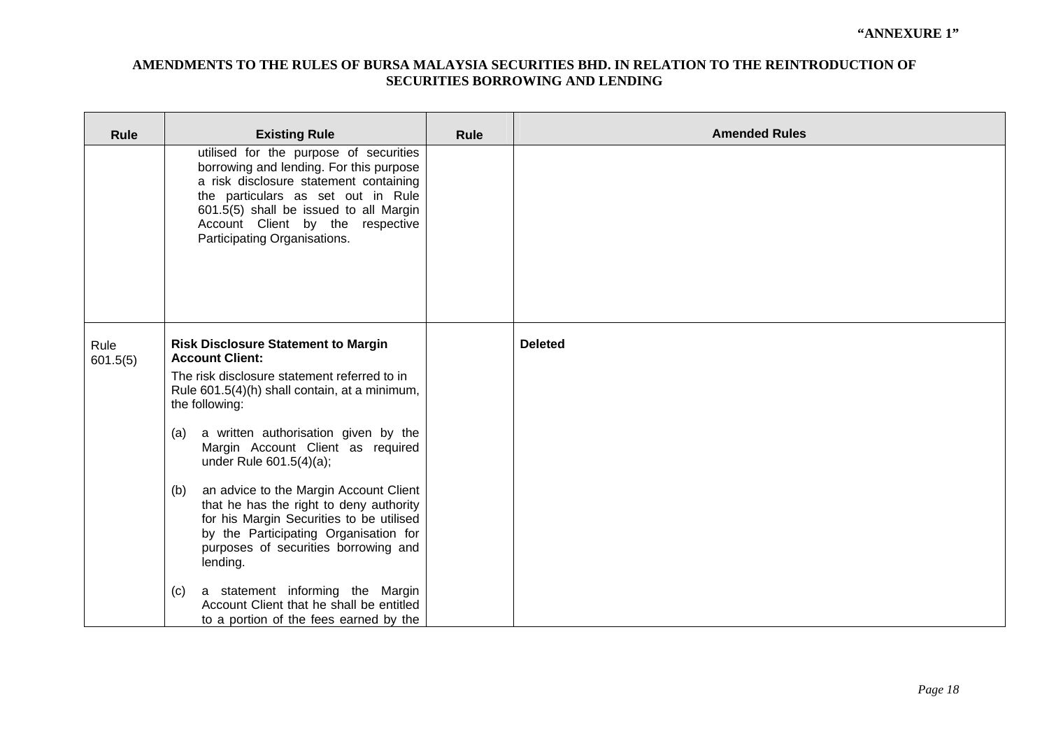| <b>Rule</b>      | <b>Existing Rule</b>                                                                                                                                                                                                                                                                                                                                                                                                                                                                                                                     | <b>Rule</b> | <b>Amended Rules</b> |
|------------------|------------------------------------------------------------------------------------------------------------------------------------------------------------------------------------------------------------------------------------------------------------------------------------------------------------------------------------------------------------------------------------------------------------------------------------------------------------------------------------------------------------------------------------------|-------------|----------------------|
|                  | utilised for the purpose of securities<br>borrowing and lending. For this purpose<br>a risk disclosure statement containing<br>the particulars as set out in Rule<br>601.5(5) shall be issued to all Margin<br>Account Client by the respective<br>Participating Organisations.                                                                                                                                                                                                                                                          |             |                      |
| Rule<br>601.5(5) | <b>Risk Disclosure Statement to Margin</b><br><b>Account Client:</b><br>The risk disclosure statement referred to in<br>Rule 601.5(4)(h) shall contain, at a minimum,<br>the following:<br>(a) a written authorisation given by the<br>Margin Account Client as required<br>under Rule 601.5(4)(a);<br>an advice to the Margin Account Client<br>(b)<br>that he has the right to deny authority<br>for his Margin Securities to be utilised<br>by the Participating Organisation for<br>purposes of securities borrowing and<br>lending. |             | <b>Deleted</b>       |
|                  | a statement informing the Margin<br>(c)<br>Account Client that he shall be entitled<br>to a portion of the fees earned by the                                                                                                                                                                                                                                                                                                                                                                                                            |             |                      |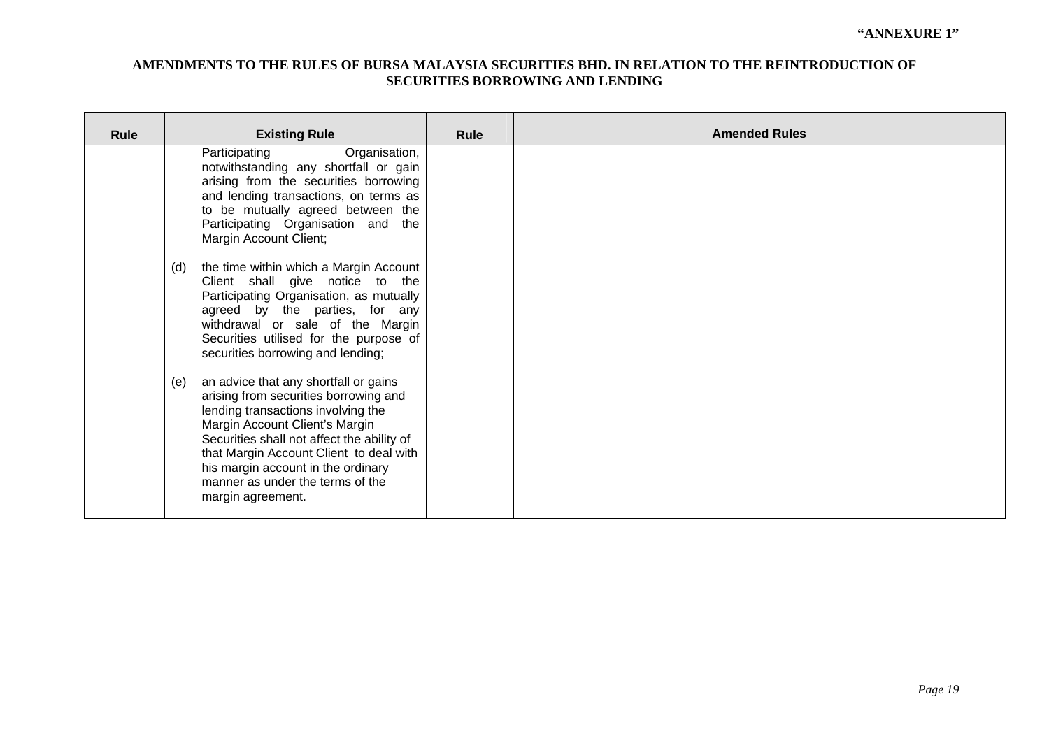| <b>Rule</b> | <b>Existing Rule</b>                                                                                                                                                                                                                                                                                                                                  | <b>Rule</b> | <b>Amended Rules</b> |
|-------------|-------------------------------------------------------------------------------------------------------------------------------------------------------------------------------------------------------------------------------------------------------------------------------------------------------------------------------------------------------|-------------|----------------------|
|             | Participating<br>Organisation,<br>notwithstanding any shortfall or gain<br>arising from the securities borrowing<br>and lending transactions, on terms as<br>to be mutually agreed between the<br>Participating Organisation and the<br>Margin Account Client;<br>the time within which a Margin Account<br>(d)<br>Client shall give notice to the    |             |                      |
|             | Participating Organisation, as mutually<br>agreed by the parties, for any<br>withdrawal or sale of the Margin<br>Securities utilised for the purpose of<br>securities borrowing and lending;                                                                                                                                                          |             |                      |
|             | an advice that any shortfall or gains<br>(e)<br>arising from securities borrowing and<br>lending transactions involving the<br>Margin Account Client's Margin<br>Securities shall not affect the ability of<br>that Margin Account Client to deal with<br>his margin account in the ordinary<br>manner as under the terms of the<br>margin agreement. |             |                      |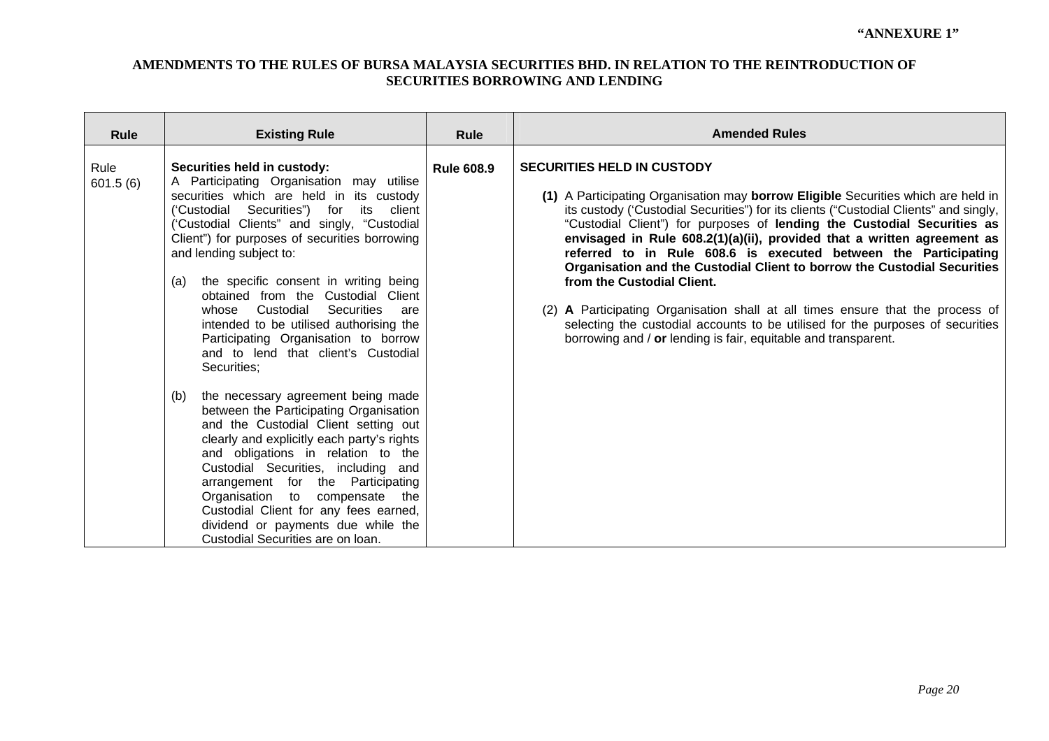| <b>Rule</b>      | <b>Existing Rule</b>                                                                                                                                                                                                                                                                                                                                                                                                                                                                                                                                                                                                                                                                                                                                                                                                                                                                                                                                                                                                  | Rule              | <b>Amended Rules</b>                                                                                                                                                                                                                                                                                                                                                                                                                                                                                                                                                                                                                                                                                                                                                                     |
|------------------|-----------------------------------------------------------------------------------------------------------------------------------------------------------------------------------------------------------------------------------------------------------------------------------------------------------------------------------------------------------------------------------------------------------------------------------------------------------------------------------------------------------------------------------------------------------------------------------------------------------------------------------------------------------------------------------------------------------------------------------------------------------------------------------------------------------------------------------------------------------------------------------------------------------------------------------------------------------------------------------------------------------------------|-------------------|------------------------------------------------------------------------------------------------------------------------------------------------------------------------------------------------------------------------------------------------------------------------------------------------------------------------------------------------------------------------------------------------------------------------------------------------------------------------------------------------------------------------------------------------------------------------------------------------------------------------------------------------------------------------------------------------------------------------------------------------------------------------------------------|
| Rule<br>601.5(6) | Securities held in custody:<br>A Participating Organisation may utilise<br>securities which are held in its custody<br>('Custodial Securities") for its<br>client<br>('Custodial Clients" and singly, "Custodial<br>Client") for purposes of securities borrowing<br>and lending subject to:<br>(a) the specific consent in writing being<br>obtained from the Custodial Client<br>whose Custodial<br>Securities<br>are<br>intended to be utilised authorising the<br>Participating Organisation to borrow<br>and to lend that client's Custodial<br>Securities;<br>the necessary agreement being made<br>(b)<br>between the Participating Organisation<br>and the Custodial Client setting out<br>clearly and explicitly each party's rights<br>and obligations in relation to the<br>Custodial Securities, including and<br>arrangement for the Participating<br>Organisation to compensate the<br>Custodial Client for any fees earned,<br>dividend or payments due while the<br>Custodial Securities are on Ioan. | <b>Rule 608.9</b> | <b>SECURITIES HELD IN CUSTODY</b><br>(1) A Participating Organisation may borrow Eligible Securities which are held in<br>its custody ('Custodial Securities") for its clients ("Custodial Clients" and singly,<br>"Custodial Client") for purposes of lending the Custodial Securities as<br>envisaged in Rule 608.2(1)(a)(ii), provided that a written agreement as<br>referred to in Rule 608.6 is executed between the Participating<br>Organisation and the Custodial Client to borrow the Custodial Securities<br>from the Custodial Client.<br>(2) A Participating Organisation shall at all times ensure that the process of<br>selecting the custodial accounts to be utilised for the purposes of securities<br>borrowing and / or lending is fair, equitable and transparent. |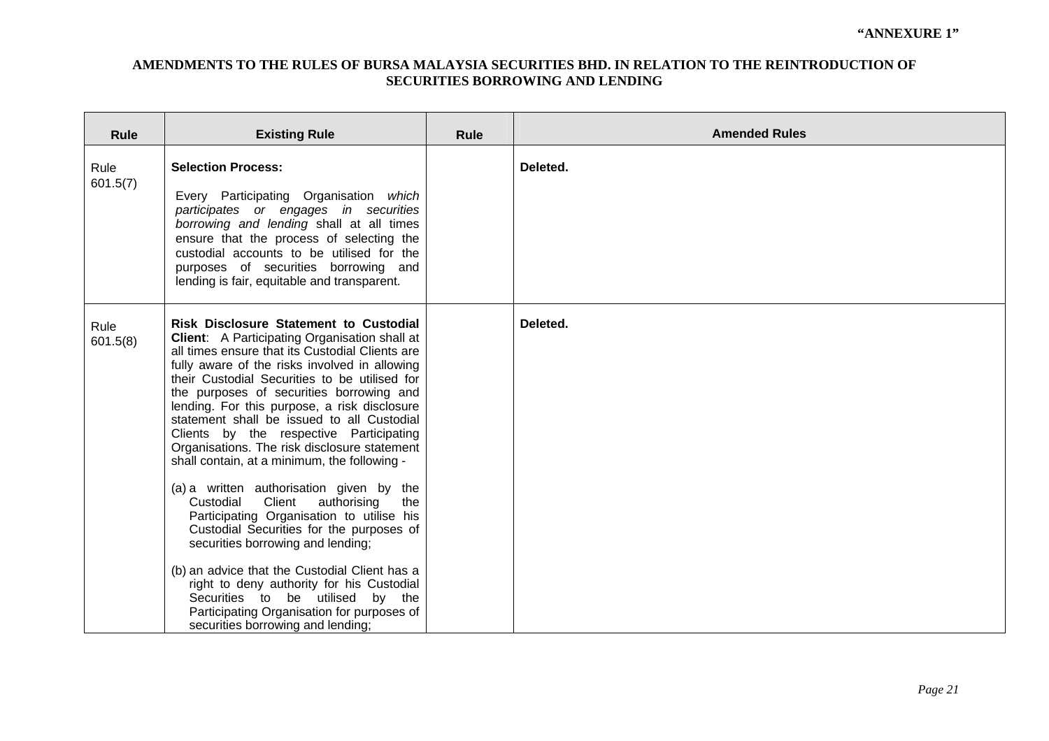| <b>Rule</b>      | <b>Existing Rule</b>                                                                                                                                                                                                                                                                                                                                                                                                                                                                                                                                                                                                                                                                                                                                                                                                                                                                                                                                                                        | <b>Rule</b> | <b>Amended Rules</b> |
|------------------|---------------------------------------------------------------------------------------------------------------------------------------------------------------------------------------------------------------------------------------------------------------------------------------------------------------------------------------------------------------------------------------------------------------------------------------------------------------------------------------------------------------------------------------------------------------------------------------------------------------------------------------------------------------------------------------------------------------------------------------------------------------------------------------------------------------------------------------------------------------------------------------------------------------------------------------------------------------------------------------------|-------------|----------------------|
| Rule<br>601.5(7) | <b>Selection Process:</b><br>Every Participating Organisation which<br>participates or engages in securities<br>borrowing and lending shall at all times<br>ensure that the process of selecting the<br>custodial accounts to be utilised for the<br>purposes of securities borrowing and<br>lending is fair, equitable and transparent.                                                                                                                                                                                                                                                                                                                                                                                                                                                                                                                                                                                                                                                    |             | Deleted.             |
| Rule<br>601.5(8) | <b>Risk Disclosure Statement to Custodial</b><br><b>Client:</b> A Participating Organisation shall at<br>all times ensure that its Custodial Clients are<br>fully aware of the risks involved in allowing<br>their Custodial Securities to be utilised for<br>the purposes of securities borrowing and<br>lending. For this purpose, a risk disclosure<br>statement shall be issued to all Custodial<br>Clients by the respective Participating<br>Organisations. The risk disclosure statement<br>shall contain, at a minimum, the following -<br>(a) a written authorisation given by the<br>Client<br>authorising<br>Custodial<br>the<br>Participating Organisation to utilise his<br>Custodial Securities for the purposes of<br>securities borrowing and lending;<br>(b) an advice that the Custodial Client has a<br>right to deny authority for his Custodial<br>Securities to be utilised by the<br>Participating Organisation for purposes of<br>securities borrowing and lending; |             | Deleted.             |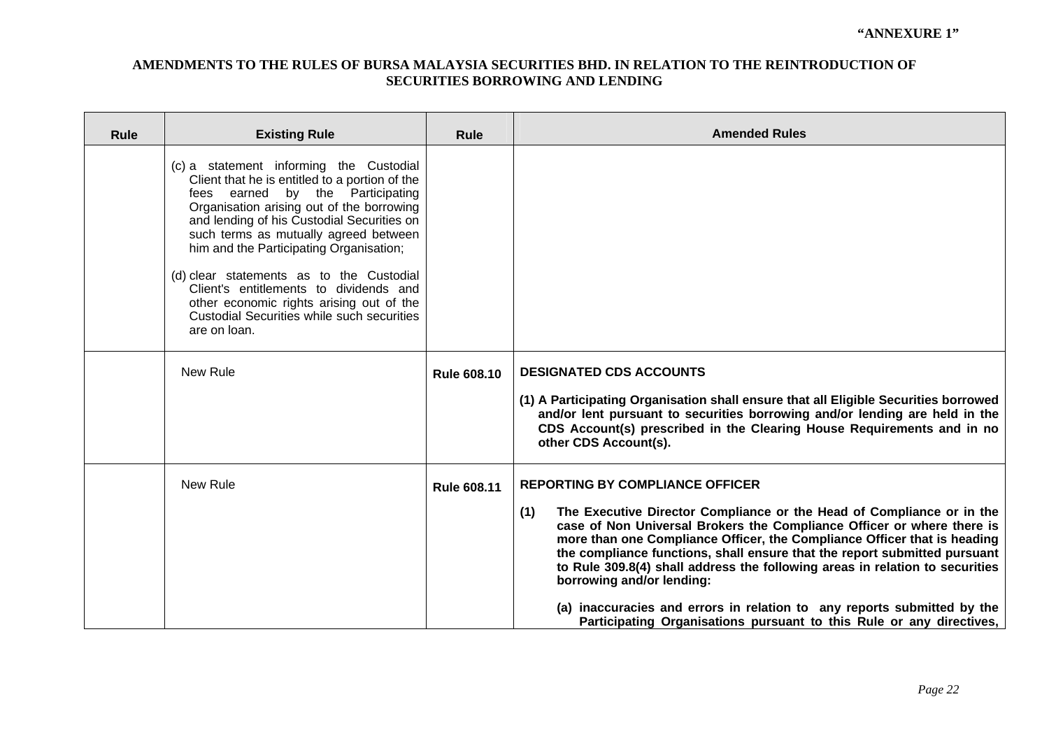| <b>Rule</b> | <b>Existing Rule</b>                                                                                                                                                                                                                                                                                                                                                                                                                                                                                         | <b>Rule</b>        | <b>Amended Rules</b>                                                                                                                                                                                                                                                                                                                                                                                                                                                   |
|-------------|--------------------------------------------------------------------------------------------------------------------------------------------------------------------------------------------------------------------------------------------------------------------------------------------------------------------------------------------------------------------------------------------------------------------------------------------------------------------------------------------------------------|--------------------|------------------------------------------------------------------------------------------------------------------------------------------------------------------------------------------------------------------------------------------------------------------------------------------------------------------------------------------------------------------------------------------------------------------------------------------------------------------------|
|             | (c) a statement informing the Custodial<br>Client that he is entitled to a portion of the<br>fees earned by the Participating<br>Organisation arising out of the borrowing<br>and lending of his Custodial Securities on<br>such terms as mutually agreed between<br>him and the Participating Organisation;<br>(d) clear statements as to the Custodial<br>Client's entitlements to dividends and<br>other economic rights arising out of the<br>Custodial Securities while such securities<br>are on loan. |                    |                                                                                                                                                                                                                                                                                                                                                                                                                                                                        |
|             | New Rule                                                                                                                                                                                                                                                                                                                                                                                                                                                                                                     | <b>Rule 608.10</b> | <b>DESIGNATED CDS ACCOUNTS</b><br>(1) A Participating Organisation shall ensure that all Eligible Securities borrowed<br>and/or lent pursuant to securities borrowing and/or lending are held in the<br>CDS Account(s) prescribed in the Clearing House Requirements and in no                                                                                                                                                                                         |
|             |                                                                                                                                                                                                                                                                                                                                                                                                                                                                                                              |                    | other CDS Account(s).                                                                                                                                                                                                                                                                                                                                                                                                                                                  |
|             | New Rule                                                                                                                                                                                                                                                                                                                                                                                                                                                                                                     | <b>Rule 608.11</b> | <b>REPORTING BY COMPLIANCE OFFICER</b><br>(1)<br>The Executive Director Compliance or the Head of Compliance or in the<br>case of Non Universal Brokers the Compliance Officer or where there is<br>more than one Compliance Officer, the Compliance Officer that is heading<br>the compliance functions, shall ensure that the report submitted pursuant<br>to Rule 309.8(4) shall address the following areas in relation to securities<br>borrowing and/or lending: |
|             |                                                                                                                                                                                                                                                                                                                                                                                                                                                                                                              |                    | (a) inaccuracies and errors in relation to any reports submitted by the<br>Participating Organisations pursuant to this Rule or any directives,                                                                                                                                                                                                                                                                                                                        |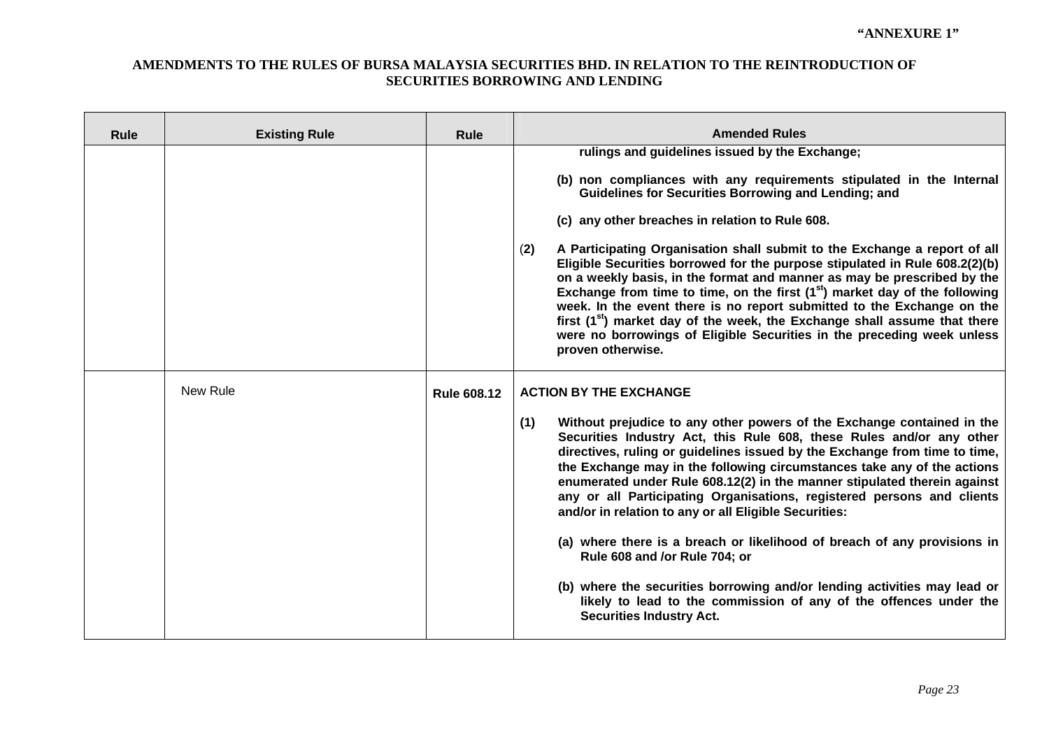| <b>Rule</b> | <b>Existing Rule</b> | <b>Rule</b>        | <b>Amended Rules</b>                                                                                                                                                                                                                                                                                                                                                                                                                                                                                                                                                                                                                                                                                                                                                                                                                                            |
|-------------|----------------------|--------------------|-----------------------------------------------------------------------------------------------------------------------------------------------------------------------------------------------------------------------------------------------------------------------------------------------------------------------------------------------------------------------------------------------------------------------------------------------------------------------------------------------------------------------------------------------------------------------------------------------------------------------------------------------------------------------------------------------------------------------------------------------------------------------------------------------------------------------------------------------------------------|
|             |                      |                    | rulings and guidelines issued by the Exchange;<br>(b) non compliances with any requirements stipulated in the Internal<br><b>Guidelines for Securities Borrowing and Lending; and</b><br>(c) any other breaches in relation to Rule 608.<br>A Participating Organisation shall submit to the Exchange a report of all<br>(2)<br>Eligible Securities borrowed for the purpose stipulated in Rule 608.2(2)(b)<br>on a weekly basis, in the format and manner as may be prescribed by the<br>Exchange from time to time, on the first $(1st)$ market day of the following<br>week. In the event there is no report submitted to the Exchange on the<br>first (1 <sup>st</sup> ) market day of the week, the Exchange shall assume that there<br>were no borrowings of Eligible Securities in the preceding week unless<br>proven otherwise.                        |
|             | New Rule             | <b>Rule 608.12</b> | <b>ACTION BY THE EXCHANGE</b><br>Without prejudice to any other powers of the Exchange contained in the<br>(1)<br>Securities Industry Act, this Rule 608, these Rules and/or any other<br>directives, ruling or guidelines issued by the Exchange from time to time,<br>the Exchange may in the following circumstances take any of the actions<br>enumerated under Rule 608.12(2) in the manner stipulated therein against<br>any or all Participating Organisations, registered persons and clients<br>and/or in relation to any or all Eligible Securities:<br>(a) where there is a breach or likelihood of breach of any provisions in<br>Rule 608 and /or Rule 704; or<br>(b) where the securities borrowing and/or lending activities may lead or<br>likely to lead to the commission of any of the offences under the<br><b>Securities Industry Act.</b> |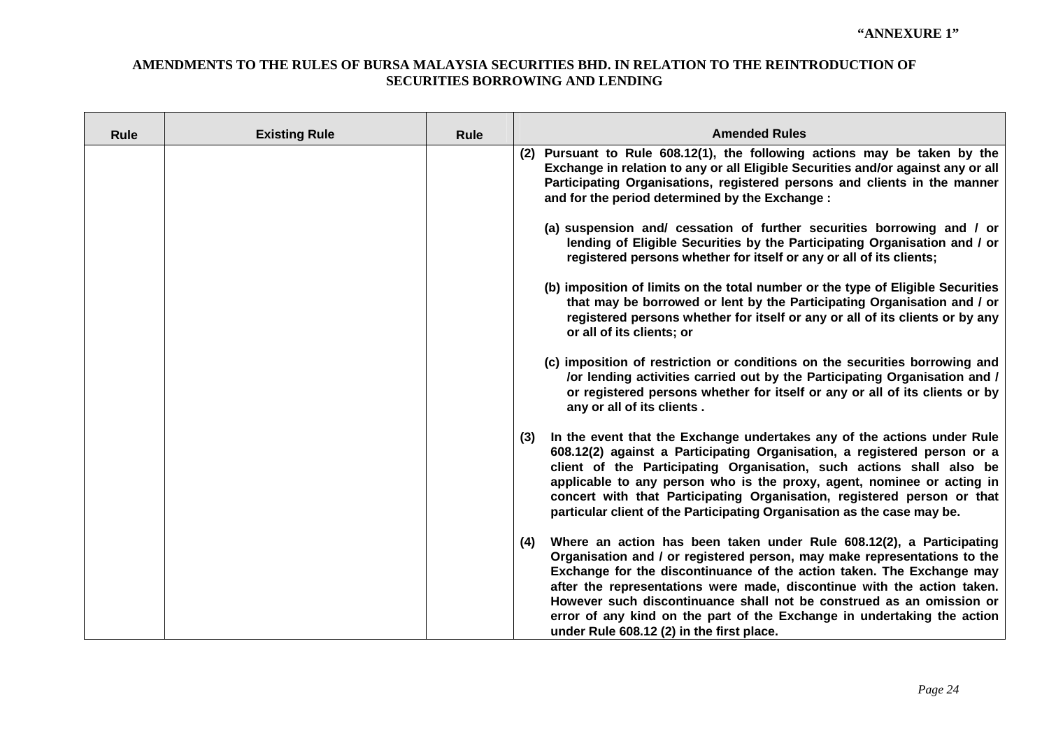| <b>Rule</b> | <b>Existing Rule</b> | Rule | <b>Amended Rules</b>                                                                                                                                                                                                                                                                                                                                                                                                                                                                                        |
|-------------|----------------------|------|-------------------------------------------------------------------------------------------------------------------------------------------------------------------------------------------------------------------------------------------------------------------------------------------------------------------------------------------------------------------------------------------------------------------------------------------------------------------------------------------------------------|
|             |                      |      | (2) Pursuant to Rule 608.12(1), the following actions may be taken by the<br>Exchange in relation to any or all Eligible Securities and/or against any or all<br>Participating Organisations, registered persons and clients in the manner<br>and for the period determined by the Exchange :                                                                                                                                                                                                               |
|             |                      |      | (a) suspension and/ cessation of further securities borrowing and / or<br>lending of Eligible Securities by the Participating Organisation and / or<br>registered persons whether for itself or any or all of its clients;                                                                                                                                                                                                                                                                                  |
|             |                      |      | (b) imposition of limits on the total number or the type of Eligible Securities<br>that may be borrowed or lent by the Participating Organisation and / or<br>registered persons whether for itself or any or all of its clients or by any<br>or all of its clients; or                                                                                                                                                                                                                                     |
|             |                      |      | (c) imposition of restriction or conditions on the securities borrowing and<br>/or lending activities carried out by the Participating Organisation and /<br>or registered persons whether for itself or any or all of its clients or by<br>any or all of its clients.                                                                                                                                                                                                                                      |
|             |                      |      | In the event that the Exchange undertakes any of the actions under Rule<br>(3)<br>608.12(2) against a Participating Organisation, a registered person or a<br>client of the Participating Organisation, such actions shall also be<br>applicable to any person who is the proxy, agent, nominee or acting in<br>concert with that Participating Organisation, registered person or that<br>particular client of the Participating Organisation as the case may be.                                          |
|             |                      |      | Where an action has been taken under Rule 608.12(2), a Participating<br>(4)<br>Organisation and / or registered person, may make representations to the<br>Exchange for the discontinuance of the action taken. The Exchange may<br>after the representations were made, discontinue with the action taken.<br>However such discontinuance shall not be construed as an omission or<br>error of any kind on the part of the Exchange in undertaking the action<br>under Rule 608.12 (2) in the first place. |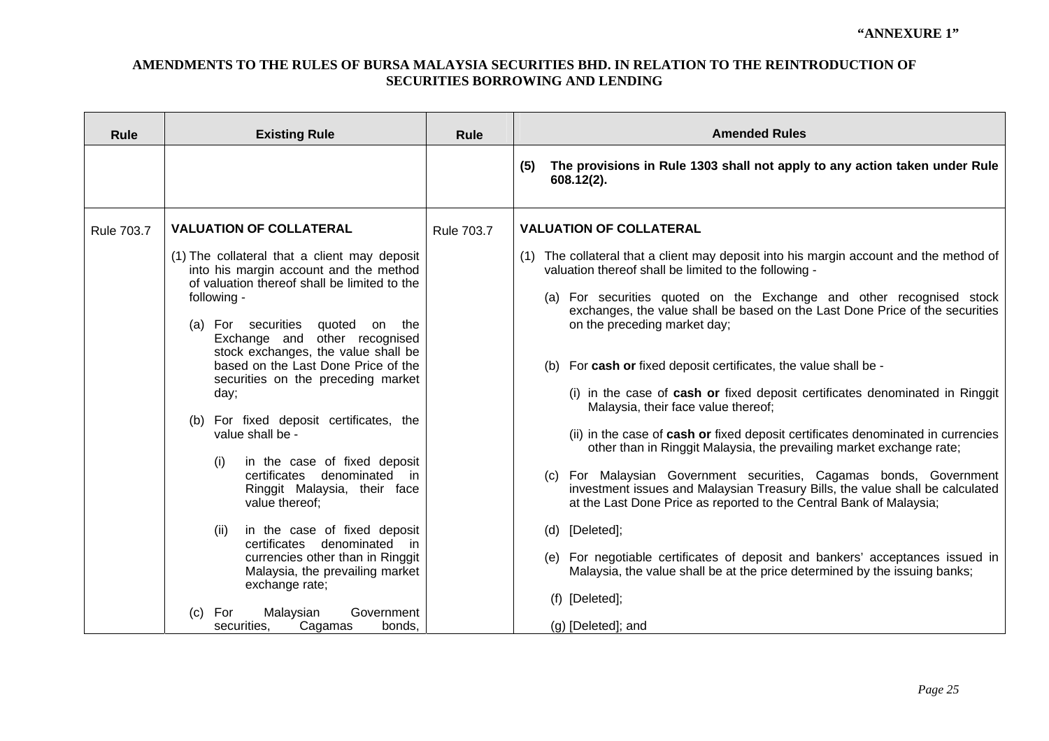| <b>Rule</b> | <b>Existing Rule</b>                                                                                                                                                                                                                                                                                    | <b>Rule</b> | <b>Amended Rules</b>                                                                                                                                                                                                                                                                                                                                                                   |
|-------------|---------------------------------------------------------------------------------------------------------------------------------------------------------------------------------------------------------------------------------------------------------------------------------------------------------|-------------|----------------------------------------------------------------------------------------------------------------------------------------------------------------------------------------------------------------------------------------------------------------------------------------------------------------------------------------------------------------------------------------|
|             |                                                                                                                                                                                                                                                                                                         |             | The provisions in Rule 1303 shall not apply to any action taken under Rule<br>(5)<br>608.12(2).                                                                                                                                                                                                                                                                                        |
| Rule 703.7  | <b>VALUATION OF COLLATERAL</b><br>(1) The collateral that a client may deposit<br>into his margin account and the method                                                                                                                                                                                | Rule 703.7  | <b>VALUATION OF COLLATERAL</b><br>(1) The collateral that a client may deposit into his margin account and the method of<br>valuation thereof shall be limited to the following -                                                                                                                                                                                                      |
|             | of valuation thereof shall be limited to the<br>following -<br>(a) For securities quoted on the<br>Exchange and other recognised<br>stock exchanges, the value shall be<br>based on the Last Done Price of the<br>securities on the preceding market<br>day;<br>(b) For fixed deposit certificates, the |             | (a) For securities quoted on the Exchange and other recognised stock<br>exchanges, the value shall be based on the Last Done Price of the securities<br>on the preceding market day;                                                                                                                                                                                                   |
|             |                                                                                                                                                                                                                                                                                                         |             | (b) For cash or fixed deposit certificates, the value shall be -<br>(i) in the case of cash or fixed deposit certificates denominated in Ringgit<br>Malaysia, their face value thereof;                                                                                                                                                                                                |
|             | value shall be -<br>in the case of fixed deposit<br>(i)<br>certificates denominated<br>in<br>Ringgit Malaysia, their face<br>value thereof;                                                                                                                                                             |             | (ii) in the case of cash or fixed deposit certificates denominated in currencies<br>other than in Ringgit Malaysia, the prevailing market exchange rate;<br>(c) For Malaysian Government securities, Cagamas bonds, Government<br>investment issues and Malaysian Treasury Bills, the value shall be calculated<br>at the Last Done Price as reported to the Central Bank of Malaysia; |
|             | in the case of fixed deposit<br>(ii)<br>certificates denominated<br>in in                                                                                                                                                                                                                               |             | (d) [Deleted];                                                                                                                                                                                                                                                                                                                                                                         |
|             | currencies other than in Ringgit<br>Malaysia, the prevailing market<br>exchange rate;                                                                                                                                                                                                                   |             | (e) For negotiable certificates of deposit and bankers' acceptances issued in<br>Malaysia, the value shall be at the price determined by the issuing banks;<br>(f) [Deleted];                                                                                                                                                                                                          |
|             | Malaysian<br>Government<br>For<br>(C)<br>securities,<br>Cagamas<br>bonds.                                                                                                                                                                                                                               |             | (g) [Deleted]; and                                                                                                                                                                                                                                                                                                                                                                     |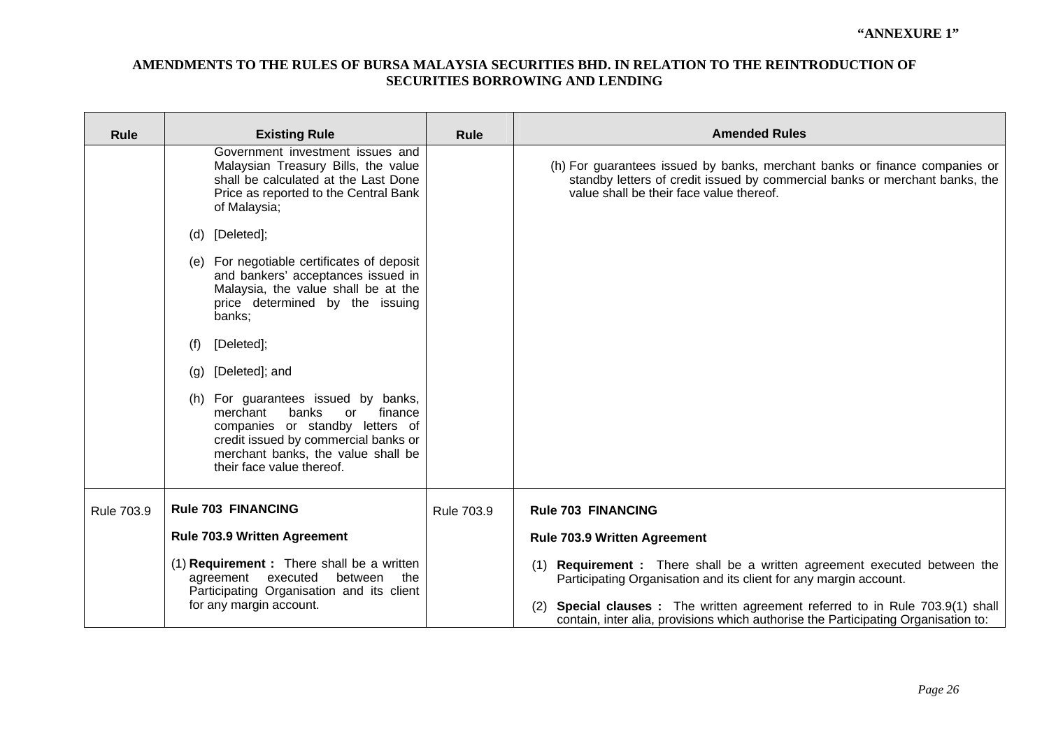| <b>Rule</b> | <b>Existing Rule</b>                                                                                                                                                                                                             | <b>Rule</b> | <b>Amended Rules</b>                                                                                                                                                                                  |
|-------------|----------------------------------------------------------------------------------------------------------------------------------------------------------------------------------------------------------------------------------|-------------|-------------------------------------------------------------------------------------------------------------------------------------------------------------------------------------------------------|
|             | Government investment issues and<br>Malaysian Treasury Bills, the value<br>shall be calculated at the Last Done<br>Price as reported to the Central Bank<br>of Malaysia;                                                         |             | (h) For guarantees issued by banks, merchant banks or finance companies or<br>standby letters of credit issued by commercial banks or merchant banks, the<br>value shall be their face value thereof. |
|             | [Deleted];<br>(d)                                                                                                                                                                                                                |             |                                                                                                                                                                                                       |
|             | (e) For negotiable certificates of deposit<br>and bankers' acceptances issued in<br>Malaysia, the value shall be at the<br>price determined by the issuing<br>banks;                                                             |             |                                                                                                                                                                                                       |
|             | [Deleted];<br>(f)                                                                                                                                                                                                                |             |                                                                                                                                                                                                       |
|             | [Deleted]; and<br>(g)                                                                                                                                                                                                            |             |                                                                                                                                                                                                       |
|             | For guarantees issued by banks,<br>(h)<br>merchant<br>banks<br>finance<br>$\alpha$<br>companies or standby letters of<br>credit issued by commercial banks or<br>merchant banks, the value shall be<br>their face value thereof. |             |                                                                                                                                                                                                       |
| Rule 703.9  | <b>Rule 703 FINANCING</b>                                                                                                                                                                                                        | Rule 703.9  | <b>Rule 703 FINANCING</b>                                                                                                                                                                             |
|             | <b>Rule 703.9 Written Agreement</b>                                                                                                                                                                                              |             | <b>Rule 703.9 Written Agreement</b>                                                                                                                                                                   |
|             | (1) Requirement : There shall be a written<br>agreement executed<br>between<br>the<br>Participating Organisation and its client                                                                                                  |             | (1) <b>Requirement</b> : There shall be a written agreement executed between the<br>Participating Organisation and its client for any margin account.                                                 |
|             | for any margin account.                                                                                                                                                                                                          |             | (2) Special clauses : The written agreement referred to in Rule 703.9(1) shall<br>contain, inter alia, provisions which authorise the Participating Organisation to:                                  |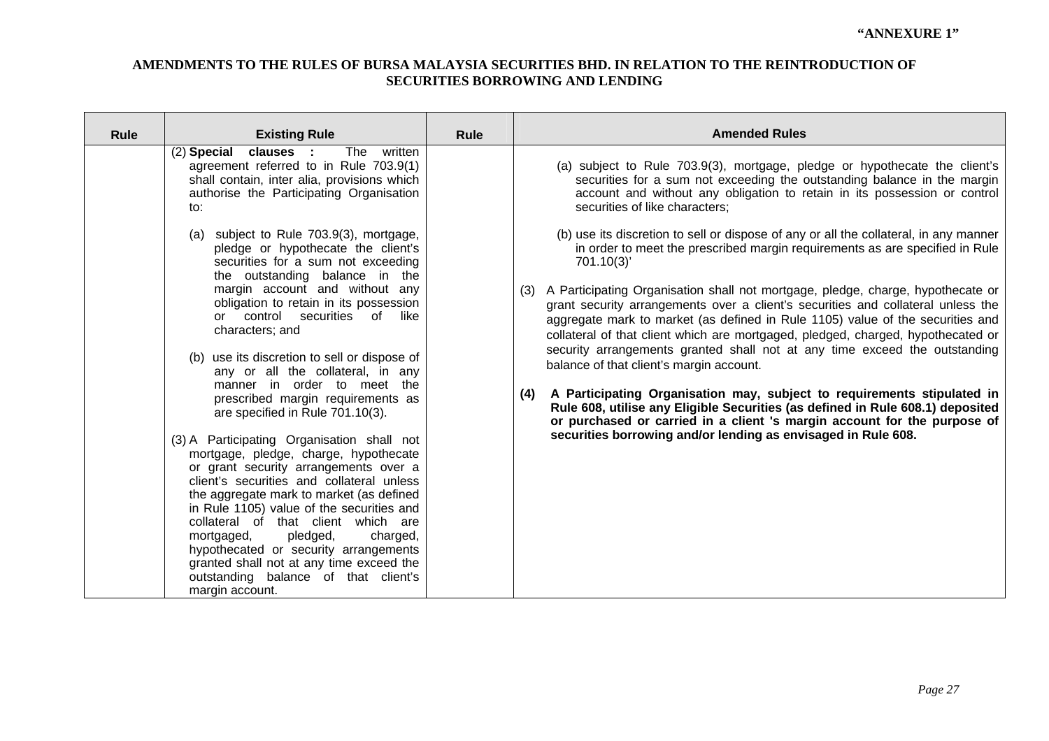| <b>Rule</b> | <b>Existing Rule</b>                                                                                                                                                                                                                                                                                                                            | <b>Rule</b> | <b>Amended Rules</b>                                                                                                                                                                                                                                                                                                                          |
|-------------|-------------------------------------------------------------------------------------------------------------------------------------------------------------------------------------------------------------------------------------------------------------------------------------------------------------------------------------------------|-------------|-----------------------------------------------------------------------------------------------------------------------------------------------------------------------------------------------------------------------------------------------------------------------------------------------------------------------------------------------|
|             | The<br>written<br>(2) Special clauses :<br>agreement referred to in Rule 703.9(1)<br>shall contain, inter alia, provisions which<br>authorise the Participating Organisation<br>to:                                                                                                                                                             |             | (a) subject to Rule 703.9(3), mortgage, pledge or hypothecate the client's<br>securities for a sum not exceeding the outstanding balance in the margin<br>account and without any obligation to retain in its possession or control<br>securities of like characters;                                                                         |
|             | (a) subject to Rule 703.9(3), mortgage,<br>pledge or hypothecate the client's<br>securities for a sum not exceeding<br>the outstanding balance in the                                                                                                                                                                                           |             | (b) use its discretion to sell or dispose of any or all the collateral, in any manner<br>in order to meet the prescribed margin requirements as are specified in Rule<br>701.10(3)'                                                                                                                                                           |
|             | margin account and without any<br>obligation to retain in its possession<br>or control securities of<br>like<br>characters; and                                                                                                                                                                                                                 |             | (3) A Participating Organisation shall not mortgage, pledge, charge, hypothecate or<br>grant security arrangements over a client's securities and collateral unless the<br>aggregate mark to market (as defined in Rule 1105) value of the securities and<br>collateral of that client which are mortgaged, pledged, charged, hypothecated or |
|             | (b) use its discretion to sell or dispose of<br>any or all the collateral, in any<br>manner in order to meet the                                                                                                                                                                                                                                |             | security arrangements granted shall not at any time exceed the outstanding<br>balance of that client's margin account.                                                                                                                                                                                                                        |
|             | prescribed margin requirements as<br>are specified in Rule 701.10(3).                                                                                                                                                                                                                                                                           |             | A Participating Organisation may, subject to requirements stipulated in<br>(4)<br>Rule 608, utilise any Eligible Securities (as defined in Rule 608.1) deposited<br>or purchased or carried in a client 's margin account for the purpose of                                                                                                  |
|             | (3) A Participating Organisation shall not<br>mortgage, pledge, charge, hypothecate<br>or grant security arrangements over a<br>client's securities and collateral unless<br>the aggregate mark to market (as defined<br>in Rule 1105) value of the securities and<br>collateral of that client which are<br>pledged,<br>charged,<br>mortgaged, |             | securities borrowing and/or lending as envisaged in Rule 608.                                                                                                                                                                                                                                                                                 |
|             | hypothecated or security arrangements<br>granted shall not at any time exceed the<br>outstanding balance of that client's<br>margin account.                                                                                                                                                                                                    |             |                                                                                                                                                                                                                                                                                                                                               |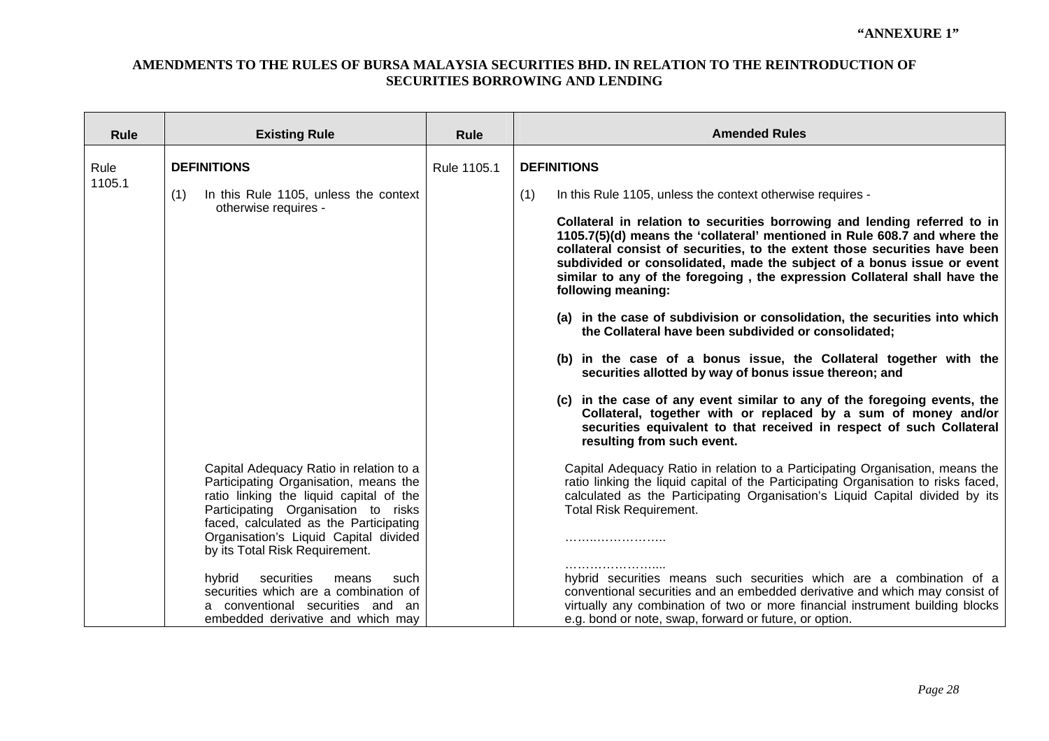| <b>Rule</b>    | <b>Existing Rule</b>                                                                                                                                                                                                                                                                                                                                                      | <b>Rule</b> | <b>Amended Rules</b>                                                                                                                                                                                                                                                                                                                                                                                                                                                                                                                                                                                                                                                                                                                                                                                                                                                                                                                                                                                                                   |
|----------------|---------------------------------------------------------------------------------------------------------------------------------------------------------------------------------------------------------------------------------------------------------------------------------------------------------------------------------------------------------------------------|-------------|----------------------------------------------------------------------------------------------------------------------------------------------------------------------------------------------------------------------------------------------------------------------------------------------------------------------------------------------------------------------------------------------------------------------------------------------------------------------------------------------------------------------------------------------------------------------------------------------------------------------------------------------------------------------------------------------------------------------------------------------------------------------------------------------------------------------------------------------------------------------------------------------------------------------------------------------------------------------------------------------------------------------------------------|
| Rule<br>1105.1 | <b>DEFINITIONS</b><br>In this Rule 1105, unless the context<br>(1)<br>otherwise requires -                                                                                                                                                                                                                                                                                | Rule 1105.1 | <b>DEFINITIONS</b><br>(1)<br>In this Rule 1105, unless the context otherwise requires -<br>Collateral in relation to securities borrowing and lending referred to in<br>1105.7(5)(d) means the 'collateral' mentioned in Rule 608.7 and where the<br>collateral consist of securities, to the extent those securities have been<br>subdivided or consolidated, made the subject of a bonus issue or event<br>similar to any of the foregoing, the expression Collateral shall have the<br>following meaning:<br>(a) in the case of subdivision or consolidation, the securities into which<br>the Collateral have been subdivided or consolidated;<br>(b) in the case of a bonus issue, the Collateral together with the<br>securities allotted by way of bonus issue thereon; and<br>(c) in the case of any event similar to any of the foregoing events, the<br>Collateral, together with or replaced by a sum of money and/or<br>securities equivalent to that received in respect of such Collateral<br>resulting from such event. |
|                | Capital Adequacy Ratio in relation to a<br>Participating Organisation, means the<br>ratio linking the liquid capital of the<br>Participating Organisation to risks<br>faced, calculated as the Participating<br>Organisation's Liquid Capital divided<br>by its Total Risk Requirement.<br>hybrid<br>securities<br>means<br>such<br>securities which are a combination of |             | Capital Adequacy Ratio in relation to a Participating Organisation, means the<br>ratio linking the liquid capital of the Participating Organisation to risks faced,<br>calculated as the Participating Organisation's Liquid Capital divided by its<br><b>Total Risk Requirement.</b><br>hybrid securities means such securities which are a combination of a<br>conventional securities and an embedded derivative and which may consist of                                                                                                                                                                                                                                                                                                                                                                                                                                                                                                                                                                                           |
|                | a conventional securities and an<br>embedded derivative and which may                                                                                                                                                                                                                                                                                                     |             | virtually any combination of two or more financial instrument building blocks<br>e.g. bond or note, swap, forward or future, or option.                                                                                                                                                                                                                                                                                                                                                                                                                                                                                                                                                                                                                                                                                                                                                                                                                                                                                                |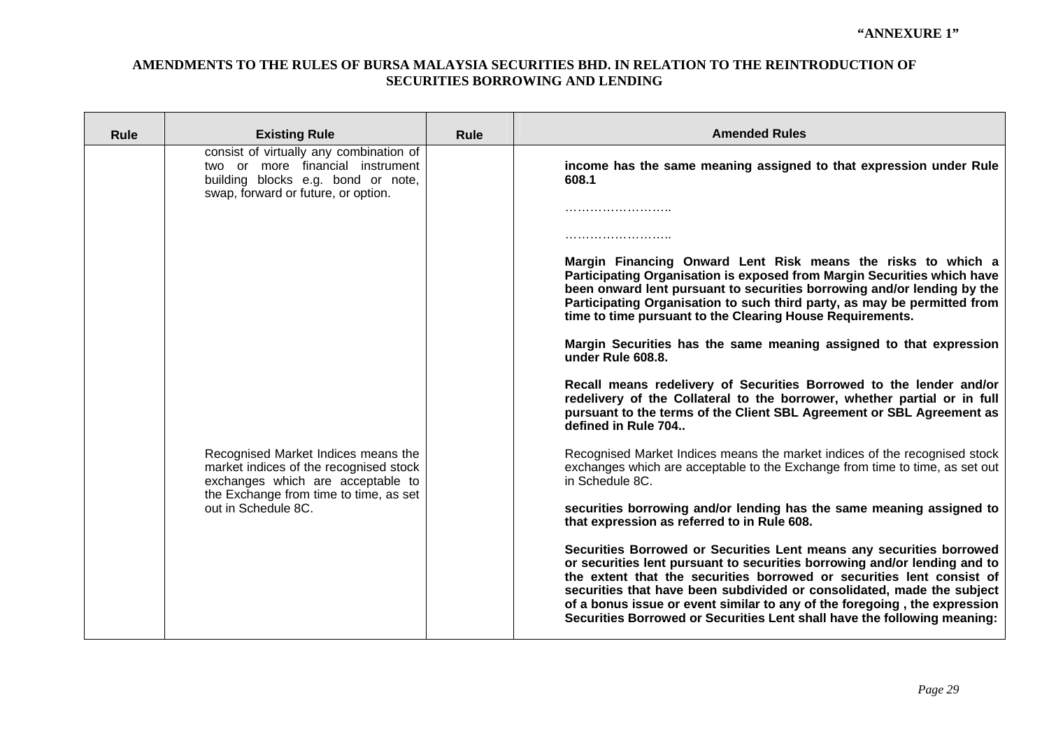| <b>Rule</b> | <b>Existing Rule</b>                                                                                                                                                                | <b>Rule</b> | <b>Amended Rules</b>                                                                                                                                                                                                                                                                                                                                                                                                                                          |
|-------------|-------------------------------------------------------------------------------------------------------------------------------------------------------------------------------------|-------------|---------------------------------------------------------------------------------------------------------------------------------------------------------------------------------------------------------------------------------------------------------------------------------------------------------------------------------------------------------------------------------------------------------------------------------------------------------------|
|             | consist of virtually any combination of<br>two or more financial instrument<br>building blocks e.g. bond or note,<br>swap, forward or future, or option.                            |             | income has the same meaning assigned to that expression under Rule<br>608.1                                                                                                                                                                                                                                                                                                                                                                                   |
|             |                                                                                                                                                                                     |             |                                                                                                                                                                                                                                                                                                                                                                                                                                                               |
|             |                                                                                                                                                                                     |             | Margin Financing Onward Lent Risk means the risks to which a<br>Participating Organisation is exposed from Margin Securities which have<br>been onward lent pursuant to securities borrowing and/or lending by the<br>Participating Organisation to such third party, as may be permitted from<br>time to time pursuant to the Clearing House Requirements.                                                                                                   |
|             |                                                                                                                                                                                     |             | Margin Securities has the same meaning assigned to that expression<br>under Rule 608.8.                                                                                                                                                                                                                                                                                                                                                                       |
|             |                                                                                                                                                                                     |             | Recall means redelivery of Securities Borrowed to the lender and/or<br>redelivery of the Collateral to the borrower, whether partial or in full<br>pursuant to the terms of the Client SBL Agreement or SBL Agreement as<br>defined in Rule 704                                                                                                                                                                                                               |
|             | Recognised Market Indices means the<br>market indices of the recognised stock<br>exchanges which are acceptable to<br>the Exchange from time to time, as set<br>out in Schedule 8C. |             | Recognised Market Indices means the market indices of the recognised stock<br>exchanges which are acceptable to the Exchange from time to time, as set out<br>in Schedule 8C.                                                                                                                                                                                                                                                                                 |
|             |                                                                                                                                                                                     |             | securities borrowing and/or lending has the same meaning assigned to<br>that expression as referred to in Rule 608.                                                                                                                                                                                                                                                                                                                                           |
|             |                                                                                                                                                                                     |             | Securities Borrowed or Securities Lent means any securities borrowed<br>or securities lent pursuant to securities borrowing and/or lending and to<br>the extent that the securities borrowed or securities lent consist of<br>securities that have been subdivided or consolidated, made the subject<br>of a bonus issue or event similar to any of the foregoing, the expression<br>Securities Borrowed or Securities Lent shall have the following meaning: |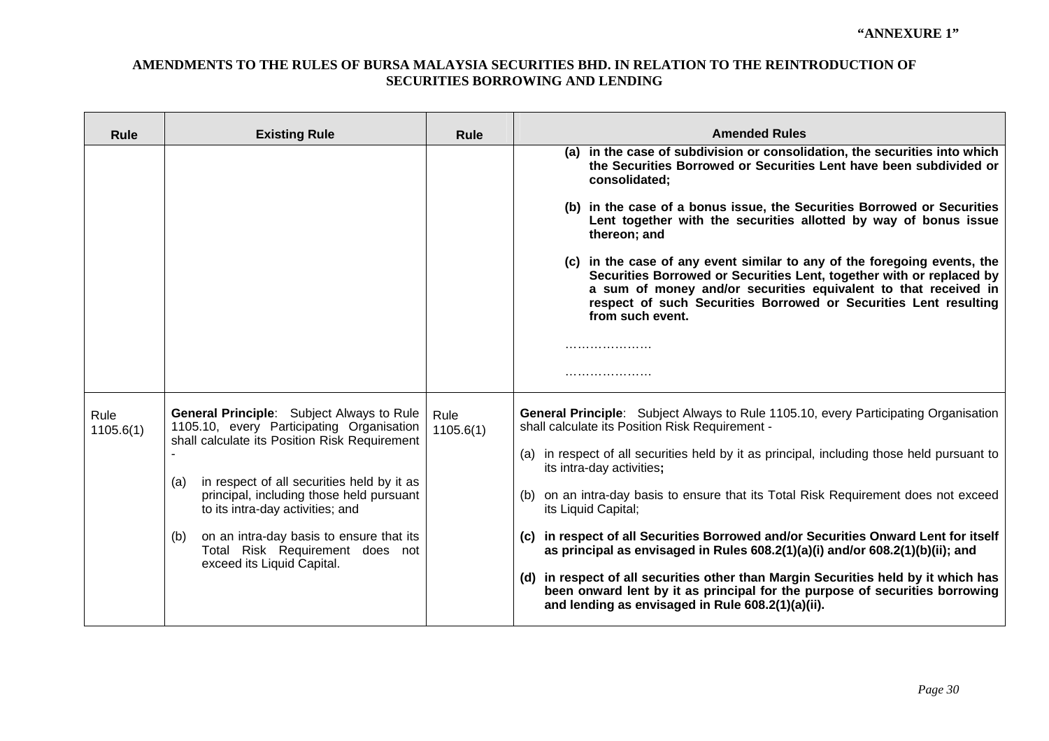| <b>Rule</b>       | <b>Existing Rule</b>                                                                                                                                                                                                                                                                                                                                                                                    | <b>Rule</b>       | <b>Amended Rules</b>                                                                                                                                                                                                                                                                                                                                                                                                                                                                                                                                                                                                                                                                                                                                                                    |
|-------------------|---------------------------------------------------------------------------------------------------------------------------------------------------------------------------------------------------------------------------------------------------------------------------------------------------------------------------------------------------------------------------------------------------------|-------------------|-----------------------------------------------------------------------------------------------------------------------------------------------------------------------------------------------------------------------------------------------------------------------------------------------------------------------------------------------------------------------------------------------------------------------------------------------------------------------------------------------------------------------------------------------------------------------------------------------------------------------------------------------------------------------------------------------------------------------------------------------------------------------------------------|
|                   |                                                                                                                                                                                                                                                                                                                                                                                                         |                   | (a) in the case of subdivision or consolidation, the securities into which<br>the Securities Borrowed or Securities Lent have been subdivided or<br>consolidated;<br>(b) in the case of a bonus issue, the Securities Borrowed or Securities<br>Lent together with the securities allotted by way of bonus issue<br>thereon; and<br>(c) in the case of any event similar to any of the foregoing events, the<br>Securities Borrowed or Securities Lent, together with or replaced by<br>a sum of money and/or securities equivalent to that received in<br>respect of such Securities Borrowed or Securities Lent resulting<br>from such event.<br>.<br>.                                                                                                                               |
| Rule<br>1105.6(1) | <b>General Principle:</b> Subject Always to Rule<br>1105.10, every Participating Organisation<br>shall calculate its Position Risk Requirement<br>in respect of all securities held by it as<br>(a)<br>principal, including those held pursuant<br>to its intra-day activities; and<br>on an intra-day basis to ensure that its<br>(b)<br>Total Risk Requirement does not<br>exceed its Liquid Capital. | Rule<br>1105.6(1) | <b>General Principle:</b> Subject Always to Rule 1105.10, every Participating Organisation<br>shall calculate its Position Risk Requirement -<br>(a) in respect of all securities held by it as principal, including those held pursuant to<br>its intra-day activities;<br>(b) on an intra-day basis to ensure that its Total Risk Requirement does not exceed<br>its Liquid Capital;<br>(c) in respect of all Securities Borrowed and/or Securities Onward Lent for itself<br>as principal as envisaged in Rules 608.2(1)(a)(i) and/or 608.2(1)(b)(ii); and<br>(d) in respect of all securities other than Margin Securities held by it which has<br>been onward lent by it as principal for the purpose of securities borrowing<br>and lending as envisaged in Rule 608.2(1)(a)(ii). |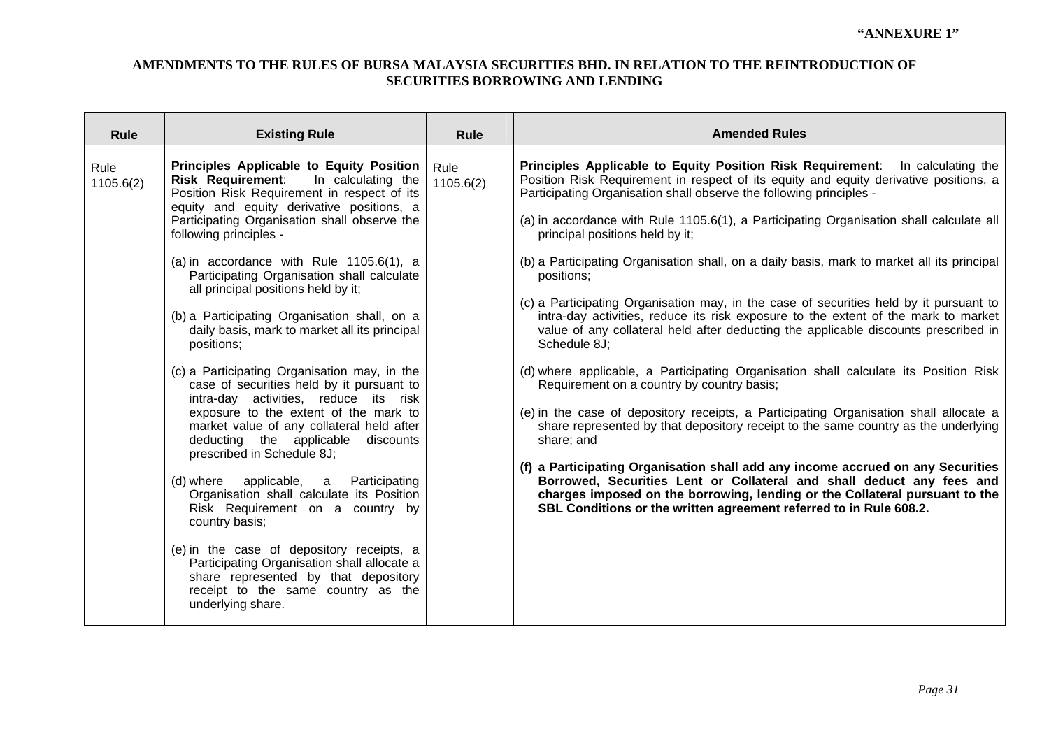| <b>Rule</b>       | <b>Existing Rule</b>                                                                                                                                                                                                                                                                                                                                                                                                                                                                                                                                                                                                                                                                                                                                                                                                                                                                                                                                                                                                                                                                                                                                 | Rule              | <b>Amended Rules</b>                                                                                                                                                                                                                                                                                                                                                                                                                                                                                                                                                                                                                                                                                                                                                                                                                                                                                                                                                                                                                                                                                                                                                                                                                                                                                                                                                                                                                      |
|-------------------|------------------------------------------------------------------------------------------------------------------------------------------------------------------------------------------------------------------------------------------------------------------------------------------------------------------------------------------------------------------------------------------------------------------------------------------------------------------------------------------------------------------------------------------------------------------------------------------------------------------------------------------------------------------------------------------------------------------------------------------------------------------------------------------------------------------------------------------------------------------------------------------------------------------------------------------------------------------------------------------------------------------------------------------------------------------------------------------------------------------------------------------------------|-------------------|-------------------------------------------------------------------------------------------------------------------------------------------------------------------------------------------------------------------------------------------------------------------------------------------------------------------------------------------------------------------------------------------------------------------------------------------------------------------------------------------------------------------------------------------------------------------------------------------------------------------------------------------------------------------------------------------------------------------------------------------------------------------------------------------------------------------------------------------------------------------------------------------------------------------------------------------------------------------------------------------------------------------------------------------------------------------------------------------------------------------------------------------------------------------------------------------------------------------------------------------------------------------------------------------------------------------------------------------------------------------------------------------------------------------------------------------|
| Rule<br>1105.6(2) | Principles Applicable to Equity Position<br>Risk Requirement: In calculating the<br>Position Risk Requirement in respect of its<br>equity and equity derivative positions, a<br>Participating Organisation shall observe the<br>following principles -<br>(a) in accordance with Rule $1105.6(1)$ , a<br>Participating Organisation shall calculate<br>all principal positions held by it;<br>(b) a Participating Organisation shall, on a<br>daily basis, mark to market all its principal<br>positions;<br>(c) a Participating Organisation may, in the<br>case of securities held by it pursuant to<br>intra-day activities, reduce its risk<br>exposure to the extent of the mark to<br>market value of any collateral held after<br>deducting the applicable discounts<br>prescribed in Schedule 8J;<br>(d) where applicable, a Participating<br>Organisation shall calculate its Position<br>Risk Requirement on a country by<br>country basis;<br>(e) in the case of depository receipts, a<br>Participating Organisation shall allocate a<br>share represented by that depository<br>receipt to the same country as the<br>underlying share. | Rule<br>1105.6(2) | <b>Principles Applicable to Equity Position Risk Requirement:</b> In calculating the<br>Position Risk Requirement in respect of its equity and equity derivative positions, a<br>Participating Organisation shall observe the following principles -<br>(a) in accordance with Rule 1105.6(1), a Participating Organisation shall calculate all<br>principal positions held by it;<br>(b) a Participating Organisation shall, on a daily basis, mark to market all its principal<br>positions;<br>(c) a Participating Organisation may, in the case of securities held by it pursuant to<br>intra-day activities, reduce its risk exposure to the extent of the mark to market<br>value of any collateral held after deducting the applicable discounts prescribed in<br>Schedule 8J:<br>(d) where applicable, a Participating Organisation shall calculate its Position Risk<br>Requirement on a country by country basis;<br>(e) in the case of depository receipts, a Participating Organisation shall allocate a<br>share represented by that depository receipt to the same country as the underlying<br>share; and<br>(f) a Participating Organisation shall add any income accrued on any Securities<br>Borrowed, Securities Lent or Collateral and shall deduct any fees and<br>charges imposed on the borrowing, lending or the Collateral pursuant to the<br>SBL Conditions or the written agreement referred to in Rule 608.2. |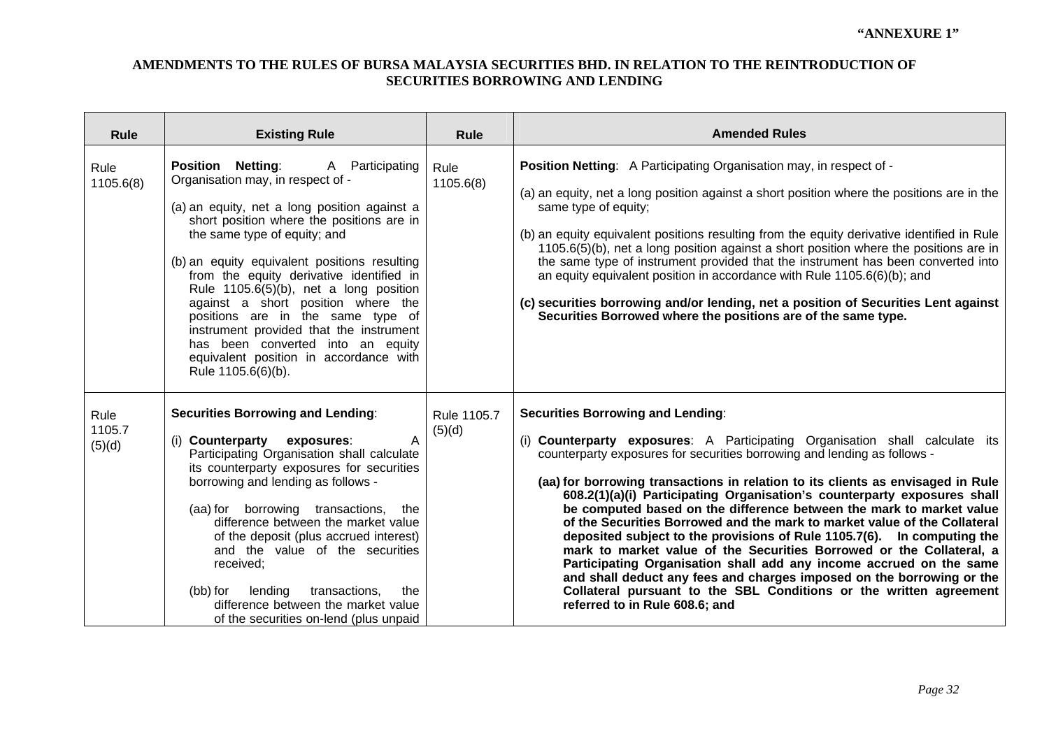| <b>Rule</b>              | <b>Existing Rule</b>                                                                                                                                                                                                                                                                                                                                                                                                                                                                                                                                                           | <b>Rule</b>           | <b>Amended Rules</b>                                                                                                                                                                                                                                                                                                                                                                                                                                                                                                                                                                                                                                                                                                                                                                                                                                                                                                                |
|--------------------------|--------------------------------------------------------------------------------------------------------------------------------------------------------------------------------------------------------------------------------------------------------------------------------------------------------------------------------------------------------------------------------------------------------------------------------------------------------------------------------------------------------------------------------------------------------------------------------|-----------------------|-------------------------------------------------------------------------------------------------------------------------------------------------------------------------------------------------------------------------------------------------------------------------------------------------------------------------------------------------------------------------------------------------------------------------------------------------------------------------------------------------------------------------------------------------------------------------------------------------------------------------------------------------------------------------------------------------------------------------------------------------------------------------------------------------------------------------------------------------------------------------------------------------------------------------------------|
| Rule<br>1105.6(8)        | <b>Position Netting:</b><br>A Participating<br>Organisation may, in respect of -<br>(a) an equity, net a long position against a<br>short position where the positions are in<br>the same type of equity; and<br>(b) an equity equivalent positions resulting<br>from the equity derivative identified in<br>Rule 1105.6(5)(b), net a long position<br>against a short position where the<br>positions are in the same type of<br>instrument provided that the instrument<br>has been converted into an equity<br>equivalent position in accordance with<br>Rule 1105.6(6)(b). | Rule<br>1105.6(8)     | <b>Position Netting:</b> A Participating Organisation may, in respect of -<br>(a) an equity, net a long position against a short position where the positions are in the<br>same type of equity;<br>(b) an equity equivalent positions resulting from the equity derivative identified in Rule<br>1105.6(5)(b), net a long position against a short position where the positions are in<br>the same type of instrument provided that the instrument has been converted into<br>an equity equivalent position in accordance with Rule 1105.6(6)(b); and<br>(c) securities borrowing and/or lending, net a position of Securities Lent against<br>Securities Borrowed where the positions are of the same type.                                                                                                                                                                                                                       |
| Rule<br>1105.7<br>(5)(d) | <b>Securities Borrowing and Lending:</b><br>(i) Counterparty<br>A<br>exposures:<br>Participating Organisation shall calculate<br>its counterparty exposures for securities<br>borrowing and lending as follows -<br>(aa) for borrowing transactions, the<br>difference between the market value<br>of the deposit (plus accrued interest)<br>and the value of the securities<br>received;<br>(bb) for<br>lending<br>transactions,<br>the<br>difference between the market value<br>of the securities on-lend (plus unpaid                                                      | Rule 1105.7<br>(5)(d) | <b>Securities Borrowing and Lending:</b><br>(i) Counterparty exposures: A Participating Organisation shall calculate its<br>counterparty exposures for securities borrowing and lending as follows -<br>(aa) for borrowing transactions in relation to its clients as envisaged in Rule<br>608.2(1)(a)(i) Participating Organisation's counterparty exposures shall<br>be computed based on the difference between the mark to market value<br>of the Securities Borrowed and the mark to market value of the Collateral<br>deposited subject to the provisions of Rule 1105.7(6). In computing the<br>mark to market value of the Securities Borrowed or the Collateral, a<br>Participating Organisation shall add any income accrued on the same<br>and shall deduct any fees and charges imposed on the borrowing or the<br>Collateral pursuant to the SBL Conditions or the written agreement<br>referred to in Rule 608.6; and |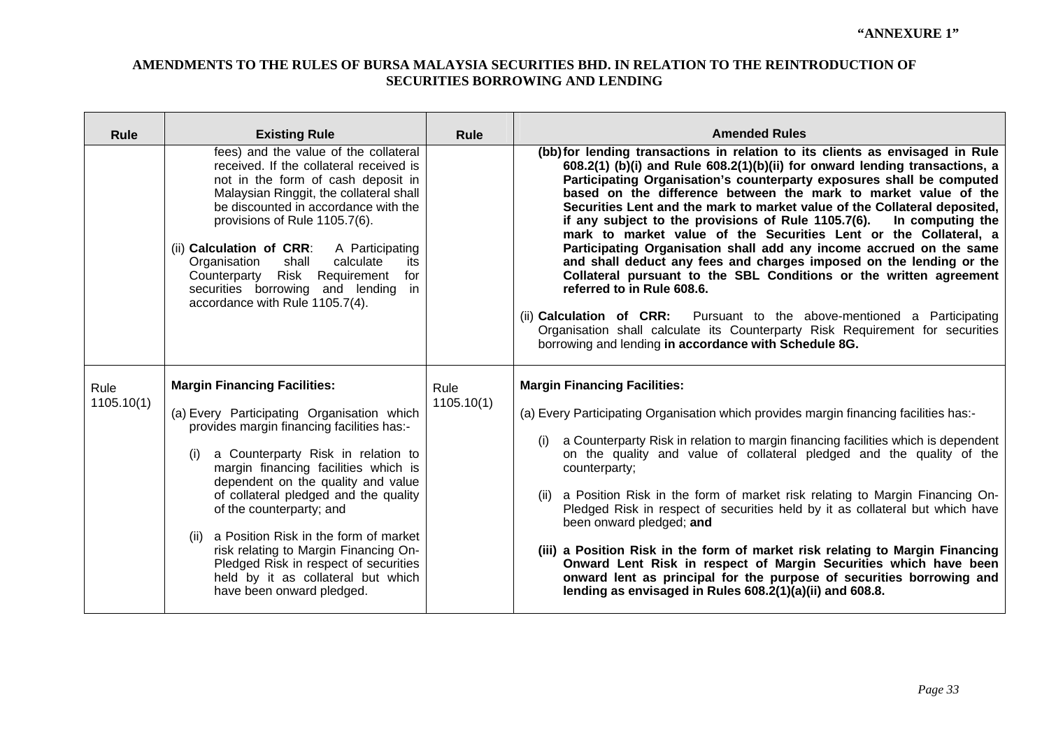<u> 1989 - Jan Sarajević, politički predstava i postava i postava i postava i postava i postava i postava i post</u>

 $\blacksquare$ 

| <b>Rule</b>        | <b>Existing Rule</b>                                                                                                                                                                                                                                                                                                                                                                                                                                                                                                                  | <b>Rule</b>        | <b>Amended Rules</b>                                                                                                                                                                                                                                                                                                                                                                                                                                                                                                                                                                                                                                                                                                                                                                                                                                                                                                                                                                                         |
|--------------------|---------------------------------------------------------------------------------------------------------------------------------------------------------------------------------------------------------------------------------------------------------------------------------------------------------------------------------------------------------------------------------------------------------------------------------------------------------------------------------------------------------------------------------------|--------------------|--------------------------------------------------------------------------------------------------------------------------------------------------------------------------------------------------------------------------------------------------------------------------------------------------------------------------------------------------------------------------------------------------------------------------------------------------------------------------------------------------------------------------------------------------------------------------------------------------------------------------------------------------------------------------------------------------------------------------------------------------------------------------------------------------------------------------------------------------------------------------------------------------------------------------------------------------------------------------------------------------------------|
|                    | fees) and the value of the collateral<br>received. If the collateral received is<br>not in the form of cash deposit in<br>Malaysian Ringgit, the collateral shall<br>be discounted in accordance with the<br>provisions of Rule 1105.7(6).<br>(ii) Calculation of CRR:<br>A Participating<br>Organisation<br>shall<br>calculate<br>its<br>Risk Requirement<br>for<br>Counterparty<br>securities borrowing and lending<br>in<br>accordance with Rule 1105.7(4).                                                                        |                    | (bb) for lending transactions in relation to its clients as envisaged in Rule<br>608.2(1) (b)(i) and Rule 608.2(1)(b)(ii) for onward lending transactions, a<br>Participating Organisation's counterparty exposures shall be computed<br>based on the difference between the mark to market value of the<br>Securities Lent and the mark to market value of the Collateral deposited,<br>if any subject to the provisions of Rule 1105.7(6).<br>In computing the<br>mark to market value of the Securities Lent or the Collateral, a<br>Participating Organisation shall add any income accrued on the same<br>and shall deduct any fees and charges imposed on the lending or the<br>Collateral pursuant to the SBL Conditions or the written agreement<br>referred to in Rule 608.6.<br>(ii) Calculation of CRR: Pursuant to the above-mentioned a Participating<br>Organisation shall calculate its Counterparty Risk Requirement for securities<br>borrowing and lending in accordance with Schedule 8G. |
| Rule<br>1105.10(1) | <b>Margin Financing Facilities:</b><br>(a) Every Participating Organisation which<br>provides margin financing facilities has:-<br>a Counterparty Risk in relation to<br>(i)<br>margin financing facilities which is<br>dependent on the quality and value<br>of collateral pledged and the quality<br>of the counterparty; and<br>a Position Risk in the form of market<br>(ii)<br>risk relating to Margin Financing On-<br>Pledged Risk in respect of securities<br>held by it as collateral but which<br>have been onward pledged. | Rule<br>1105.10(1) | <b>Margin Financing Facilities:</b><br>(a) Every Participating Organisation which provides margin financing facilities has:-<br>a Counterparty Risk in relation to margin financing facilities which is dependent<br>(i)<br>on the quality and value of collateral pledged and the quality of the<br>counterparty;<br>a Position Risk in the form of market risk relating to Margin Financing On-<br>(ii)<br>Pledged Risk in respect of securities held by it as collateral but which have<br>been onward pledged; and<br>(iii) a Position Risk in the form of market risk relating to Margin Financing<br>Onward Lent Risk in respect of Margin Securities which have been<br>onward lent as principal for the purpose of securities borrowing and<br>lending as envisaged in Rules 608.2(1)(a)(ii) and 608.8.                                                                                                                                                                                              |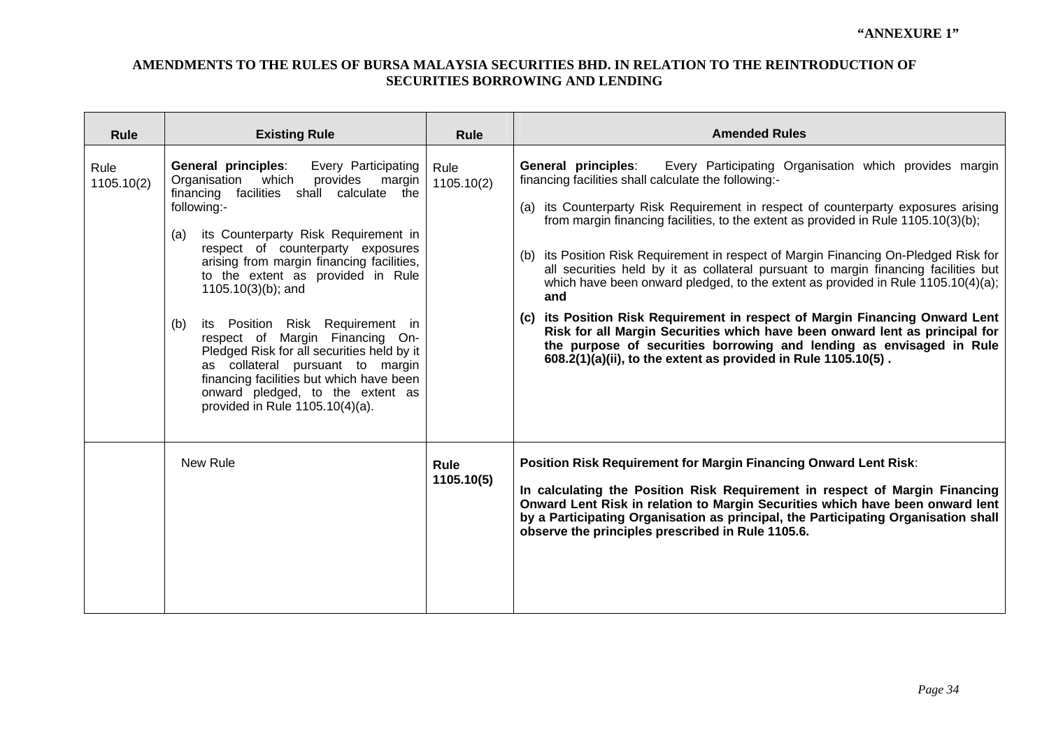<u> The Communication of the Communication of the Communication of the Communication of the Communication of the Communication of the Communication of the Communication of the Communication of the Communication of the Commun</u>

Е

| <b>Rule</b>        | <b>Existing Rule</b>                                                                                                                                                                                                                                                                                                                                                                                                                                                                                                                                                                                                                   | <b>Rule</b>        | <b>Amended Rules</b>                                                                                                                                                                                                                                                                                                                                                                                                                                                                                                                                                                                                                                                                                                                                                                                                                                                                                       |
|--------------------|----------------------------------------------------------------------------------------------------------------------------------------------------------------------------------------------------------------------------------------------------------------------------------------------------------------------------------------------------------------------------------------------------------------------------------------------------------------------------------------------------------------------------------------------------------------------------------------------------------------------------------------|--------------------|------------------------------------------------------------------------------------------------------------------------------------------------------------------------------------------------------------------------------------------------------------------------------------------------------------------------------------------------------------------------------------------------------------------------------------------------------------------------------------------------------------------------------------------------------------------------------------------------------------------------------------------------------------------------------------------------------------------------------------------------------------------------------------------------------------------------------------------------------------------------------------------------------------|
| Rule<br>1105.10(2) | General principles:<br>Every Participating<br>Organisation which<br>provides<br>margin<br>financing facilities shall calculate the<br>following:-<br>its Counterparty Risk Requirement in<br>(a)<br>respect of counterparty exposures<br>arising from margin financing facilities,<br>to the extent as provided in Rule<br>$1105.10(3)(b)$ ; and<br>its Position Risk Requirement in<br>(b)<br>respect of Margin Financing On-<br>Pledged Risk for all securities held by it<br>as collateral pursuant to margin<br>financing facilities but which have been<br>onward pledged, to the extent as<br>provided in Rule $1105.10(4)(a)$ . | Rule<br>1105.10(2) | Every Participating Organisation which provides margin<br>General principles:<br>financing facilities shall calculate the following:-<br>(a) its Counterparty Risk Requirement in respect of counterparty exposures arising<br>from margin financing facilities, to the extent as provided in Rule 1105.10(3)(b);<br>(b) its Position Risk Requirement in respect of Margin Financing On-Pledged Risk for<br>all securities held by it as collateral pursuant to margin financing facilities but<br>which have been onward pledged, to the extent as provided in Rule $1105.10(4)(a)$ ;<br>and<br>(c) its Position Risk Requirement in respect of Margin Financing Onward Lent<br>Risk for all Margin Securities which have been onward lent as principal for<br>the purpose of securities borrowing and lending as envisaged in Rule<br>$608.2(1)(a)(ii)$ , to the extent as provided in Rule 1105.10(5). |
|                    | New Rule                                                                                                                                                                                                                                                                                                                                                                                                                                                                                                                                                                                                                               | Rule<br>1105.10(5) | Position Risk Requirement for Margin Financing Onward Lent Risk:<br>In calculating the Position Risk Requirement in respect of Margin Financing<br>Onward Lent Risk in relation to Margin Securities which have been onward lent<br>by a Participating Organisation as principal, the Participating Organisation shall<br>observe the principles prescribed in Rule 1105.6.                                                                                                                                                                                                                                                                                                                                                                                                                                                                                                                                |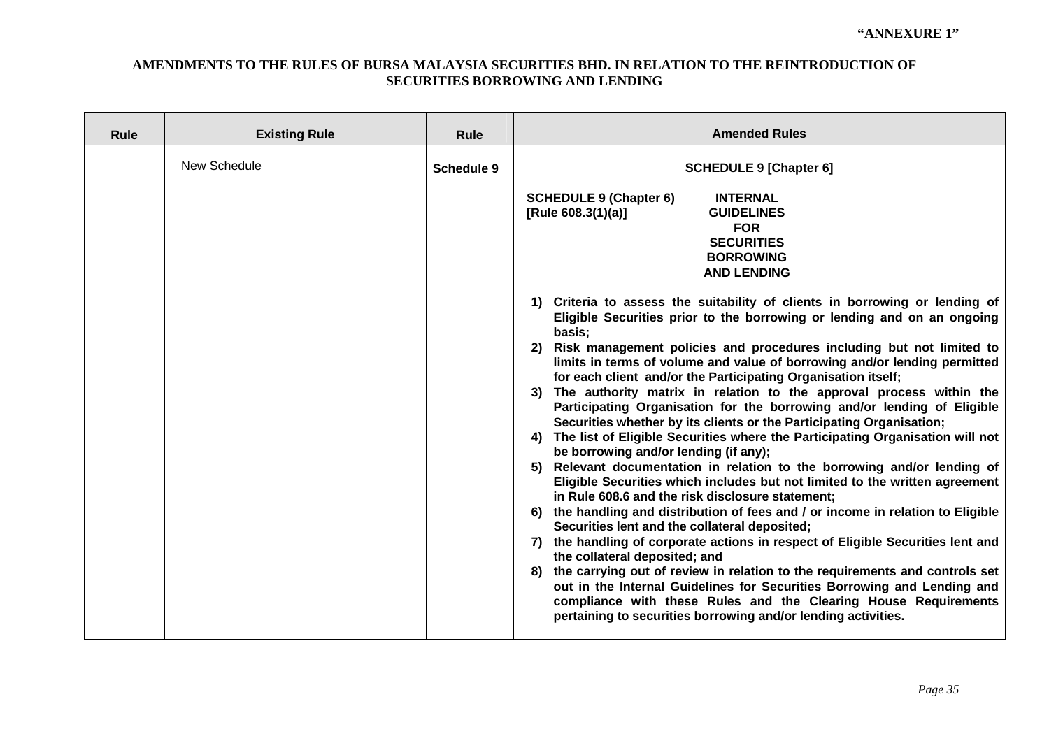| <b>Rule</b> | <b>Existing Rule</b> | <b>Rule</b> | <b>Amended Rules</b>                                                                                                                                                                                                                                                                                                                                                                                                                                                                                                                                                                                                                                                                                                                                                                                                                                                                                                                                                                                                                                                                                                                                                                                                                                                                                                                                                                                                                                                                                                                                                                                                                                                                                        |
|-------------|----------------------|-------------|-------------------------------------------------------------------------------------------------------------------------------------------------------------------------------------------------------------------------------------------------------------------------------------------------------------------------------------------------------------------------------------------------------------------------------------------------------------------------------------------------------------------------------------------------------------------------------------------------------------------------------------------------------------------------------------------------------------------------------------------------------------------------------------------------------------------------------------------------------------------------------------------------------------------------------------------------------------------------------------------------------------------------------------------------------------------------------------------------------------------------------------------------------------------------------------------------------------------------------------------------------------------------------------------------------------------------------------------------------------------------------------------------------------------------------------------------------------------------------------------------------------------------------------------------------------------------------------------------------------------------------------------------------------------------------------------------------------|
|             | New Schedule         | Schedule 9  | <b>SCHEDULE 9 [Chapter 6]</b>                                                                                                                                                                                                                                                                                                                                                                                                                                                                                                                                                                                                                                                                                                                                                                                                                                                                                                                                                                                                                                                                                                                                                                                                                                                                                                                                                                                                                                                                                                                                                                                                                                                                               |
|             |                      |             | <b>SCHEDULE 9 (Chapter 6)</b><br><b>INTERNAL</b><br>[Rule 608.3(1)(a)]<br><b>GUIDELINES</b><br><b>FOR</b><br><b>SECURITIES</b><br><b>BORROWING</b><br><b>AND LENDING</b><br>1) Criteria to assess the suitability of clients in borrowing or lending of<br>Eligible Securities prior to the borrowing or lending and on an ongoing<br>basis;<br>Risk management policies and procedures including but not limited to<br>2)<br>limits in terms of volume and value of borrowing and/or lending permitted<br>for each client and/or the Participating Organisation itself;<br>3) The authority matrix in relation to the approval process within the<br>Participating Organisation for the borrowing and/or lending of Eligible<br>Securities whether by its clients or the Participating Organisation;<br>4) The list of Eligible Securities where the Participating Organisation will not<br>be borrowing and/or lending (if any);<br>5) Relevant documentation in relation to the borrowing and/or lending of<br>Eligible Securities which includes but not limited to the written agreement<br>in Rule 608.6 and the risk disclosure statement;<br>6) the handling and distribution of fees and / or income in relation to Eligible<br>Securities lent and the collateral deposited;<br>7) the handling of corporate actions in respect of Eligible Securities lent and<br>the collateral deposited; and<br>8) the carrying out of review in relation to the requirements and controls set<br>out in the Internal Guidelines for Securities Borrowing and Lending and<br>compliance with these Rules and the Clearing House Requirements<br>pertaining to securities borrowing and/or lending activities. |
|             |                      |             |                                                                                                                                                                                                                                                                                                                                                                                                                                                                                                                                                                                                                                                                                                                                                                                                                                                                                                                                                                                                                                                                                                                                                                                                                                                                                                                                                                                                                                                                                                                                                                                                                                                                                                             |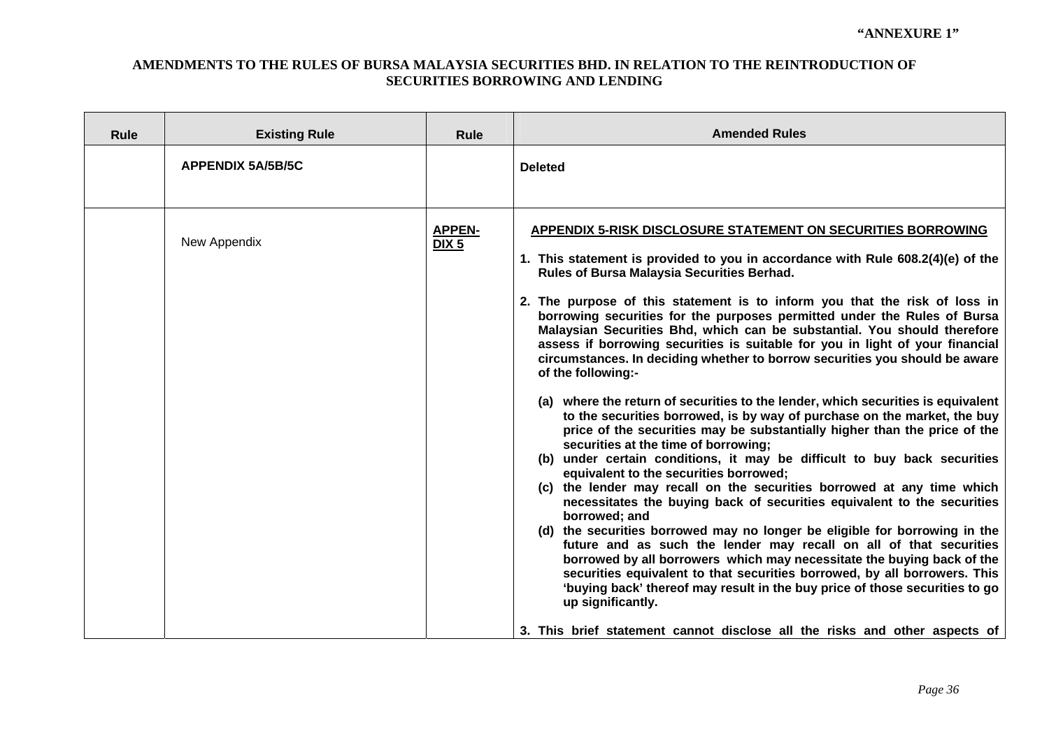| <b>Rule</b> | <b>Existing Rule</b>     | <b>Rule</b>              | <b>Amended Rules</b>                                                                                                                                                                                                                                                                                                                                                                                                                                                                                                                                                                                                                                                                                                                                                                                                                                                                                                                                                                                                                                                                                                                                                                                                                                                                                                                                                                                                                                                                                                                                                                                                      |
|-------------|--------------------------|--------------------------|---------------------------------------------------------------------------------------------------------------------------------------------------------------------------------------------------------------------------------------------------------------------------------------------------------------------------------------------------------------------------------------------------------------------------------------------------------------------------------------------------------------------------------------------------------------------------------------------------------------------------------------------------------------------------------------------------------------------------------------------------------------------------------------------------------------------------------------------------------------------------------------------------------------------------------------------------------------------------------------------------------------------------------------------------------------------------------------------------------------------------------------------------------------------------------------------------------------------------------------------------------------------------------------------------------------------------------------------------------------------------------------------------------------------------------------------------------------------------------------------------------------------------------------------------------------------------------------------------------------------------|
|             | <b>APPENDIX 5A/5B/5C</b> |                          | <b>Deleted</b>                                                                                                                                                                                                                                                                                                                                                                                                                                                                                                                                                                                                                                                                                                                                                                                                                                                                                                                                                                                                                                                                                                                                                                                                                                                                                                                                                                                                                                                                                                                                                                                                            |
|             | New Appendix             | <b>APPEN-</b><br>$DIX$ 5 | APPENDIX 5-RISK DISCLOSURE STATEMENT ON SECURITIES BORROWING<br>1. This statement is provided to you in accordance with Rule 608.2(4)(e) of the<br>Rules of Bursa Malaysia Securities Berhad.<br>2. The purpose of this statement is to inform you that the risk of loss in<br>borrowing securities for the purposes permitted under the Rules of Bursa<br>Malaysian Securities Bhd, which can be substantial. You should therefore<br>assess if borrowing securities is suitable for you in light of your financial<br>circumstances. In deciding whether to borrow securities you should be aware<br>of the following:-<br>(a) where the return of securities to the lender, which securities is equivalent<br>to the securities borrowed, is by way of purchase on the market, the buy<br>price of the securities may be substantially higher than the price of the<br>securities at the time of borrowing;<br>(b) under certain conditions, it may be difficult to buy back securities<br>equivalent to the securities borrowed;<br>(c) the lender may recall on the securities borrowed at any time which<br>necessitates the buying back of securities equivalent to the securities<br>borrowed; and<br>(d) the securities borrowed may no longer be eligible for borrowing in the<br>future and as such the lender may recall on all of that securities<br>borrowed by all borrowers which may necessitate the buying back of the<br>securities equivalent to that securities borrowed, by all borrowers. This<br>'buying back' thereof may result in the buy price of those securities to go<br>up significantly. |
|             |                          |                          | 3. This brief statement cannot disclose all the risks and other aspects of                                                                                                                                                                                                                                                                                                                                                                                                                                                                                                                                                                                                                                                                                                                                                                                                                                                                                                                                                                                                                                                                                                                                                                                                                                                                                                                                                                                                                                                                                                                                                |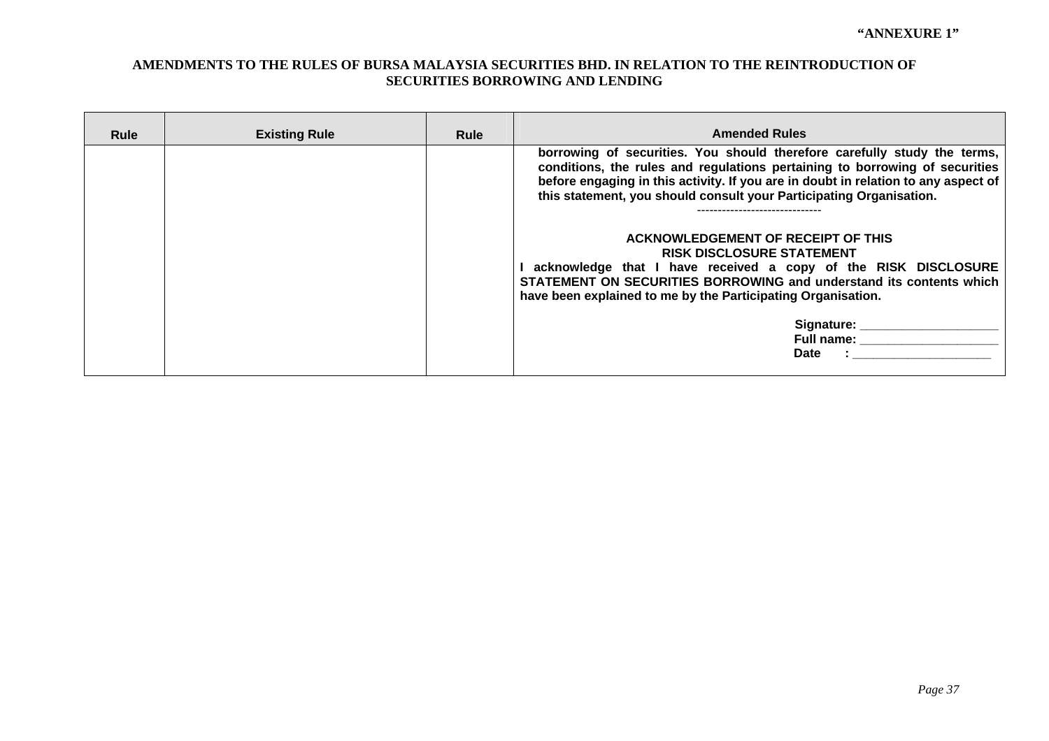$\overline{\phantom{a}}$ 

Е

| <b>Rule</b> | <b>Existing Rule</b> | Rule | <b>Amended Rules</b>                                                                                                                                                                                                                                                                                                 |
|-------------|----------------------|------|----------------------------------------------------------------------------------------------------------------------------------------------------------------------------------------------------------------------------------------------------------------------------------------------------------------------|
|             |                      |      | borrowing of securities. You should therefore carefully study the terms,<br>conditions, the rules and regulations pertaining to borrowing of securities<br>before engaging in this activity. If you are in doubt in relation to any aspect of<br>this statement, you should consult your Participating Organisation. |
|             |                      |      | <b>ACKNOWLEDGEMENT OF RECEIPT OF THIS</b><br><b>RISK DISCLOSURE STATEMENT</b><br>acknowledge that I have received a copy of the RISK DISCLOSURE<br>STATEMENT ON SECURITIES BORROWING and understand its contents which<br>have been explained to me by the Participating Organisation.                               |
|             |                      |      | Signature:<br><b>Full name:</b><br>Date                                                                                                                                                                                                                                                                              |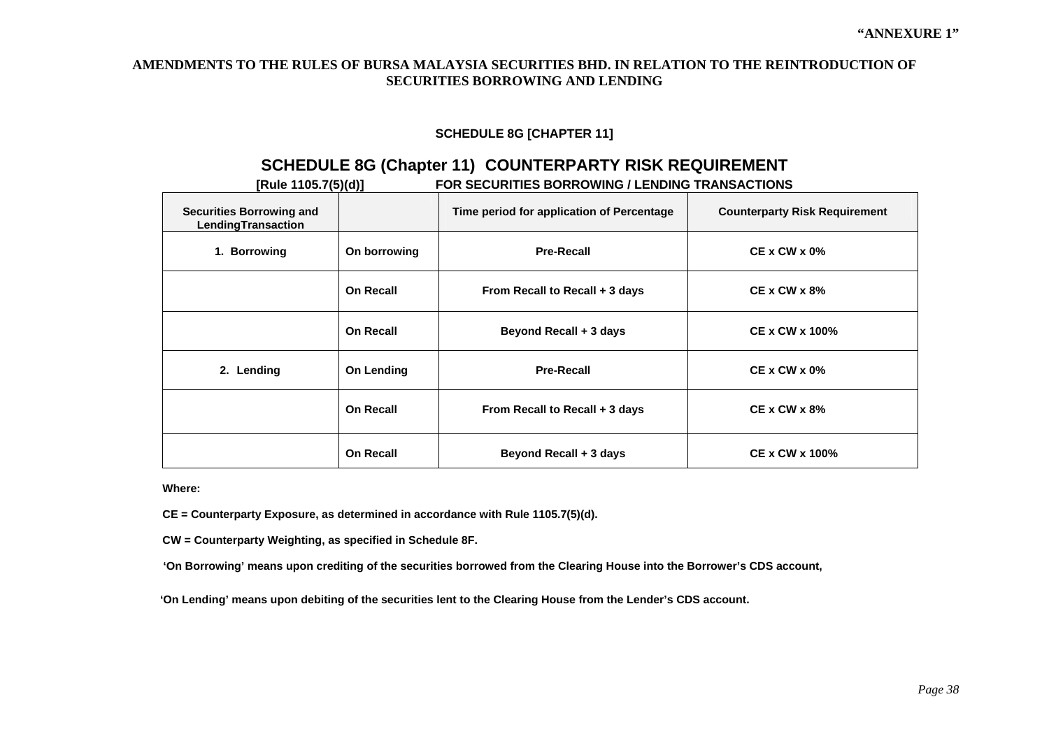#### **SCHEDULE 8G [CHAPTER 11]**

### **SCHEDULE 8G (Chapter 11) COUNTERPARTY RISK REQUIREMENT**

| [Rule 1105.7(5)(d)]                                   |                  | <b>FOR SECURITIES BORROWING / LENDING TRANSACTIONS</b> |                                      |  |  |
|-------------------------------------------------------|------------------|--------------------------------------------------------|--------------------------------------|--|--|
| <b>Securities Borrowing and</b><br>LendingTransaction |                  | Time period for application of Percentage              | <b>Counterparty Risk Requirement</b> |  |  |
| 1. Borrowing                                          | On borrowing     | <b>Pre-Recall</b>                                      | $CE \times CW \times 0\%$            |  |  |
|                                                       | <b>On Recall</b> | From Recall to Recall + 3 days                         | $CE \times CW \times 8\%$            |  |  |
|                                                       | On Recall        | Beyond Recall + 3 days                                 | $CE \times CW \times 100\%$          |  |  |
| 2. Lending                                            | On Lending       | <b>Pre-Recall</b>                                      | $CE \times CW \times 0\%$            |  |  |
|                                                       | On Recall        | From Recall to Recall + 3 days                         | $CE \times CW \times 8\%$            |  |  |
|                                                       | <b>On Recall</b> | Beyond Recall + 3 days                                 | $CE \times CW \times 100\%$          |  |  |

**Where:** 

- **CE = Counterparty Exposure, as determined in accordance with Rule 1105.7(5)(d).**
- **CW = Counterparty Weighting, as specified in Schedule 8F.**
- **'On Borrowing' means upon crediting of the securities borrowed from the Clearing House into the Borrower's CDS account,**

 **'On Lending' means upon debiting of the securities lent to the Clearing House from the Lender's CDS account.**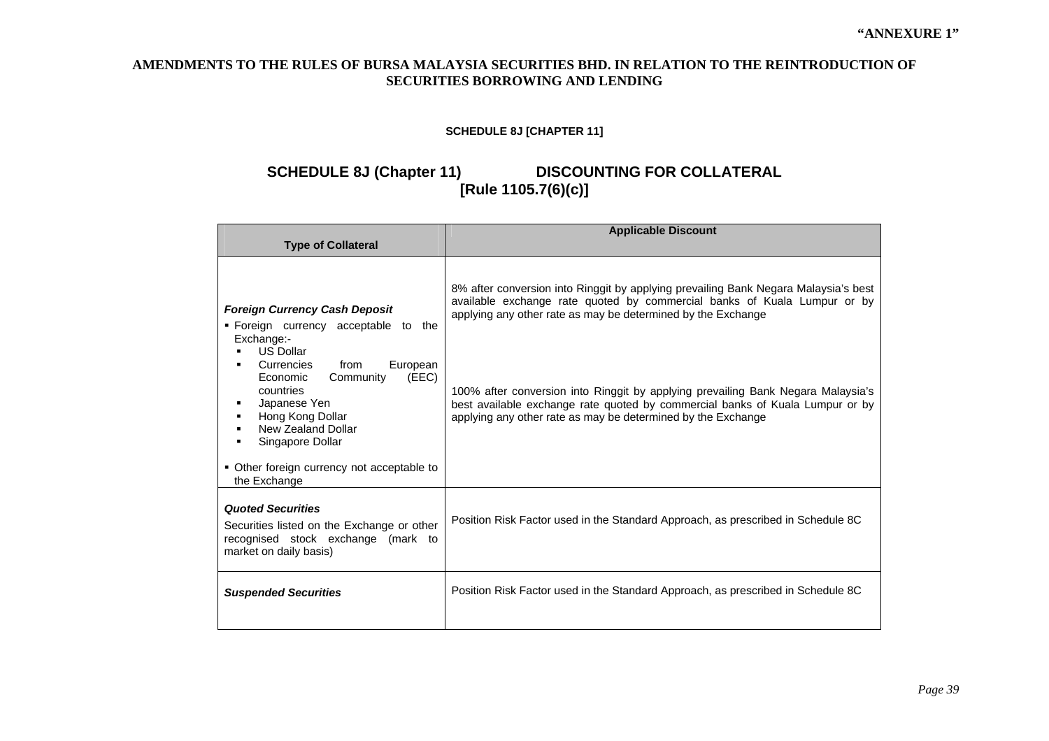#### **SCHEDULE 8J [CHAPTER 11]**

### SCHEDULE 8J (Chapter 11) DISCOUNTING FOR COLLATERAL **[Rule 1105.7(6)(c)]**

| <b>Type of Collateral</b>                                                                                                                                                                                                                                                                                                                        | <b>Applicable Discount</b>                                                                                                                                                                                                                                                                                                                                                                                                                                           |
|--------------------------------------------------------------------------------------------------------------------------------------------------------------------------------------------------------------------------------------------------------------------------------------------------------------------------------------------------|----------------------------------------------------------------------------------------------------------------------------------------------------------------------------------------------------------------------------------------------------------------------------------------------------------------------------------------------------------------------------------------------------------------------------------------------------------------------|
| <b>Foreign Currency Cash Deposit</b><br>. Foreign currency acceptable to the<br>Exchange:-<br><b>US Dollar</b><br>European<br>Currencies<br>from<br>Economic<br>(EEC)<br>Community<br>countries<br>Japanese Yen<br>٠<br>Hong Kong Dollar<br>New Zealand Dollar<br>Singapore Dollar<br>• Other foreign currency not acceptable to<br>the Exchange | 8% after conversion into Ringgit by applying prevailing Bank Negara Malaysia's best<br>available exchange rate quoted by commercial banks of Kuala Lumpur or by<br>applying any other rate as may be determined by the Exchange<br>100% after conversion into Ringgit by applying prevailing Bank Negara Malaysia's<br>best available exchange rate quoted by commercial banks of Kuala Lumpur or by<br>applying any other rate as may be determined by the Exchange |
| <b>Quoted Securities</b><br>Securities listed on the Exchange or other<br>recognised stock exchange (mark to<br>market on daily basis)                                                                                                                                                                                                           | Position Risk Factor used in the Standard Approach, as prescribed in Schedule 8C                                                                                                                                                                                                                                                                                                                                                                                     |
| <b>Suspended Securities</b>                                                                                                                                                                                                                                                                                                                      | Position Risk Factor used in the Standard Approach, as prescribed in Schedule 8C                                                                                                                                                                                                                                                                                                                                                                                     |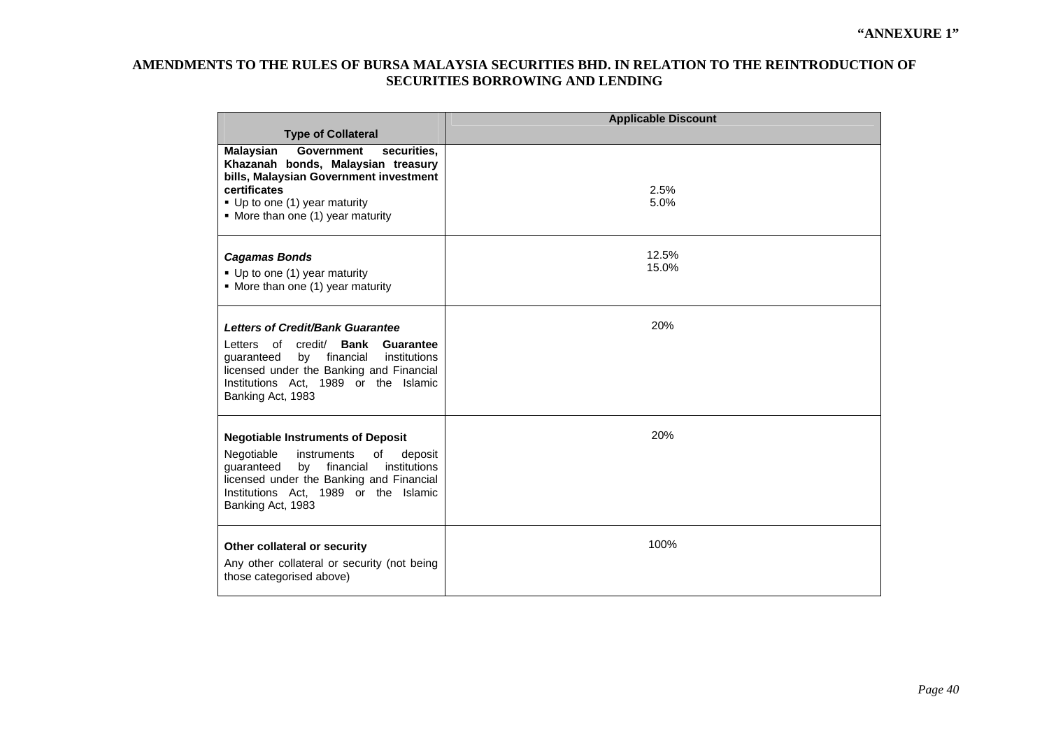| <b>Type of Collateral</b>                                                                                                                                                                                                                                | <b>Applicable Discount</b> |
|----------------------------------------------------------------------------------------------------------------------------------------------------------------------------------------------------------------------------------------------------------|----------------------------|
| <b>Government</b><br>securities,<br><b>Malaysian</b><br>Khazanah bonds, Malaysian treasury<br>bills, Malaysian Government investment<br>certificates<br>• Up to one (1) year maturity<br>• More than one (1) year maturity                               | 2.5%<br>5.0%               |
| <b>Cagamas Bonds</b><br>• Up to one (1) year maturity<br>• More than one (1) year maturity                                                                                                                                                               | 12.5%<br>15.0%             |
| <b>Letters of Credit/Bank Guarantee</b><br>Letters of credit/<br><b>Bank</b><br><b>Guarantee</b><br>by financial<br>institutions<br>guaranteed<br>licensed under the Banking and Financial<br>Institutions Act, 1989 or the Islamic<br>Banking Act, 1983 | 20%                        |
| <b>Negotiable Instruments of Deposit</b><br>Negotiable<br>instruments<br>of<br>deposit<br>institutions<br>by financial<br>guaranteed<br>licensed under the Banking and Financial<br>Institutions Act, 1989 or the Islamic<br>Banking Act, 1983           | 20%                        |
| Other collateral or security<br>Any other collateral or security (not being<br>those categorised above)                                                                                                                                                  | 100%                       |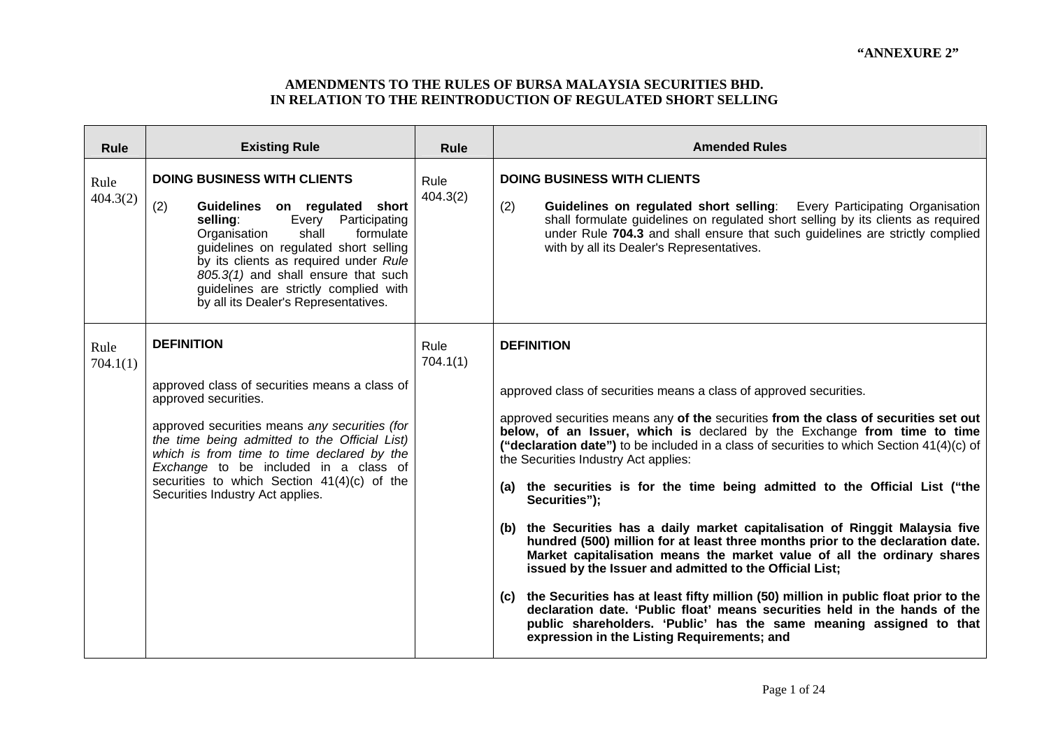| Rule             | <b>Existing Rule</b>                                                                                                                                                                                                                                                                                                                                          | <b>Rule</b>      | <b>Amended Rules</b>                                                                                                                                                                                                                                                                                                                                                                                                                                                                                                                                                                                                                                                                                                                                                                                                                                                                                                                                                                                                                                                                    |
|------------------|---------------------------------------------------------------------------------------------------------------------------------------------------------------------------------------------------------------------------------------------------------------------------------------------------------------------------------------------------------------|------------------|-----------------------------------------------------------------------------------------------------------------------------------------------------------------------------------------------------------------------------------------------------------------------------------------------------------------------------------------------------------------------------------------------------------------------------------------------------------------------------------------------------------------------------------------------------------------------------------------------------------------------------------------------------------------------------------------------------------------------------------------------------------------------------------------------------------------------------------------------------------------------------------------------------------------------------------------------------------------------------------------------------------------------------------------------------------------------------------------|
| Rule<br>404.3(2) | <b>DOING BUSINESS WITH CLIENTS</b><br>(2)<br>Guidelines on regulated short<br>selling:<br>Every Participating<br>Organisation<br>shall<br>formulate<br>guidelines on regulated short selling<br>by its clients as required under Rule<br>805.3(1) and shall ensure that such<br>guidelines are strictly complied with<br>by all its Dealer's Representatives. | Rule<br>404.3(2) | <b>DOING BUSINESS WITH CLIENTS</b><br>(2)<br>Guidelines on regulated short selling:<br>Every Participating Organisation<br>shall formulate guidelines on regulated short selling by its clients as required<br>under Rule 704.3 and shall ensure that such quidelines are strictly complied<br>with by all its Dealer's Representatives.                                                                                                                                                                                                                                                                                                                                                                                                                                                                                                                                                                                                                                                                                                                                                |
| Rule<br>704.1(1) | <b>DEFINITION</b>                                                                                                                                                                                                                                                                                                                                             | Rule<br>704.1(1) | <b>DEFINITION</b>                                                                                                                                                                                                                                                                                                                                                                                                                                                                                                                                                                                                                                                                                                                                                                                                                                                                                                                                                                                                                                                                       |
|                  | approved class of securities means a class of<br>approved securities.<br>approved securities means any securities (for<br>the time being admitted to the Official List)<br>which is from time to time declared by the<br>Exchange to be included in a class of<br>securities to which Section 41(4)(c) of the<br>Securities Industry Act applies.             |                  | approved class of securities means a class of approved securities.<br>approved securities means any of the securities from the class of securities set out<br>below, of an Issuer, which is declared by the Exchange from time to time<br>("declaration date") to be included in a class of securities to which Section 41(4)(c) of<br>the Securities Industry Act applies:<br>(a) the securities is for the time being admitted to the Official List ("the<br>Securities");<br>the Securities has a daily market capitalisation of Ringgit Malaysia five<br>(b)<br>hundred (500) million for at least three months prior to the declaration date.<br>Market capitalisation means the market value of all the ordinary shares<br>issued by the Issuer and admitted to the Official List;<br>(c) the Securities has at least fifty million (50) million in public float prior to the<br>declaration date. 'Public float' means securities held in the hands of the<br>public shareholders. 'Public' has the same meaning assigned to that<br>expression in the Listing Requirements; and |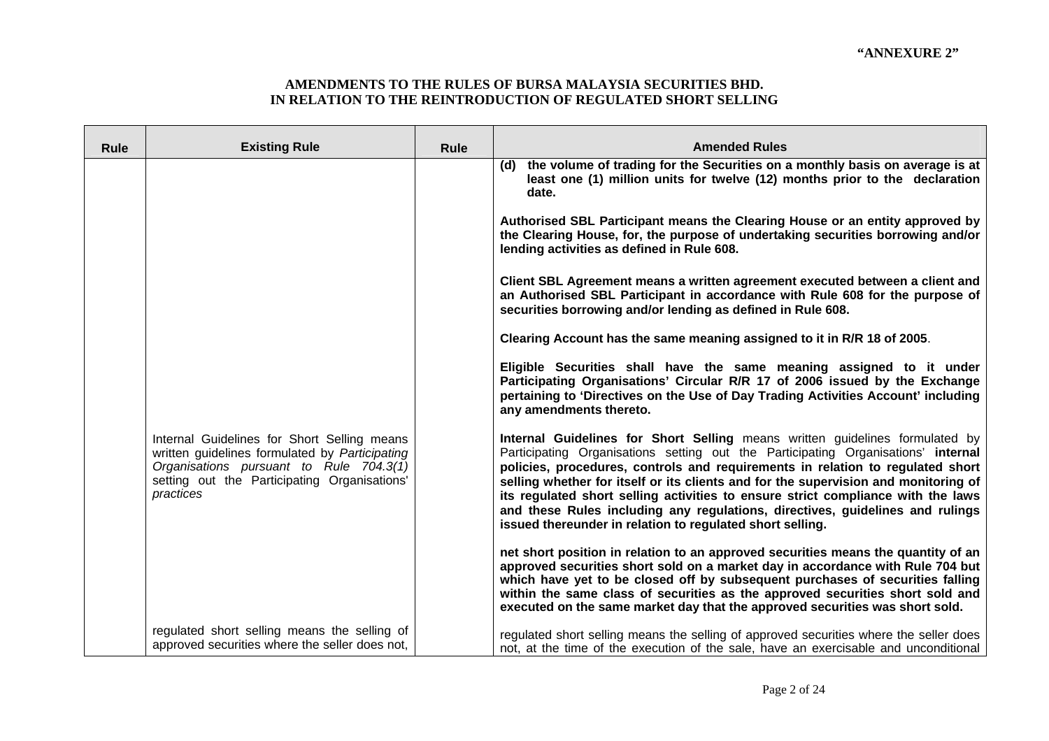|             |                                                                                                                                                                                                                               |             | <b>Amended Rules</b>                                                                                                                                                                                                                                                                                                                                                                                                                                                                                                                                                                                                                                                                                                                                                                                                                                                                                                                                                                                                                                                                                                                                                                                                                                                                                                                                                                                                                                                                                                                                       |
|-------------|-------------------------------------------------------------------------------------------------------------------------------------------------------------------------------------------------------------------------------|-------------|------------------------------------------------------------------------------------------------------------------------------------------------------------------------------------------------------------------------------------------------------------------------------------------------------------------------------------------------------------------------------------------------------------------------------------------------------------------------------------------------------------------------------------------------------------------------------------------------------------------------------------------------------------------------------------------------------------------------------------------------------------------------------------------------------------------------------------------------------------------------------------------------------------------------------------------------------------------------------------------------------------------------------------------------------------------------------------------------------------------------------------------------------------------------------------------------------------------------------------------------------------------------------------------------------------------------------------------------------------------------------------------------------------------------------------------------------------------------------------------------------------------------------------------------------------|
| <b>Rule</b> | <b>Existing Rule</b><br>Internal Guidelines for Short Selling means<br>written guidelines formulated by Participating<br>Organisations pursuant to Rule 704.3(1)<br>setting out the Participating Organisations'<br>practices | <b>Rule</b> | (d) the volume of trading for the Securities on a monthly basis on average is at<br>least one (1) million units for twelve (12) months prior to the declaration<br>date.<br>Authorised SBL Participant means the Clearing House or an entity approved by<br>the Clearing House, for, the purpose of undertaking securities borrowing and/or<br>lending activities as defined in Rule 608.<br>Client SBL Agreement means a written agreement executed between a client and<br>an Authorised SBL Participant in accordance with Rule 608 for the purpose of<br>securities borrowing and/or lending as defined in Rule 608.<br>Clearing Account has the same meaning assigned to it in R/R 18 of 2005.<br>Eligible Securities shall have the same meaning assigned to it under<br>Participating Organisations' Circular R/R 17 of 2006 issued by the Exchange<br>pertaining to 'Directives on the Use of Day Trading Activities Account' including<br>any amendments thereto.<br>Internal Guidelines for Short Selling means written guidelines formulated by<br>Participating Organisations setting out the Participating Organisations' internal<br>policies, procedures, controls and requirements in relation to regulated short<br>selling whether for itself or its clients and for the supervision and monitoring of<br>its regulated short selling activities to ensure strict compliance with the laws<br>and these Rules including any regulations, directives, guidelines and rulings<br>issued thereunder in relation to regulated short selling. |
|             |                                                                                                                                                                                                                               |             | net short position in relation to an approved securities means the quantity of an<br>approved securities short sold on a market day in accordance with Rule 704 but<br>which have yet to be closed off by subsequent purchases of securities falling<br>within the same class of securities as the approved securities short sold and<br>executed on the same market day that the approved securities was short sold.                                                                                                                                                                                                                                                                                                                                                                                                                                                                                                                                                                                                                                                                                                                                                                                                                                                                                                                                                                                                                                                                                                                                      |
|             | regulated short selling means the selling of<br>approved securities where the seller does not,                                                                                                                                |             | regulated short selling means the selling of approved securities where the seller does<br>not, at the time of the execution of the sale, have an exercisable and unconditional                                                                                                                                                                                                                                                                                                                                                                                                                                                                                                                                                                                                                                                                                                                                                                                                                                                                                                                                                                                                                                                                                                                                                                                                                                                                                                                                                                             |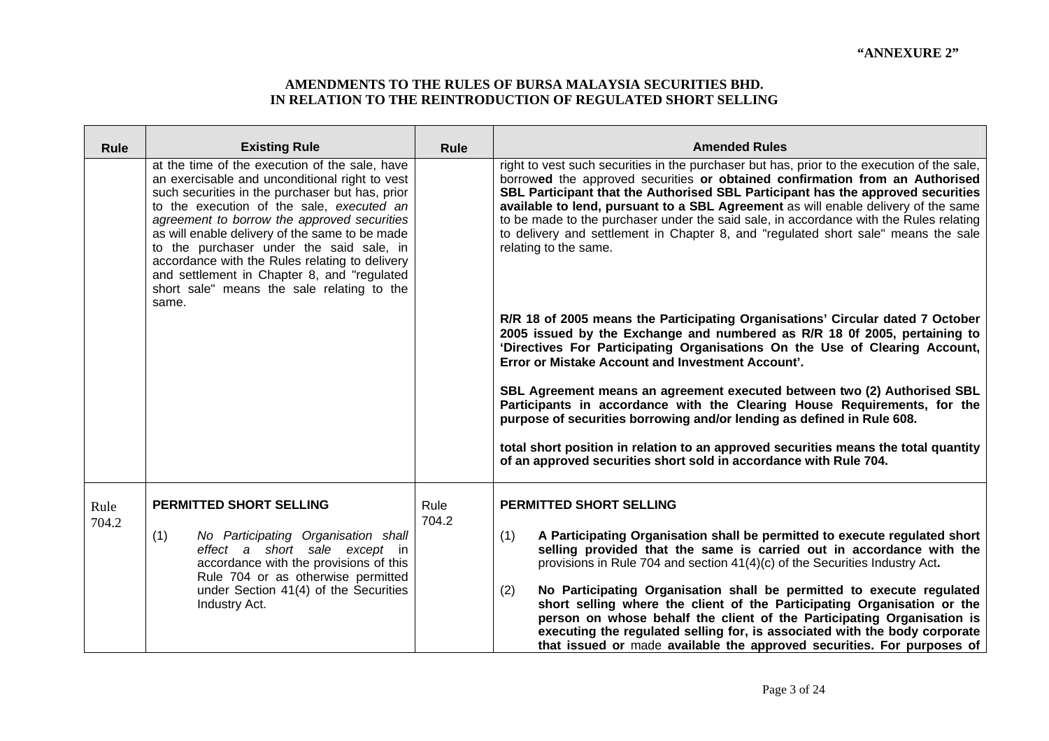| <b>Rule</b>   | <b>Existing Rule</b>                                                                                                                                                                                                                                                                                                                                                                                                                                                                                  | <b>Rule</b>   | <b>Amended Rules</b>                                                                                                                                                                                                                                                                                                                                                                                                                                                                                                                                          |
|---------------|-------------------------------------------------------------------------------------------------------------------------------------------------------------------------------------------------------------------------------------------------------------------------------------------------------------------------------------------------------------------------------------------------------------------------------------------------------------------------------------------------------|---------------|---------------------------------------------------------------------------------------------------------------------------------------------------------------------------------------------------------------------------------------------------------------------------------------------------------------------------------------------------------------------------------------------------------------------------------------------------------------------------------------------------------------------------------------------------------------|
|               | at the time of the execution of the sale, have<br>an exercisable and unconditional right to vest<br>such securities in the purchaser but has, prior<br>to the execution of the sale, executed an<br>agreement to borrow the approved securities<br>as will enable delivery of the same to be made<br>to the purchaser under the said sale, in<br>accordance with the Rules relating to delivery<br>and settlement in Chapter 8, and "regulated<br>short sale" means the sale relating to the<br>same. |               | right to vest such securities in the purchaser but has, prior to the execution of the sale,<br>borrowed the approved securities or obtained confirmation from an Authorised<br>SBL Participant that the Authorised SBL Participant has the approved securities<br>available to lend, pursuant to a SBL Agreement as will enable delivery of the same<br>to be made to the purchaser under the said sale, in accordance with the Rules relating<br>to delivery and settlement in Chapter 8, and "regulated short sale" means the sale<br>relating to the same. |
|               |                                                                                                                                                                                                                                                                                                                                                                                                                                                                                                       |               | R/R 18 of 2005 means the Participating Organisations' Circular dated 7 October<br>2005 issued by the Exchange and numbered as R/R 18 0f 2005, pertaining to<br>'Directives For Participating Organisations On the Use of Clearing Account,<br>Error or Mistake Account and Investment Account'.                                                                                                                                                                                                                                                               |
|               |                                                                                                                                                                                                                                                                                                                                                                                                                                                                                                       |               | SBL Agreement means an agreement executed between two (2) Authorised SBL<br>Participants in accordance with the Clearing House Requirements, for the<br>purpose of securities borrowing and/or lending as defined in Rule 608.                                                                                                                                                                                                                                                                                                                                |
|               |                                                                                                                                                                                                                                                                                                                                                                                                                                                                                                       |               | total short position in relation to an approved securities means the total quantity<br>of an approved securities short sold in accordance with Rule 704.                                                                                                                                                                                                                                                                                                                                                                                                      |
| Rule<br>704.2 | <b>PERMITTED SHORT SELLING</b>                                                                                                                                                                                                                                                                                                                                                                                                                                                                        | Rule<br>704.2 | <b>PERMITTED SHORT SELLING</b>                                                                                                                                                                                                                                                                                                                                                                                                                                                                                                                                |
|               | (1)<br>No Participating Organisation shall<br>effect a short sale except in<br>accordance with the provisions of this<br>Rule 704 or as otherwise permitted<br>under Section 41(4) of the Securities<br>Industry Act.                                                                                                                                                                                                                                                                                 |               | A Participating Organisation shall be permitted to execute regulated short<br>(1)<br>selling provided that the same is carried out in accordance with the<br>provisions in Rule 704 and section 41(4)(c) of the Securities Industry Act.                                                                                                                                                                                                                                                                                                                      |
|               |                                                                                                                                                                                                                                                                                                                                                                                                                                                                                                       |               | No Participating Organisation shall be permitted to execute regulated<br>(2)<br>short selling where the client of the Participating Organisation or the<br>person on whose behalf the client of the Participating Organisation is<br>executing the regulated selling for, is associated with the body corporate<br>that issued or made available the approved securities. For purposes of                                                                                                                                                                     |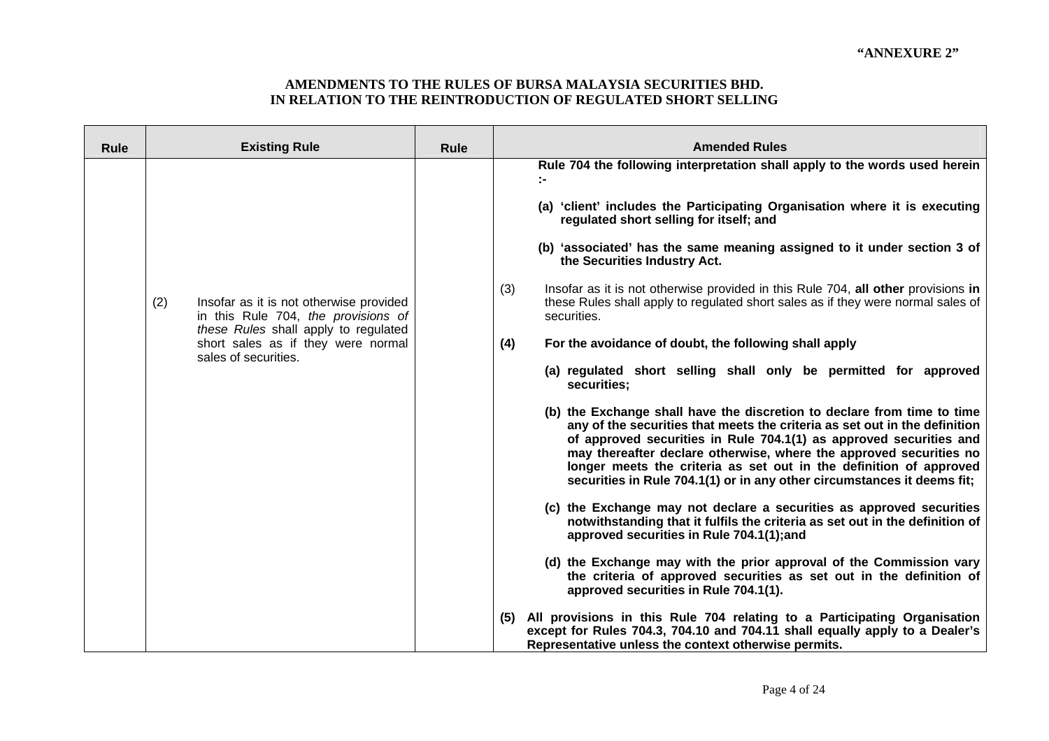| <b>Rule</b> | <b>Existing Rule</b><br>(2)<br>Insofar as it is not otherwise provided<br>in this Rule 704, the provisions of<br>these Rules shall apply to regulated<br>short sales as if they were normal<br>sales of securities. | <b>Rule</b> | <b>Amended Rules</b><br>Rule 704 the following interpretation shall apply to the words used herein<br>÷.<br>(a) 'client' includes the Participating Organisation where it is executing<br>regulated short selling for itself; and<br>(b) 'associated' has the same meaning assigned to it under section 3 of<br>the Securities Industry Act.<br>(3)<br>Insofar as it is not otherwise provided in this Rule 704, all other provisions in<br>these Rules shall apply to regulated short sales as if they were normal sales of<br>securities.<br>(4)<br>For the avoidance of doubt, the following shall apply<br>(a) regulated short selling shall only be permitted for approved<br>securities;<br>(b) the Exchange shall have the discretion to declare from time to time<br>any of the securities that meets the criteria as set out in the definition<br>of approved securities in Rule 704.1(1) as approved securities and<br>may thereafter declare otherwise, where the approved securities no<br>longer meets the criteria as set out in the definition of approved<br>securities in Rule 704.1(1) or in any other circumstances it deems fit;<br>(c) the Exchange may not declare a securities as approved securities<br>notwithstanding that it fulfils the criteria as set out in the definition of |
|-------------|---------------------------------------------------------------------------------------------------------------------------------------------------------------------------------------------------------------------|-------------|--------------------------------------------------------------------------------------------------------------------------------------------------------------------------------------------------------------------------------------------------------------------------------------------------------------------------------------------------------------------------------------------------------------------------------------------------------------------------------------------------------------------------------------------------------------------------------------------------------------------------------------------------------------------------------------------------------------------------------------------------------------------------------------------------------------------------------------------------------------------------------------------------------------------------------------------------------------------------------------------------------------------------------------------------------------------------------------------------------------------------------------------------------------------------------------------------------------------------------------------------------------------------------------------------------------|
|             |                                                                                                                                                                                                                     |             | approved securities in Rule 704.1(1);and<br>(d) the Exchange may with the prior approval of the Commission vary<br>the criteria of approved securities as set out in the definition of<br>approved securities in Rule 704.1(1).                                                                                                                                                                                                                                                                                                                                                                                                                                                                                                                                                                                                                                                                                                                                                                                                                                                                                                                                                                                                                                                                              |
|             |                                                                                                                                                                                                                     |             | All provisions in this Rule 704 relating to a Participating Organisation<br>(5)<br>except for Rules 704.3, 704.10 and 704.11 shall equally apply to a Dealer's<br>Representative unless the context otherwise permits.                                                                                                                                                                                                                                                                                                                                                                                                                                                                                                                                                                                                                                                                                                                                                                                                                                                                                                                                                                                                                                                                                       |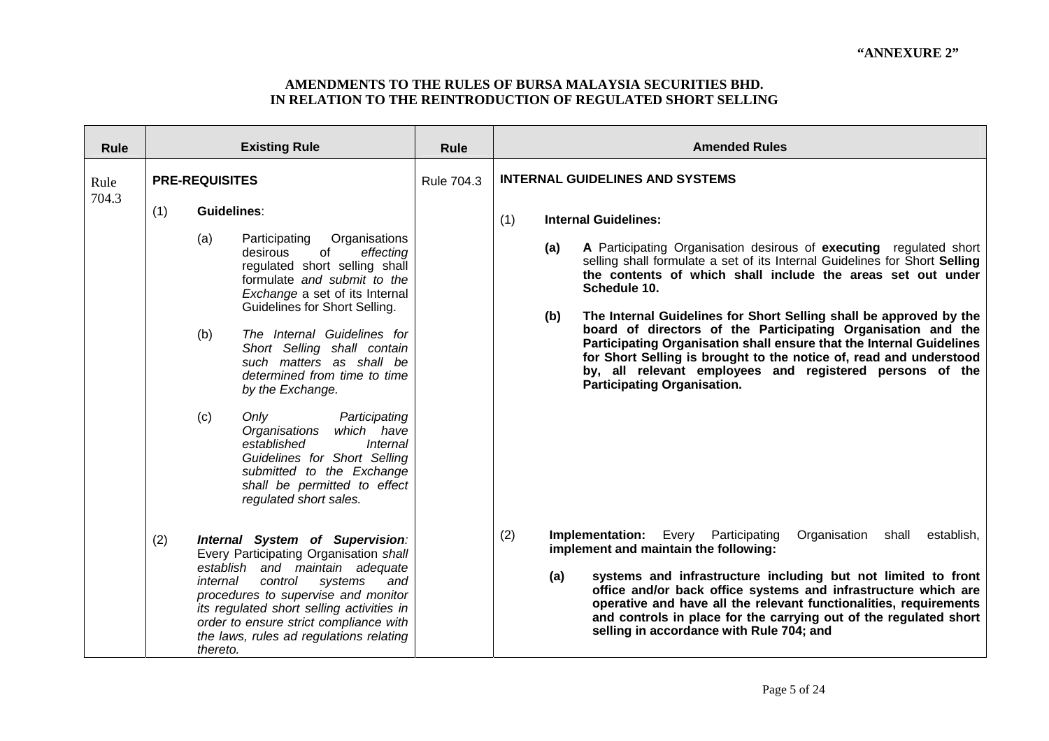| <b>Rule</b>   |     | <b>Existing Rule</b>                                                                                                                                                                                                                                                                                                                                                                                                                                                                                                                                                                         | <b>Rule</b> | <b>Amended Rules</b>                                                                                                                                                                                                                                                                                                                                                                                                                                                                                                                                                                                                                                                      |
|---------------|-----|----------------------------------------------------------------------------------------------------------------------------------------------------------------------------------------------------------------------------------------------------------------------------------------------------------------------------------------------------------------------------------------------------------------------------------------------------------------------------------------------------------------------------------------------------------------------------------------------|-------------|---------------------------------------------------------------------------------------------------------------------------------------------------------------------------------------------------------------------------------------------------------------------------------------------------------------------------------------------------------------------------------------------------------------------------------------------------------------------------------------------------------------------------------------------------------------------------------------------------------------------------------------------------------------------------|
| Rule<br>704.3 |     | <b>PRE-REQUISITES</b>                                                                                                                                                                                                                                                                                                                                                                                                                                                                                                                                                                        | Rule 704.3  | <b>INTERNAL GUIDELINES AND SYSTEMS</b>                                                                                                                                                                                                                                                                                                                                                                                                                                                                                                                                                                                                                                    |
|               | (1) | Guidelines:<br>Participating<br>Organisations<br>(a)<br>of<br>effecting<br>desirous<br>regulated short selling shall<br>formulate and submit to the<br>Exchange a set of its Internal<br>Guidelines for Short Selling.<br>The Internal Guidelines for<br>(b)<br>Short Selling shall contain<br>such matters as shall be<br>determined from time to time<br>by the Exchange.<br>(c)<br>Only<br>Participating<br>which have<br>Organisations<br>established<br>Internal<br>Guidelines for Short Selling<br>submitted to the Exchange<br>shall be permitted to effect<br>regulated short sales. |             | (1)<br><b>Internal Guidelines:</b><br>A Participating Organisation desirous of executing regulated short<br>(a)<br>selling shall formulate a set of its Internal Guidelines for Short Selling<br>the contents of which shall include the areas set out under<br>Schedule 10.<br>The Internal Guidelines for Short Selling shall be approved by the<br>(b)<br>board of directors of the Participating Organisation and the<br>Participating Organisation shall ensure that the Internal Guidelines<br>for Short Selling is brought to the notice of, read and understood<br>by, all relevant employees and registered persons of the<br><b>Participating Organisation.</b> |
|               | (2) | Internal System of Supervision:<br>Every Participating Organisation shall<br>establish and maintain adequate<br>internal<br>control<br>systems<br>and<br>procedures to supervise and monitor<br>its regulated short selling activities in<br>order to ensure strict compliance with<br>the laws, rules ad regulations relating<br>thereto.                                                                                                                                                                                                                                                   |             | (2)<br>Implementation:<br>Every Participating<br>Organisation<br>establish,<br>shall<br>implement and maintain the following:<br>systems and infrastructure including but not limited to front<br>(a)<br>office and/or back office systems and infrastructure which are<br>operative and have all the relevant functionalities, requirements<br>and controls in place for the carrying out of the regulated short<br>selling in accordance with Rule 704; and                                                                                                                                                                                                             |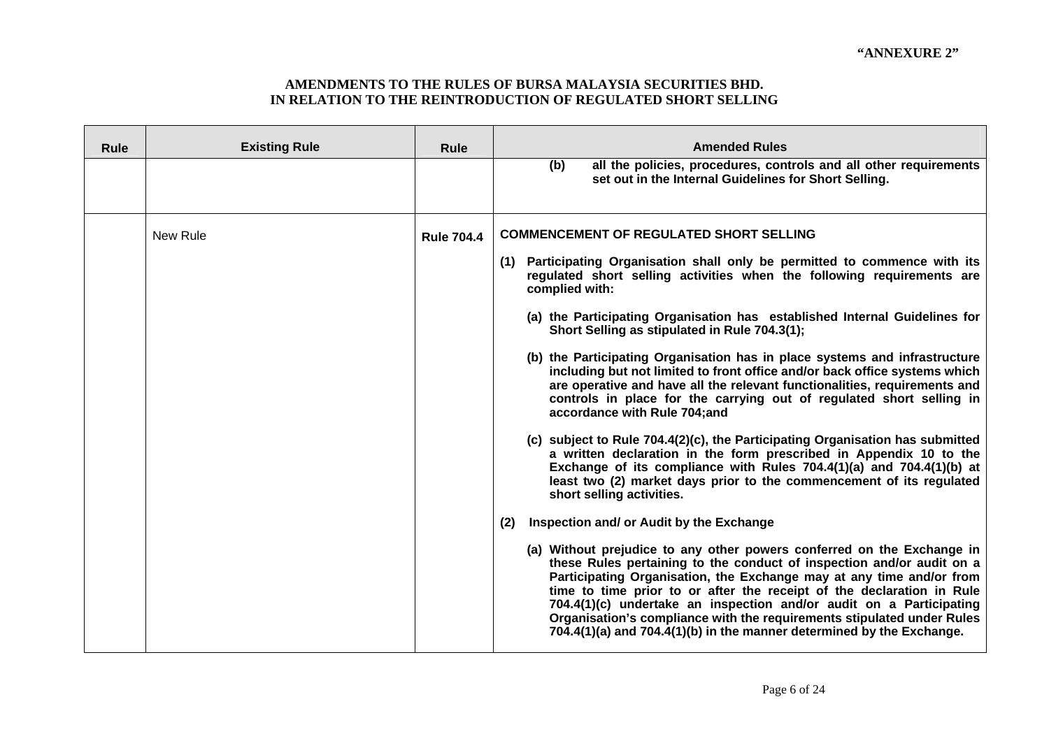| <b>Rule</b> | <b>Existing Rule</b> | <b>Rule</b>       | <b>Amended Rules</b>                                                                                                                                                                                                                                                                                                                                                                                                                                                                                                       |
|-------------|----------------------|-------------------|----------------------------------------------------------------------------------------------------------------------------------------------------------------------------------------------------------------------------------------------------------------------------------------------------------------------------------------------------------------------------------------------------------------------------------------------------------------------------------------------------------------------------|
|             |                      |                   | all the policies, procedures, controls and all other requirements<br>(b)<br>set out in the Internal Guidelines for Short Selling.                                                                                                                                                                                                                                                                                                                                                                                          |
|             | New Rule             | <b>Rule 704.4</b> | <b>COMMENCEMENT OF REGULATED SHORT SELLING</b>                                                                                                                                                                                                                                                                                                                                                                                                                                                                             |
|             |                      |                   | (1) Participating Organisation shall only be permitted to commence with its<br>regulated short selling activities when the following requirements are<br>complied with:                                                                                                                                                                                                                                                                                                                                                    |
|             |                      |                   | (a) the Participating Organisation has established Internal Guidelines for<br>Short Selling as stipulated in Rule 704.3(1);                                                                                                                                                                                                                                                                                                                                                                                                |
|             |                      |                   | (b) the Participating Organisation has in place systems and infrastructure<br>including but not limited to front office and/or back office systems which<br>are operative and have all the relevant functionalities, requirements and<br>controls in place for the carrying out of regulated short selling in<br>accordance with Rule 704;and                                                                                                                                                                              |
|             |                      |                   | (c) subject to Rule 704.4(2)(c), the Participating Organisation has submitted<br>a written declaration in the form prescribed in Appendix 10 to the<br>Exchange of its compliance with Rules 704.4(1)(a) and 704.4(1)(b) at<br>least two (2) market days prior to the commencement of its regulated<br>short selling activities.                                                                                                                                                                                           |
|             |                      |                   | Inspection and/ or Audit by the Exchange<br>(2)                                                                                                                                                                                                                                                                                                                                                                                                                                                                            |
|             |                      |                   | (a) Without prejudice to any other powers conferred on the Exchange in<br>these Rules pertaining to the conduct of inspection and/or audit on a<br>Participating Organisation, the Exchange may at any time and/or from<br>time to time prior to or after the receipt of the declaration in Rule<br>704.4(1)(c) undertake an inspection and/or audit on a Participating<br>Organisation's compliance with the requirements stipulated under Rules<br>704.4(1)(a) and 704.4(1)(b) in the manner determined by the Exchange. |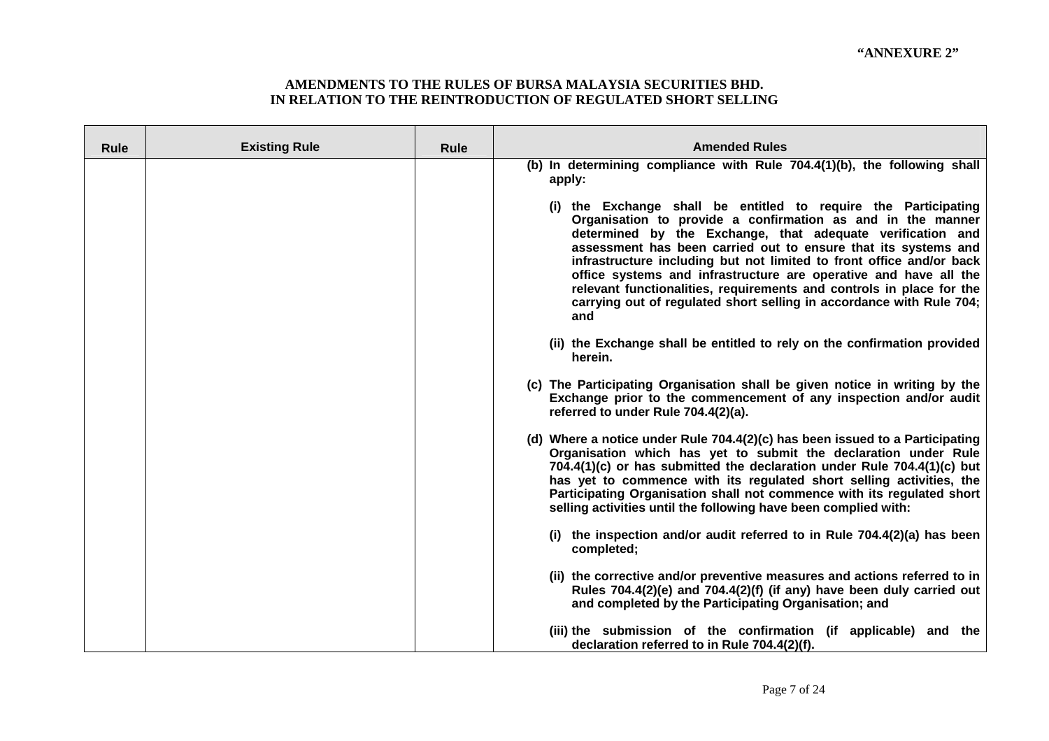|             | <b>Existing Rule</b> |      | <b>Amended Rules</b>                                                                                                                                                                                                                                                                                                                                                                                                                                                                                                                                              |
|-------------|----------------------|------|-------------------------------------------------------------------------------------------------------------------------------------------------------------------------------------------------------------------------------------------------------------------------------------------------------------------------------------------------------------------------------------------------------------------------------------------------------------------------------------------------------------------------------------------------------------------|
| <b>Rule</b> |                      | Rule | (b) In determining compliance with Rule 704.4(1)(b), the following shall<br>apply:                                                                                                                                                                                                                                                                                                                                                                                                                                                                                |
|             |                      |      | (i) the Exchange shall be entitled to require the Participating<br>Organisation to provide a confirmation as and in the manner<br>determined by the Exchange, that adequate verification and<br>assessment has been carried out to ensure that its systems and<br>infrastructure including but not limited to front office and/or back<br>office systems and infrastructure are operative and have all the<br>relevant functionalities, requirements and controls in place for the<br>carrying out of regulated short selling in accordance with Rule 704;<br>and |
|             |                      |      | (ii) the Exchange shall be entitled to rely on the confirmation provided<br>herein.                                                                                                                                                                                                                                                                                                                                                                                                                                                                               |
|             |                      |      | (c) The Participating Organisation shall be given notice in writing by the<br>Exchange prior to the commencement of any inspection and/or audit<br>referred to under Rule 704.4(2)(a).                                                                                                                                                                                                                                                                                                                                                                            |
|             |                      |      | (d) Where a notice under Rule 704.4(2)(c) has been issued to a Participating<br>Organisation which has yet to submit the declaration under Rule<br>704.4(1)(c) or has submitted the declaration under Rule 704.4(1)(c) but<br>has yet to commence with its regulated short selling activities, the<br>Participating Organisation shall not commence with its regulated short<br>selling activities until the following have been complied with:                                                                                                                   |
|             |                      |      | (i) the inspection and/or audit referred to in Rule $704.4(2)(a)$ has been<br>completed;                                                                                                                                                                                                                                                                                                                                                                                                                                                                          |
|             |                      |      | (ii) the corrective and/or preventive measures and actions referred to in<br>Rules 704.4(2)(e) and 704.4(2)(f) (if any) have been duly carried out<br>and completed by the Participating Organisation; and                                                                                                                                                                                                                                                                                                                                                        |
|             |                      |      | (iii) the submission of the confirmation (if applicable) and the<br>declaration referred to in Rule 704.4(2)(f).                                                                                                                                                                                                                                                                                                                                                                                                                                                  |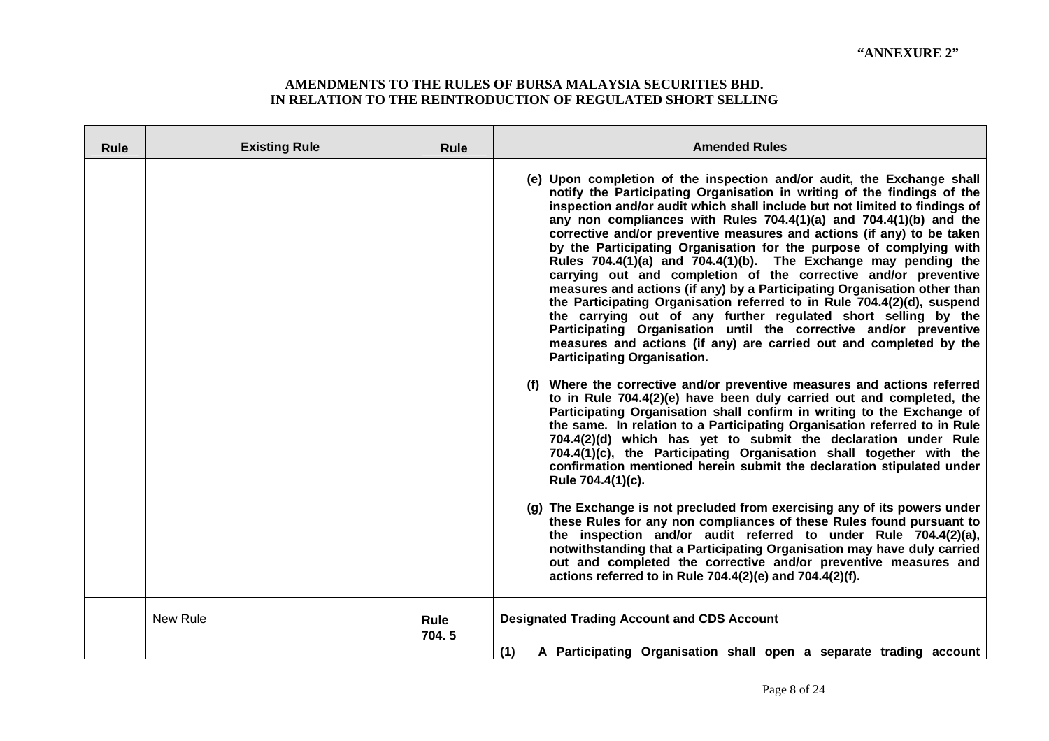| <b>Rule</b> | <b>Existing Rule</b> | <b>Rule</b>          | <b>Amended Rules</b>                                                                                                                                                                                                                                                                                                                                                                                                                                                                                                                                                                                                                                                                                                                                                                                                                                                                                                                                                                                   |
|-------------|----------------------|----------------------|--------------------------------------------------------------------------------------------------------------------------------------------------------------------------------------------------------------------------------------------------------------------------------------------------------------------------------------------------------------------------------------------------------------------------------------------------------------------------------------------------------------------------------------------------------------------------------------------------------------------------------------------------------------------------------------------------------------------------------------------------------------------------------------------------------------------------------------------------------------------------------------------------------------------------------------------------------------------------------------------------------|
|             |                      |                      | (e) Upon completion of the inspection and/or audit, the Exchange shall<br>notify the Participating Organisation in writing of the findings of the<br>inspection and/or audit which shall include but not limited to findings of<br>any non compliances with Rules 704.4(1)(a) and 704.4(1)(b) and the<br>corrective and/or preventive measures and actions (if any) to be taken<br>by the Participating Organisation for the purpose of complying with<br>Rules 704.4(1)(a) and 704.4(1)(b). The Exchange may pending the<br>carrying out and completion of the corrective and/or preventive<br>measures and actions (if any) by a Participating Organisation other than<br>the Participating Organisation referred to in Rule 704.4(2)(d), suspend<br>the carrying out of any further regulated short selling by the<br>Participating Organisation until the corrective and/or preventive<br>measures and actions (if any) are carried out and completed by the<br><b>Participating Organisation.</b> |
|             |                      |                      | Where the corrective and/or preventive measures and actions referred<br>to in Rule 704.4(2)(e) have been duly carried out and completed, the<br>Participating Organisation shall confirm in writing to the Exchange of<br>the same. In relation to a Participating Organisation referred to in Rule<br>704.4(2)(d) which has yet to submit the declaration under Rule<br>704.4(1)(c), the Participating Organisation shall together with the<br>confirmation mentioned herein submit the declaration stipulated under<br>Rule 704.4(1)(c).                                                                                                                                                                                                                                                                                                                                                                                                                                                             |
|             |                      |                      | (g) The Exchange is not precluded from exercising any of its powers under<br>these Rules for any non compliances of these Rules found pursuant to<br>the inspection and/or audit referred to under Rule 704.4(2)(a),<br>notwithstanding that a Participating Organisation may have duly carried<br>out and completed the corrective and/or preventive measures and<br>actions referred to in Rule 704.4(2)(e) and 704.4(2)(f).                                                                                                                                                                                                                                                                                                                                                                                                                                                                                                                                                                         |
|             | New Rule             | <b>Rule</b><br>704.5 | <b>Designated Trading Account and CDS Account</b><br>A Participating Organisation shall open a separate trading account<br>(1)                                                                                                                                                                                                                                                                                                                                                                                                                                                                                                                                                                                                                                                                                                                                                                                                                                                                         |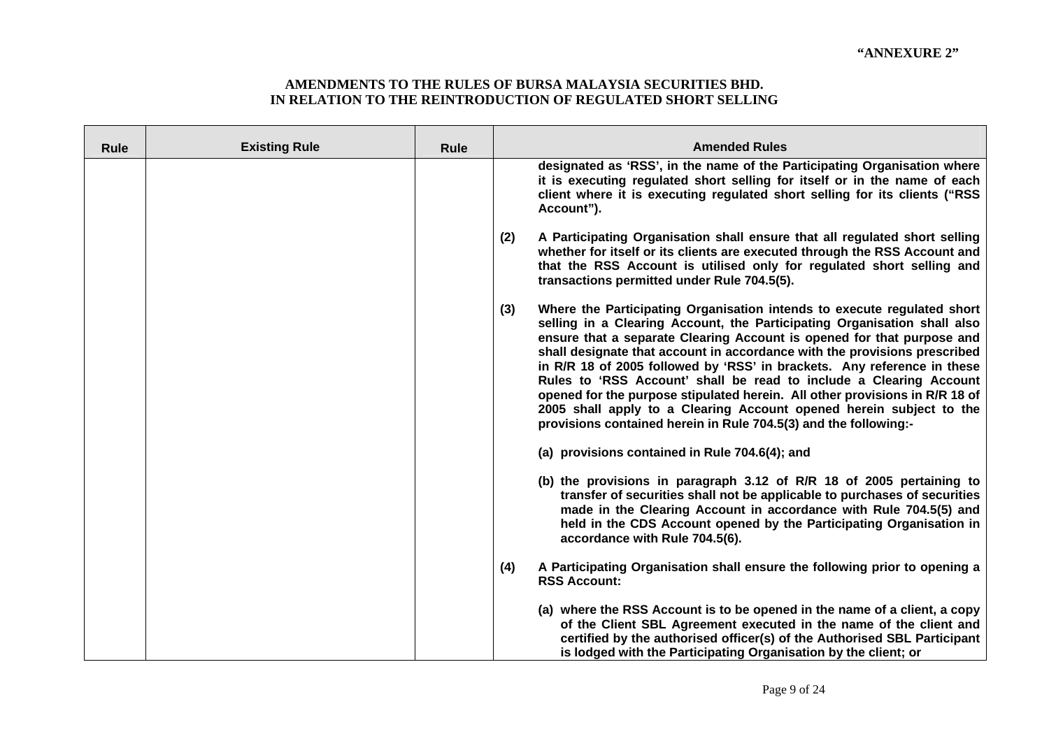| <b>Rule</b> | <b>Existing Rule</b> | <b>Rule</b> | <b>Amended Rules</b>                                                                                                                                                                                                                                                                                                                                                                                                                                                                                                                                                                                                                                                                         |
|-------------|----------------------|-------------|----------------------------------------------------------------------------------------------------------------------------------------------------------------------------------------------------------------------------------------------------------------------------------------------------------------------------------------------------------------------------------------------------------------------------------------------------------------------------------------------------------------------------------------------------------------------------------------------------------------------------------------------------------------------------------------------|
|             |                      |             | designated as 'RSS', in the name of the Participating Organisation where<br>it is executing regulated short selling for itself or in the name of each<br>client where it is executing regulated short selling for its clients ("RSS<br>Account").                                                                                                                                                                                                                                                                                                                                                                                                                                            |
|             |                      |             | (2)<br>A Participating Organisation shall ensure that all regulated short selling<br>whether for itself or its clients are executed through the RSS Account and<br>that the RSS Account is utilised only for regulated short selling and<br>transactions permitted under Rule 704.5(5).                                                                                                                                                                                                                                                                                                                                                                                                      |
|             |                      |             | (3)<br>Where the Participating Organisation intends to execute regulated short<br>selling in a Clearing Account, the Participating Organisation shall also<br>ensure that a separate Clearing Account is opened for that purpose and<br>shall designate that account in accordance with the provisions prescribed<br>in R/R 18 of 2005 followed by 'RSS' in brackets. Any reference in these<br>Rules to 'RSS Account' shall be read to include a Clearing Account<br>opened for the purpose stipulated herein. All other provisions in R/R 18 of<br>2005 shall apply to a Clearing Account opened herein subject to the<br>provisions contained herein in Rule 704.5(3) and the following:- |
|             |                      |             | (a) provisions contained in Rule 704.6(4); and                                                                                                                                                                                                                                                                                                                                                                                                                                                                                                                                                                                                                                               |
|             |                      |             | (b) the provisions in paragraph 3.12 of R/R 18 of 2005 pertaining to<br>transfer of securities shall not be applicable to purchases of securities<br>made in the Clearing Account in accordance with Rule 704.5(5) and<br>held in the CDS Account opened by the Participating Organisation in<br>accordance with Rule 704.5(6).                                                                                                                                                                                                                                                                                                                                                              |
|             |                      |             | A Participating Organisation shall ensure the following prior to opening a<br>(4)<br><b>RSS Account:</b>                                                                                                                                                                                                                                                                                                                                                                                                                                                                                                                                                                                     |
|             |                      |             | (a) where the RSS Account is to be opened in the name of a client, a copy<br>of the Client SBL Agreement executed in the name of the client and<br>certified by the authorised officer(s) of the Authorised SBL Participant<br>is lodged with the Participating Organisation by the client; or                                                                                                                                                                                                                                                                                                                                                                                               |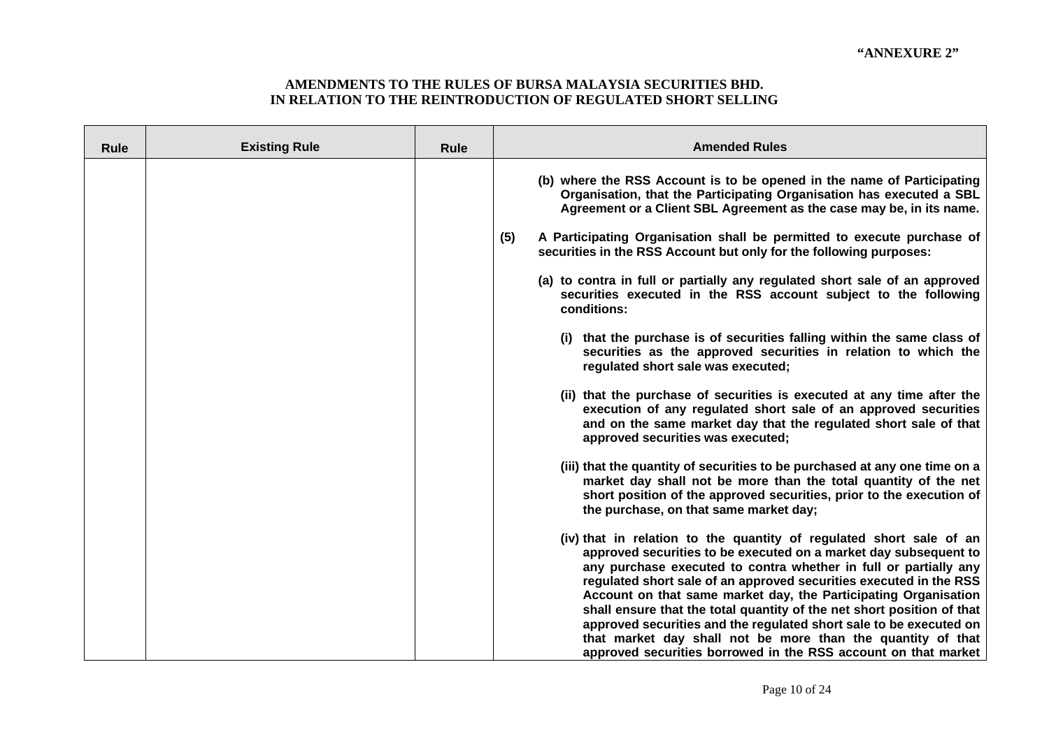| <b>Rule</b> | <b>Existing Rule</b> | <b>Rule</b> | <b>Amended Rules</b>                                                                                                                                                                                                                                                                                                                                                                                                                                                                                                                                                                                                                  |
|-------------|----------------------|-------------|---------------------------------------------------------------------------------------------------------------------------------------------------------------------------------------------------------------------------------------------------------------------------------------------------------------------------------------------------------------------------------------------------------------------------------------------------------------------------------------------------------------------------------------------------------------------------------------------------------------------------------------|
|             |                      |             | (b) where the RSS Account is to be opened in the name of Participating<br>Organisation, that the Participating Organisation has executed a SBL<br>Agreement or a Client SBL Agreement as the case may be, in its name.                                                                                                                                                                                                                                                                                                                                                                                                                |
|             |                      |             | (5)<br>A Participating Organisation shall be permitted to execute purchase of<br>securities in the RSS Account but only for the following purposes:                                                                                                                                                                                                                                                                                                                                                                                                                                                                                   |
|             |                      |             | (a) to contra in full or partially any regulated short sale of an approved<br>securities executed in the RSS account subject to the following<br>conditions:                                                                                                                                                                                                                                                                                                                                                                                                                                                                          |
|             |                      |             | (i) that the purchase is of securities falling within the same class of<br>securities as the approved securities in relation to which the<br>regulated short sale was executed;                                                                                                                                                                                                                                                                                                                                                                                                                                                       |
|             |                      |             | (ii) that the purchase of securities is executed at any time after the<br>execution of any regulated short sale of an approved securities<br>and on the same market day that the regulated short sale of that<br>approved securities was executed;                                                                                                                                                                                                                                                                                                                                                                                    |
|             |                      |             | (iii) that the quantity of securities to be purchased at any one time on a<br>market day shall not be more than the total quantity of the net<br>short position of the approved securities, prior to the execution of<br>the purchase, on that same market day;                                                                                                                                                                                                                                                                                                                                                                       |
|             |                      |             | (iv) that in relation to the quantity of regulated short sale of an<br>approved securities to be executed on a market day subsequent to<br>any purchase executed to contra whether in full or partially any<br>regulated short sale of an approved securities executed in the RSS<br>Account on that same market day, the Participating Organisation<br>shall ensure that the total quantity of the net short position of that<br>approved securities and the regulated short sale to be executed on<br>that market day shall not be more than the quantity of that<br>approved securities borrowed in the RSS account on that market |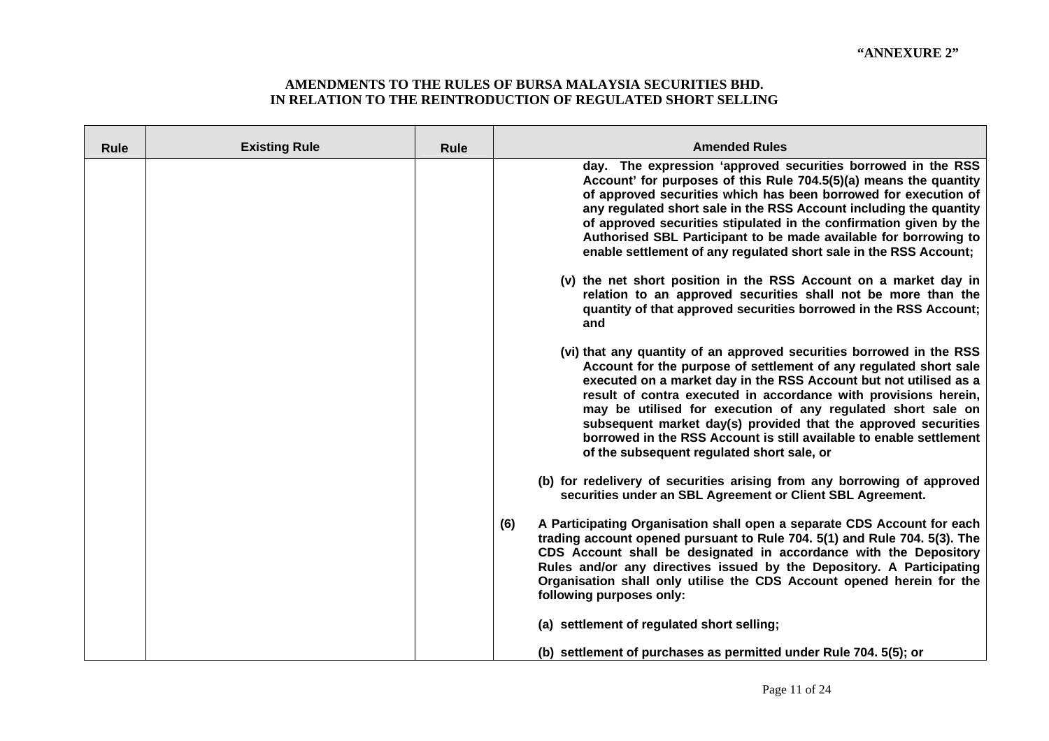| Rule | <b>Existing Rule</b> | <b>Rule</b> | <b>Amended Rules</b>                                                                                                                                                                                                                                                                                                                                                                                                                                                                                                                     |
|------|----------------------|-------------|------------------------------------------------------------------------------------------------------------------------------------------------------------------------------------------------------------------------------------------------------------------------------------------------------------------------------------------------------------------------------------------------------------------------------------------------------------------------------------------------------------------------------------------|
|      |                      |             | day. The expression 'approved securities borrowed in the RSS<br>Account' for purposes of this Rule 704.5(5)(a) means the quantity<br>of approved securities which has been borrowed for execution of<br>any regulated short sale in the RSS Account including the quantity<br>of approved securities stipulated in the confirmation given by the<br>Authorised SBL Participant to be made available for borrowing to<br>enable settlement of any regulated short sale in the RSS Account;                                                |
|      |                      |             | (v) the net short position in the RSS Account on a market day in<br>relation to an approved securities shall not be more than the<br>quantity of that approved securities borrowed in the RSS Account;<br>and                                                                                                                                                                                                                                                                                                                            |
|      |                      |             | (vi) that any quantity of an approved securities borrowed in the RSS<br>Account for the purpose of settlement of any regulated short sale<br>executed on a market day in the RSS Account but not utilised as a<br>result of contra executed in accordance with provisions herein,<br>may be utilised for execution of any regulated short sale on<br>subsequent market day(s) provided that the approved securities<br>borrowed in the RSS Account is still available to enable settlement<br>of the subsequent regulated short sale, or |
|      |                      |             | (b) for redelivery of securities arising from any borrowing of approved<br>securities under an SBL Agreement or Client SBL Agreement.                                                                                                                                                                                                                                                                                                                                                                                                    |
|      |                      |             | (6)<br>A Participating Organisation shall open a separate CDS Account for each<br>trading account opened pursuant to Rule 704. 5(1) and Rule 704. 5(3). The<br>CDS Account shall be designated in accordance with the Depository<br>Rules and/or any directives issued by the Depository. A Participating<br>Organisation shall only utilise the CDS Account opened herein for the<br>following purposes only:                                                                                                                           |
|      |                      |             | (a) settlement of regulated short selling;                                                                                                                                                                                                                                                                                                                                                                                                                                                                                               |
|      |                      |             | (b) settlement of purchases as permitted under Rule 704. 5(5); or                                                                                                                                                                                                                                                                                                                                                                                                                                                                        |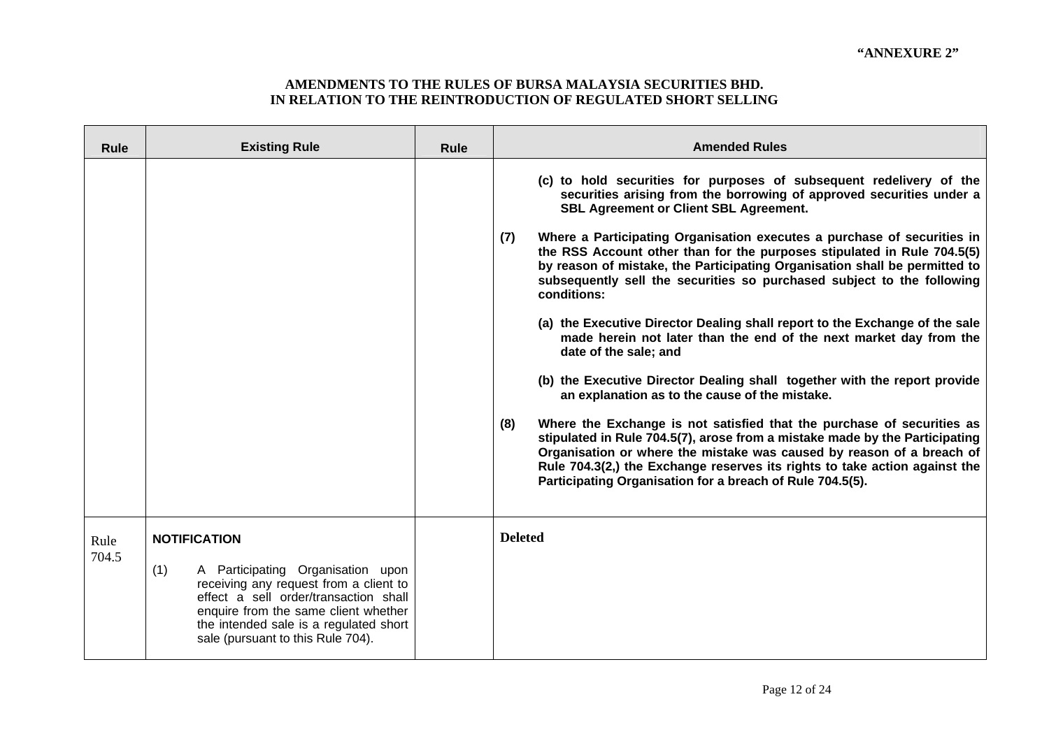| <b>Rule</b> | <b>Existing Rule</b>                                                                                                                                                                                                                               | <b>Rule</b> | <b>Amended Rules</b>                                                                                                                                                                                                                                                                                                                                                             |
|-------------|----------------------------------------------------------------------------------------------------------------------------------------------------------------------------------------------------------------------------------------------------|-------------|----------------------------------------------------------------------------------------------------------------------------------------------------------------------------------------------------------------------------------------------------------------------------------------------------------------------------------------------------------------------------------|
|             |                                                                                                                                                                                                                                                    |             | (c) to hold securities for purposes of subsequent redelivery of the<br>securities arising from the borrowing of approved securities under a<br><b>SBL Agreement or Client SBL Agreement.</b>                                                                                                                                                                                     |
|             |                                                                                                                                                                                                                                                    |             | Where a Participating Organisation executes a purchase of securities in<br>(7)<br>the RSS Account other than for the purposes stipulated in Rule 704.5(5)<br>by reason of mistake, the Participating Organisation shall be permitted to<br>subsequently sell the securities so purchased subject to the following<br>conditions:                                                 |
|             |                                                                                                                                                                                                                                                    |             | (a) the Executive Director Dealing shall report to the Exchange of the sale<br>made herein not later than the end of the next market day from the<br>date of the sale; and                                                                                                                                                                                                       |
|             |                                                                                                                                                                                                                                                    |             | (b) the Executive Director Dealing shall together with the report provide<br>an explanation as to the cause of the mistake.                                                                                                                                                                                                                                                      |
|             |                                                                                                                                                                                                                                                    |             | Where the Exchange is not satisfied that the purchase of securities as<br>(8)<br>stipulated in Rule 704.5(7), arose from a mistake made by the Participating<br>Organisation or where the mistake was caused by reason of a breach of<br>Rule 704.3(2,) the Exchange reserves its rights to take action against the<br>Participating Organisation for a breach of Rule 704.5(5). |
| Rule        | <b>NOTIFICATION</b>                                                                                                                                                                                                                                |             | <b>Deleted</b>                                                                                                                                                                                                                                                                                                                                                                   |
| 704.5       | A Participating Organisation upon<br>(1)<br>receiving any request from a client to<br>effect a sell order/transaction shall<br>enquire from the same client whether<br>the intended sale is a regulated short<br>sale (pursuant to this Rule 704). |             |                                                                                                                                                                                                                                                                                                                                                                                  |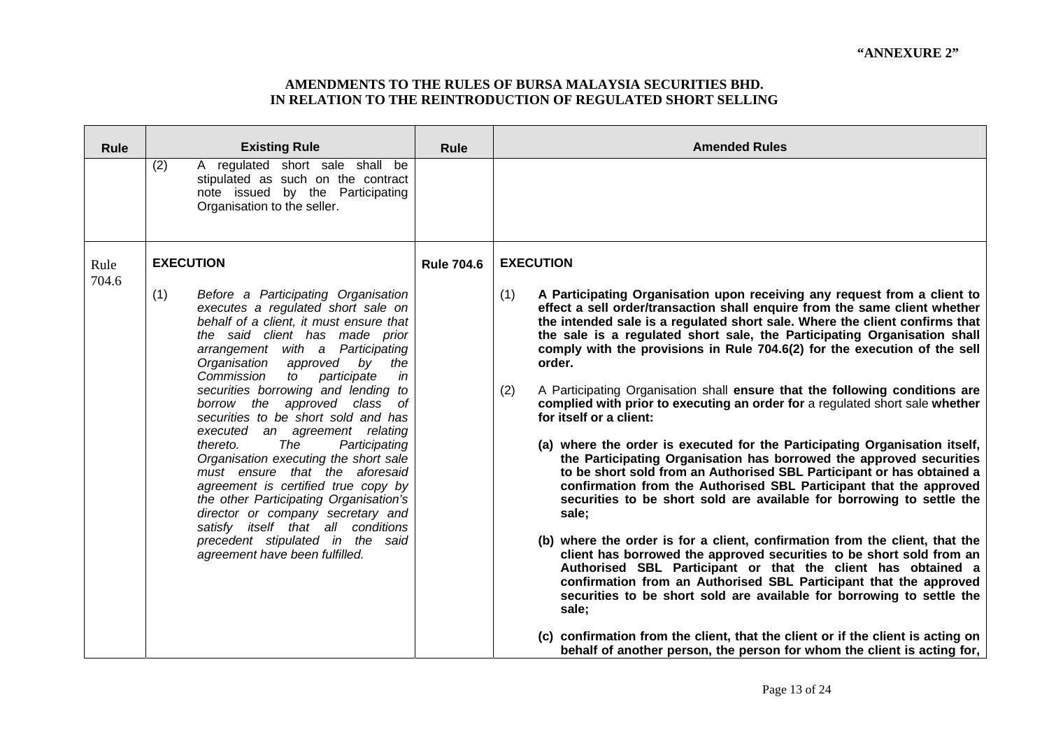| <b>Rule</b>   | <b>Existing Rule</b>                                                                                                                                                                                                                                                                                                                                                                                                                                                                                                                                                                                                                                                                                                                                                                                  | <b>Rule</b>       | <b>Amended Rules</b>                                                                                                                                                                                                                                                                                                                                                                                                                                                                                                                                                                                                                                                                                                                                                                                                                                                                                                                                                                                                                                                                                                                                                                                                                                                                                                                                                                                     |
|---------------|-------------------------------------------------------------------------------------------------------------------------------------------------------------------------------------------------------------------------------------------------------------------------------------------------------------------------------------------------------------------------------------------------------------------------------------------------------------------------------------------------------------------------------------------------------------------------------------------------------------------------------------------------------------------------------------------------------------------------------------------------------------------------------------------------------|-------------------|----------------------------------------------------------------------------------------------------------------------------------------------------------------------------------------------------------------------------------------------------------------------------------------------------------------------------------------------------------------------------------------------------------------------------------------------------------------------------------------------------------------------------------------------------------------------------------------------------------------------------------------------------------------------------------------------------------------------------------------------------------------------------------------------------------------------------------------------------------------------------------------------------------------------------------------------------------------------------------------------------------------------------------------------------------------------------------------------------------------------------------------------------------------------------------------------------------------------------------------------------------------------------------------------------------------------------------------------------------------------------------------------------------|
|               | (2)<br>A regulated short sale shall be<br>stipulated as such on the contract<br>note issued by the Participating<br>Organisation to the seller.                                                                                                                                                                                                                                                                                                                                                                                                                                                                                                                                                                                                                                                       |                   |                                                                                                                                                                                                                                                                                                                                                                                                                                                                                                                                                                                                                                                                                                                                                                                                                                                                                                                                                                                                                                                                                                                                                                                                                                                                                                                                                                                                          |
| Rule<br>704.6 | <b>EXECUTION</b><br>(1)<br>Before a Participating Organisation<br>executes a regulated short sale on<br>behalf of a client, it must ensure that<br>the said client has made prior<br>arrangement with a Participating<br>Organisation approved<br>by<br>the<br>Commission<br>participate<br>to<br>in<br>securities borrowing and lending to<br>borrow the approved class of<br>securities to be short sold and has<br>executed an agreement relating<br>The<br>Participating<br>thereto.<br>Organisation executing the short sale<br>must ensure that the aforesaid<br>agreement is certified true copy by<br>the other Participating Organisation's<br>director or company secretary and<br>satisfy itself that all conditions<br>precedent stipulated in the said<br>agreement have been fulfilled. | <b>Rule 704.6</b> | <b>EXECUTION</b><br>(1)<br>A Participating Organisation upon receiving any request from a client to<br>effect a sell order/transaction shall enquire from the same client whether<br>the intended sale is a regulated short sale. Where the client confirms that<br>the sale is a regulated short sale, the Participating Organisation shall<br>comply with the provisions in Rule 704.6(2) for the execution of the sell<br>order.<br>(2)<br>A Participating Organisation shall ensure that the following conditions are<br>complied with prior to executing an order for a regulated short sale whether<br>for itself or a client:<br>(a) where the order is executed for the Participating Organisation itself,<br>the Participating Organisation has borrowed the approved securities<br>to be short sold from an Authorised SBL Participant or has obtained a<br>confirmation from the Authorised SBL Participant that the approved<br>securities to be short sold are available for borrowing to settle the<br>sale;<br>(b) where the order is for a client, confirmation from the client, that the<br>client has borrowed the approved securities to be short sold from an<br>Authorised SBL Participant or that the client has obtained a<br>confirmation from an Authorised SBL Participant that the approved<br>securities to be short sold are available for borrowing to settle the<br>sale; |
|               |                                                                                                                                                                                                                                                                                                                                                                                                                                                                                                                                                                                                                                                                                                                                                                                                       |                   | (c) confirmation from the client, that the client or if the client is acting on<br>behalf of another person, the person for whom the client is acting for,                                                                                                                                                                                                                                                                                                                                                                                                                                                                                                                                                                                                                                                                                                                                                                                                                                                                                                                                                                                                                                                                                                                                                                                                                                               |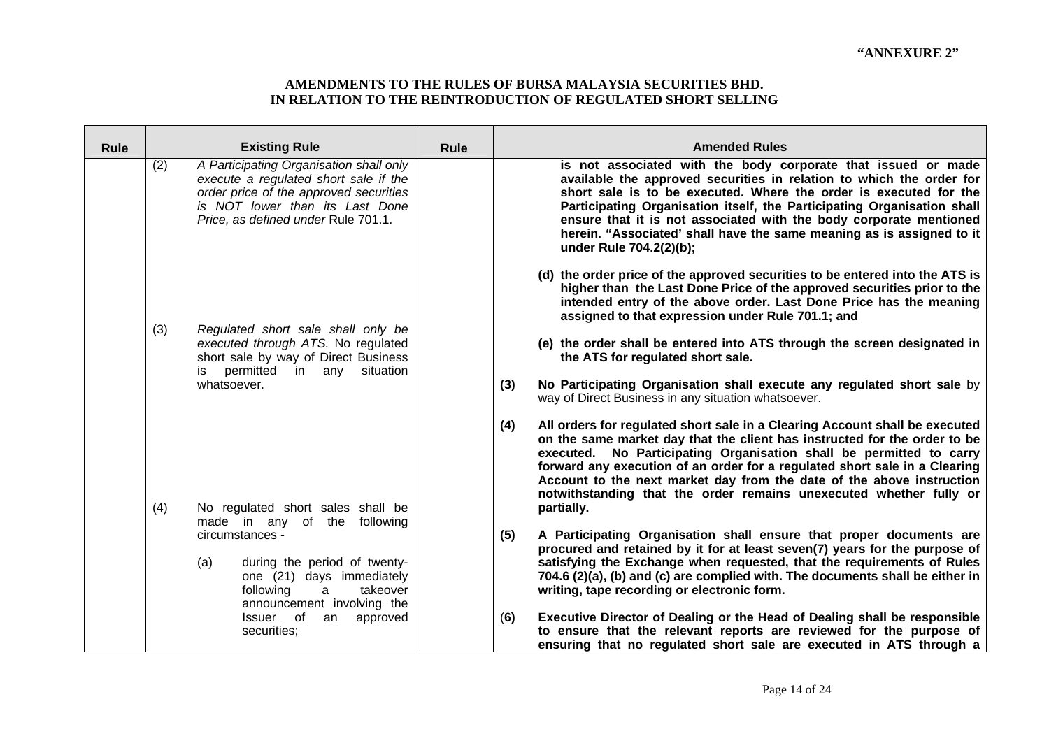| <b>Rule</b> | <b>Existing Rule</b>                                                                                                                                                                                        | <b>Rule</b> | <b>Amended Rules</b>                                                                                                                                                                                                                                                                                                                                                                                                                                                                                                                     |
|-------------|-------------------------------------------------------------------------------------------------------------------------------------------------------------------------------------------------------------|-------------|------------------------------------------------------------------------------------------------------------------------------------------------------------------------------------------------------------------------------------------------------------------------------------------------------------------------------------------------------------------------------------------------------------------------------------------------------------------------------------------------------------------------------------------|
|             | (2)<br>A Participating Organisation shall only<br>execute a regulated short sale if the<br>order price of the approved securities<br>is NOT lower than its Last Done<br>Price, as defined under Rule 701.1. |             | is not associated with the body corporate that issued or made<br>available the approved securities in relation to which the order for<br>short sale is to be executed. Where the order is executed for the<br>Participating Organisation itself, the Participating Organisation shall<br>ensure that it is not associated with the body corporate mentioned<br>herein. "Associated' shall have the same meaning as is assigned to it<br>under Rule 704.2(2)(b);                                                                          |
|             | (3)<br>Regulated short sale shall only be<br>executed through ATS. No regulated<br>short sale by way of Direct Business<br>is permitted in any situation<br>whatsoever.                                     |             | (d) the order price of the approved securities to be entered into the ATS is<br>higher than the Last Done Price of the approved securities prior to the<br>intended entry of the above order. Last Done Price has the meaning<br>assigned to that expression under Rule 701.1; and<br>(e) the order shall be entered into ATS through the screen designated in<br>the ATS for regulated short sale.<br>(3)<br>No Participating Organisation shall execute any regulated short sale by                                                    |
|             | (4)<br>No regulated short sales shall be                                                                                                                                                                    |             | way of Direct Business in any situation whatsoever.<br>(4)<br>All orders for regulated short sale in a Clearing Account shall be executed<br>on the same market day that the client has instructed for the order to be<br>executed. No Participating Organisation shall be permitted to carry<br>forward any execution of an order for a regulated short sale in a Clearing<br>Account to the next market day from the date of the above instruction<br>notwithstanding that the order remains unexecuted whether fully or<br>partially. |
|             | made in any of the following<br>circumstances -<br>during the period of twenty-<br>(a)<br>one (21) days immediately<br>takeover<br>following<br>a<br>announcement involving the                             |             | (5)<br>A Participating Organisation shall ensure that proper documents are<br>procured and retained by it for at least seven(7) years for the purpose of<br>satisfying the Exchange when requested, that the requirements of Rules<br>704.6 (2)(a), (b) and (c) are complied with. The documents shall be either in<br>writing, tape recording or electronic form.                                                                                                                                                                       |
|             | Issuer of<br>an<br>approved<br>securities;                                                                                                                                                                  |             | (6)<br><b>Executive Director of Dealing or the Head of Dealing shall be responsible</b><br>to ensure that the relevant reports are reviewed for the purpose of<br>ensuring that no regulated short sale are executed in ATS through a                                                                                                                                                                                                                                                                                                    |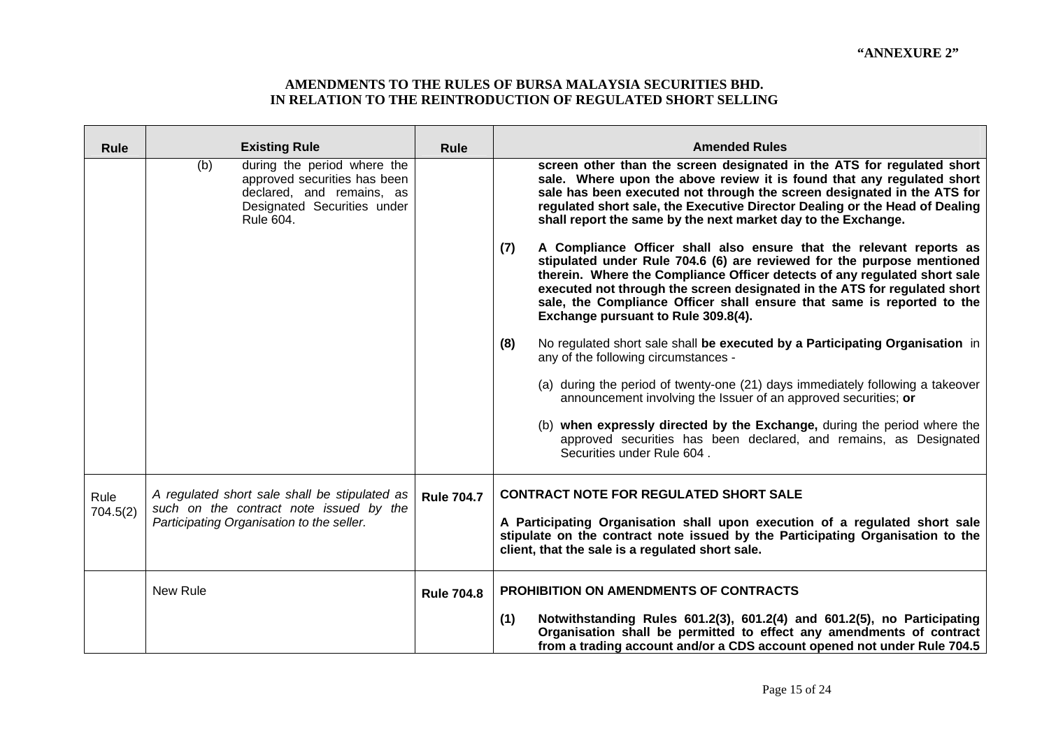| <b>Rule</b>      | <b>Existing Rule</b>                                                                                                                        | <b>Rule</b>       | <b>Amended Rules</b>                                                                                                                                                                                                                                                                                                                                                                                                            |
|------------------|---------------------------------------------------------------------------------------------------------------------------------------------|-------------------|---------------------------------------------------------------------------------------------------------------------------------------------------------------------------------------------------------------------------------------------------------------------------------------------------------------------------------------------------------------------------------------------------------------------------------|
|                  | (b)<br>during the period where the<br>approved securities has been<br>declared, and remains, as<br>Designated Securities under<br>Rule 604. |                   | screen other than the screen designated in the ATS for regulated short<br>sale. Where upon the above review it is found that any regulated short<br>sale has been executed not through the screen designated in the ATS for<br>regulated short sale, the Executive Director Dealing or the Head of Dealing<br>shall report the same by the next market day to the Exchange.                                                     |
|                  |                                                                                                                                             |                   | (7)<br>A Compliance Officer shall also ensure that the relevant reports as<br>stipulated under Rule 704.6 (6) are reviewed for the purpose mentioned<br>therein. Where the Compliance Officer detects of any regulated short sale<br>executed not through the screen designated in the ATS for regulated short<br>sale, the Compliance Officer shall ensure that same is reported to the<br>Exchange pursuant to Rule 309.8(4). |
|                  |                                                                                                                                             |                   | No regulated short sale shall be executed by a Participating Organisation in<br>(8)<br>any of the following circumstances -                                                                                                                                                                                                                                                                                                     |
|                  |                                                                                                                                             |                   | (a) during the period of twenty-one (21) days immediately following a takeover<br>announcement involving the Issuer of an approved securities; or                                                                                                                                                                                                                                                                               |
|                  |                                                                                                                                             |                   | (b) when expressly directed by the Exchange, during the period where the<br>approved securities has been declared, and remains, as Designated<br>Securities under Rule 604.                                                                                                                                                                                                                                                     |
| Rule<br>704.5(2) | A regulated short sale shall be stipulated as<br>such on the contract note issued by the                                                    | <b>Rule 704.7</b> | <b>CONTRACT NOTE FOR REGULATED SHORT SALE</b>                                                                                                                                                                                                                                                                                                                                                                                   |
|                  | Participating Organisation to the seller.                                                                                                   |                   | A Participating Organisation shall upon execution of a regulated short sale<br>stipulate on the contract note issued by the Participating Organisation to the<br>client, that the sale is a regulated short sale.                                                                                                                                                                                                               |
|                  | New Rule                                                                                                                                    | <b>Rule 704.8</b> | <b>PROHIBITION ON AMENDMENTS OF CONTRACTS</b>                                                                                                                                                                                                                                                                                                                                                                                   |
|                  |                                                                                                                                             |                   | (1)<br>Notwithstanding Rules 601.2(3), 601.2(4) and 601.2(5), no Participating<br>Organisation shall be permitted to effect any amendments of contract<br>from a trading account and/or a CDS account opened not under Rule 704.5                                                                                                                                                                                               |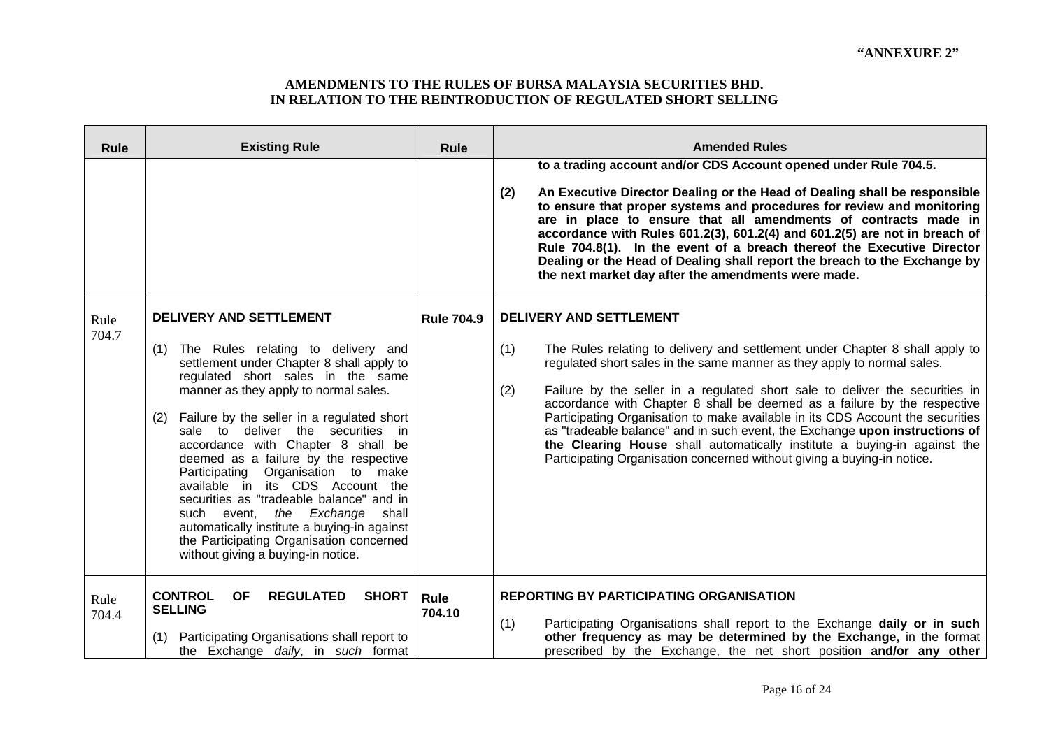| <b>Rule</b>   | <b>Existing Rule</b>                                                                                                                                                                                                                                                                                                                                                                                                                                                                                                                                                                                                                                                     | <b>Rule</b>           | <b>Amended Rules</b>                                                                                                                                                                                                                                                                                                                                                                                                                                                                                                                                                                                                                                                                        |
|---------------|--------------------------------------------------------------------------------------------------------------------------------------------------------------------------------------------------------------------------------------------------------------------------------------------------------------------------------------------------------------------------------------------------------------------------------------------------------------------------------------------------------------------------------------------------------------------------------------------------------------------------------------------------------------------------|-----------------------|---------------------------------------------------------------------------------------------------------------------------------------------------------------------------------------------------------------------------------------------------------------------------------------------------------------------------------------------------------------------------------------------------------------------------------------------------------------------------------------------------------------------------------------------------------------------------------------------------------------------------------------------------------------------------------------------|
|               |                                                                                                                                                                                                                                                                                                                                                                                                                                                                                                                                                                                                                                                                          |                       | to a trading account and/or CDS Account opened under Rule 704.5.<br>(2)<br>An Executive Director Dealing or the Head of Dealing shall be responsible<br>to ensure that proper systems and procedures for review and monitoring<br>are in place to ensure that all amendments of contracts made in<br>accordance with Rules $601.2(3)$ , $601.2(4)$ and $601.2(5)$ are not in breach of<br>Rule 704.8(1). In the event of a breach thereof the Executive Director<br>Dealing or the Head of Dealing shall report the breach to the Exchange by<br>the next market day after the amendments were made.                                                                                        |
| Rule<br>704.7 | <b>DELIVERY AND SETTLEMENT</b><br>The Rules relating to delivery and<br>(1)<br>settlement under Chapter 8 shall apply to<br>regulated short sales in the same<br>manner as they apply to normal sales.<br>Failure by the seller in a regulated short<br>(2)<br>sale to deliver the securities in<br>accordance with Chapter 8 shall be<br>deemed as a failure by the respective<br>Participating Organisation to make<br>available in its CDS Account the<br>securities as "tradeable balance" and in<br>such event, the Exchange shall<br>automatically institute a buying-in against<br>the Participating Organisation concerned<br>without giving a buying-in notice. | <b>Rule 704.9</b>     | <b>DELIVERY AND SETTLEMENT</b><br>(1)<br>The Rules relating to delivery and settlement under Chapter 8 shall apply to<br>regulated short sales in the same manner as they apply to normal sales.<br>Failure by the seller in a regulated short sale to deliver the securities in<br>(2)<br>accordance with Chapter 8 shall be deemed as a failure by the respective<br>Participating Organisation to make available in its CDS Account the securities<br>as "tradeable balance" and in such event, the Exchange upon instructions of<br>the Clearing House shall automatically institute a buying-in against the<br>Participating Organisation concerned without giving a buying-in notice. |
| Rule<br>704.4 | <b>CONTROL</b><br><b>REGULATED</b><br><b>OF</b><br><b>SHORT</b><br><b>SELLING</b><br>Participating Organisations shall report to<br>(1)<br>the Exchange <i>daily</i> , in <i>such</i> format                                                                                                                                                                                                                                                                                                                                                                                                                                                                             | <b>Rule</b><br>704.10 | <b>REPORTING BY PARTICIPATING ORGANISATION</b><br>(1)<br>Participating Organisations shall report to the Exchange daily or in such<br>other frequency as may be determined by the Exchange, in the format<br>prescribed by the Exchange, the net short position and/or any other                                                                                                                                                                                                                                                                                                                                                                                                            |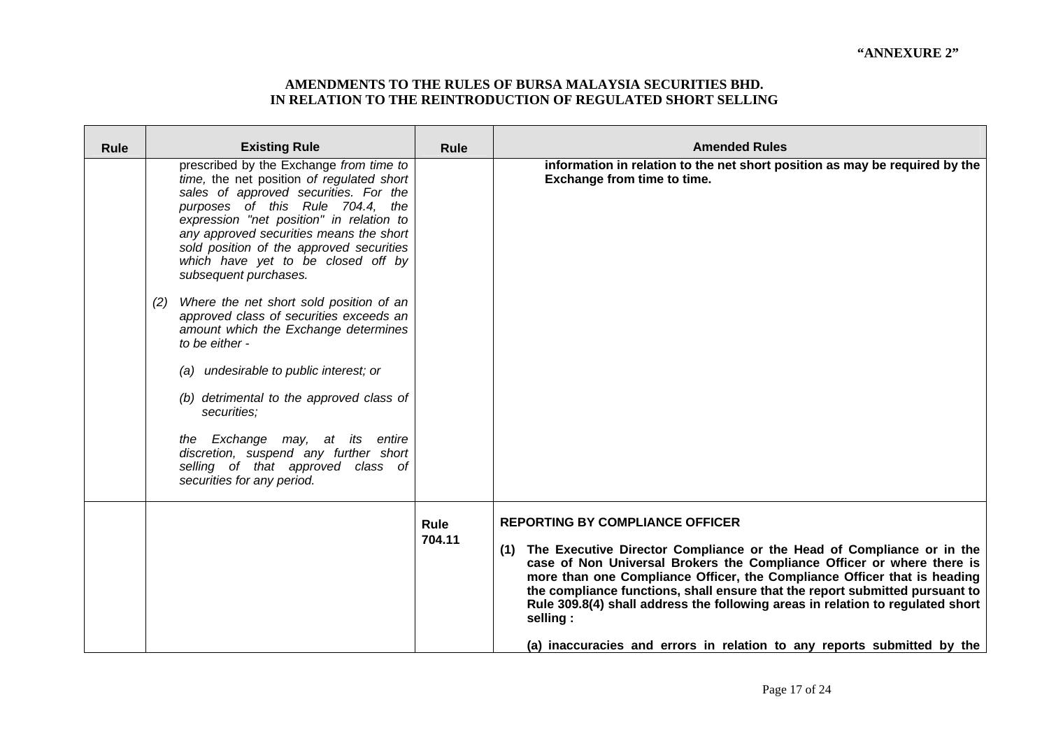| <b>Rule</b> | <b>Existing Rule</b>                                                                                                                                                                                                                                                                                                                                                                                                                                                                                                                                                                                                                                                                                                                                                           | <b>Rule</b>           | <b>Amended Rules</b>                                                                                                                                                                                                                                                                                                                                                                                                                                                                                                               |
|-------------|--------------------------------------------------------------------------------------------------------------------------------------------------------------------------------------------------------------------------------------------------------------------------------------------------------------------------------------------------------------------------------------------------------------------------------------------------------------------------------------------------------------------------------------------------------------------------------------------------------------------------------------------------------------------------------------------------------------------------------------------------------------------------------|-----------------------|------------------------------------------------------------------------------------------------------------------------------------------------------------------------------------------------------------------------------------------------------------------------------------------------------------------------------------------------------------------------------------------------------------------------------------------------------------------------------------------------------------------------------------|
|             | prescribed by the Exchange from time to<br>time, the net position of regulated short<br>sales of approved securities. For the<br>purposes of this Rule 704.4, the<br>expression "net position" in relation to<br>any approved securities means the short<br>sold position of the approved securities<br>which have yet to be closed off by<br>subsequent purchases.<br>Where the net short sold position of an<br>(2)<br>approved class of securities exceeds an<br>amount which the Exchange determines<br>to be either -<br>(a) undesirable to public interest; or<br>(b) detrimental to the approved class of<br>securities;<br>the Exchange may, at its entire<br>discretion, suspend any further short<br>selling of that approved class of<br>securities for any period. |                       | information in relation to the net short position as may be required by the<br>Exchange from time to time.                                                                                                                                                                                                                                                                                                                                                                                                                         |
|             |                                                                                                                                                                                                                                                                                                                                                                                                                                                                                                                                                                                                                                                                                                                                                                                | <b>Rule</b><br>704.11 | <b>REPORTING BY COMPLIANCE OFFICER</b><br>(1) The Executive Director Compliance or the Head of Compliance or in the<br>case of Non Universal Brokers the Compliance Officer or where there is<br>more than one Compliance Officer, the Compliance Officer that is heading<br>the compliance functions, shall ensure that the report submitted pursuant to<br>Rule 309.8(4) shall address the following areas in relation to regulated short<br>selling:<br>(a) inaccuracies and errors in relation to any reports submitted by the |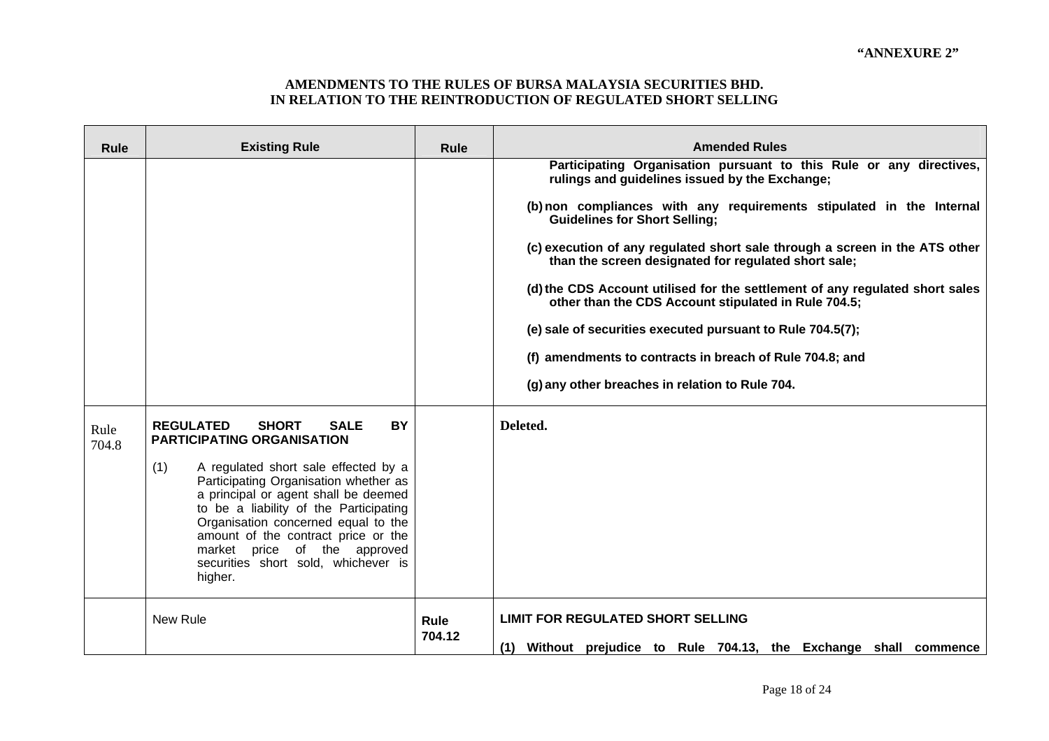| <b>Rule</b>   | <b>Existing Rule</b>                                                                                                                                                                                                                                                                                                                                                                                                                        | <b>Rule</b>           | <b>Amended Rules</b>                                                                                                                                                                                                                                                                                                                                                                                                                                                                                                                                                                                                                           |
|---------------|---------------------------------------------------------------------------------------------------------------------------------------------------------------------------------------------------------------------------------------------------------------------------------------------------------------------------------------------------------------------------------------------------------------------------------------------|-----------------------|------------------------------------------------------------------------------------------------------------------------------------------------------------------------------------------------------------------------------------------------------------------------------------------------------------------------------------------------------------------------------------------------------------------------------------------------------------------------------------------------------------------------------------------------------------------------------------------------------------------------------------------------|
|               |                                                                                                                                                                                                                                                                                                                                                                                                                                             |                       | Participating Organisation pursuant to this Rule or any directives,<br>rulings and guidelines issued by the Exchange;<br>(b) non compliances with any requirements stipulated in the Internal<br><b>Guidelines for Short Selling;</b><br>(c) execution of any regulated short sale through a screen in the ATS other<br>than the screen designated for regulated short sale;<br>(d) the CDS Account utilised for the settlement of any regulated short sales<br>other than the CDS Account stipulated in Rule 704.5;<br>(e) sale of securities executed pursuant to Rule 704.5(7);<br>(f) amendments to contracts in breach of Rule 704.8; and |
|               |                                                                                                                                                                                                                                                                                                                                                                                                                                             |                       | (g) any other breaches in relation to Rule 704.                                                                                                                                                                                                                                                                                                                                                                                                                                                                                                                                                                                                |
| Rule<br>704.8 | <b>REGULATED</b><br><b>SHORT</b><br><b>BY</b><br><b>SALE</b><br><b>PARTICIPATING ORGANISATION</b><br>(1)<br>A regulated short sale effected by a<br>Participating Organisation whether as<br>a principal or agent shall be deemed<br>to be a liability of the Participating<br>Organisation concerned equal to the<br>amount of the contract price or the<br>market price of the approved<br>securities short sold, whichever is<br>higher. |                       | Deleted.                                                                                                                                                                                                                                                                                                                                                                                                                                                                                                                                                                                                                                       |
|               | <b>New Rule</b>                                                                                                                                                                                                                                                                                                                                                                                                                             | <b>Rule</b><br>704.12 | <b>LIMIT FOR REGULATED SHORT SELLING</b><br>(1) Without prejudice to Rule 704.13, the Exchange shall commence                                                                                                                                                                                                                                                                                                                                                                                                                                                                                                                                  |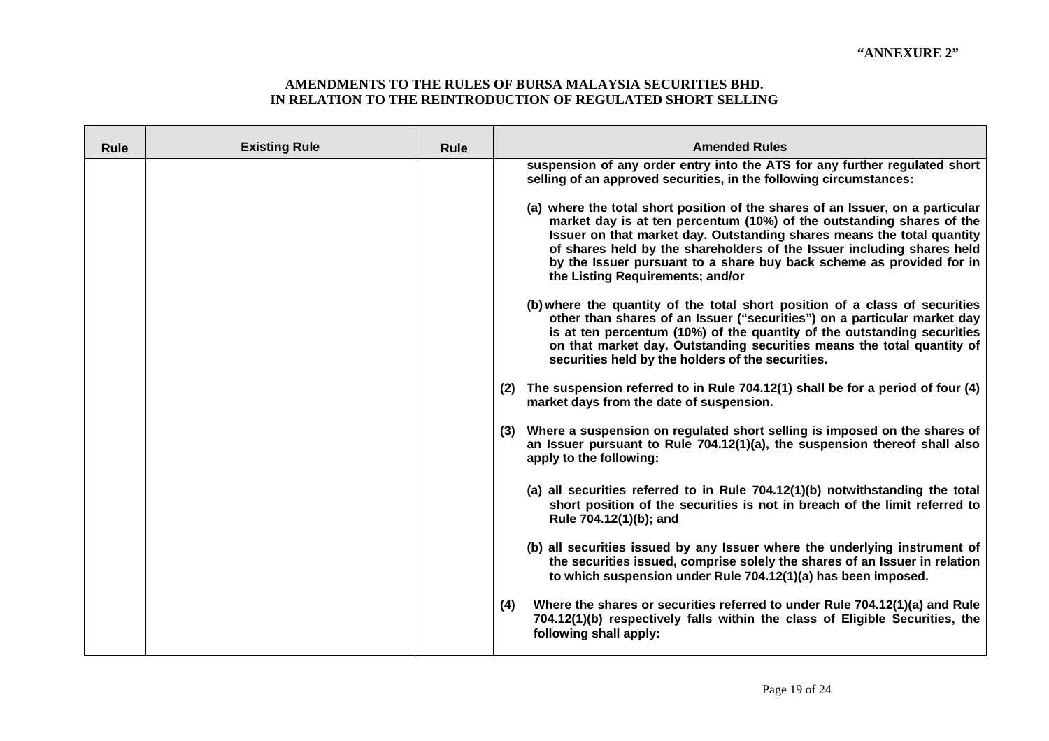| <b>Rule</b> | <b>Existing Rule</b> | <b>Rule</b> | <b>Amended Rules</b>                                                                                                                                                                                                                                                                                                                                                                                                    |
|-------------|----------------------|-------------|-------------------------------------------------------------------------------------------------------------------------------------------------------------------------------------------------------------------------------------------------------------------------------------------------------------------------------------------------------------------------------------------------------------------------|
|             |                      |             | suspension of any order entry into the ATS for any further regulated short<br>selling of an approved securities, in the following circumstances:                                                                                                                                                                                                                                                                        |
|             |                      |             | (a) where the total short position of the shares of an Issuer, on a particular<br>market day is at ten percentum (10%) of the outstanding shares of the<br>Issuer on that market day. Outstanding shares means the total quantity<br>of shares held by the shareholders of the Issuer including shares held<br>by the Issuer pursuant to a share buy back scheme as provided for in<br>the Listing Requirements; and/or |
|             |                      |             | (b) where the quantity of the total short position of a class of securities<br>other than shares of an Issuer ("securities") on a particular market day<br>is at ten percentum (10%) of the quantity of the outstanding securities<br>on that market day. Outstanding securities means the total quantity of<br>securities held by the holders of the securities.                                                       |
|             |                      |             | The suspension referred to in Rule 704.12(1) shall be for a period of four (4)<br>(2)<br>market days from the date of suspension.                                                                                                                                                                                                                                                                                       |
|             |                      |             | Where a suspension on regulated short selling is imposed on the shares of<br>(3)<br>an Issuer pursuant to Rule 704.12(1)(a), the suspension thereof shall also<br>apply to the following:                                                                                                                                                                                                                               |
|             |                      |             | (a) all securities referred to in Rule 704.12(1)(b) notwithstanding the total<br>short position of the securities is not in breach of the limit referred to<br>Rule 704.12(1)(b); and                                                                                                                                                                                                                                   |
|             |                      |             | (b) all securities issued by any Issuer where the underlying instrument of<br>the securities issued, comprise solely the shares of an Issuer in relation<br>to which suspension under Rule 704.12(1)(a) has been imposed.                                                                                                                                                                                               |
|             |                      |             | Where the shares or securities referred to under Rule 704.12(1)(a) and Rule<br>(4)<br>704.12(1)(b) respectively falls within the class of Eligible Securities, the<br>following shall apply:                                                                                                                                                                                                                            |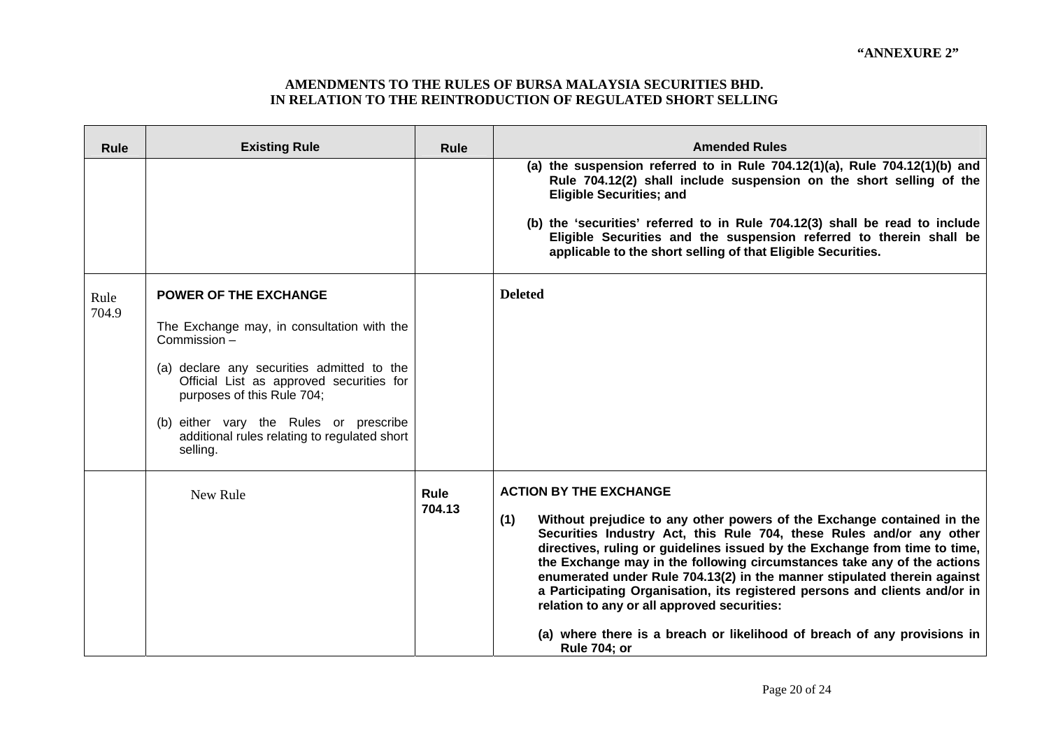| <b>Rule</b> | <b>Existing Rule</b>                                                                                                 | <b>Rule</b> | <b>Amended Rules</b>                                                                                                                                                                                                                                                                                                                                                                                                                                                                                                    |
|-------------|----------------------------------------------------------------------------------------------------------------------|-------------|-------------------------------------------------------------------------------------------------------------------------------------------------------------------------------------------------------------------------------------------------------------------------------------------------------------------------------------------------------------------------------------------------------------------------------------------------------------------------------------------------------------------------|
|             |                                                                                                                      |             | (a) the suspension referred to in Rule 704.12(1)(a), Rule 704.12(1)(b) and<br>Rule 704.12(2) shall include suspension on the short selling of the<br><b>Eligible Securities; and</b><br>(b) the 'securities' referred to in Rule 704.12(3) shall be read to include                                                                                                                                                                                                                                                     |
|             |                                                                                                                      |             | Eligible Securities and the suspension referred to therein shall be<br>applicable to the short selling of that Eligible Securities.                                                                                                                                                                                                                                                                                                                                                                                     |
| Rule        | <b>POWER OF THE EXCHANGE</b>                                                                                         |             | <b>Deleted</b>                                                                                                                                                                                                                                                                                                                                                                                                                                                                                                          |
| 704.9       | The Exchange may, in consultation with the<br>Commission-                                                            |             |                                                                                                                                                                                                                                                                                                                                                                                                                                                                                                                         |
|             | (a) declare any securities admitted to the<br>Official List as approved securities for<br>purposes of this Rule 704; |             |                                                                                                                                                                                                                                                                                                                                                                                                                                                                                                                         |
|             | (b) either vary the Rules or prescribe<br>additional rules relating to regulated short<br>selling.                   |             |                                                                                                                                                                                                                                                                                                                                                                                                                                                                                                                         |
|             | New Rule                                                                                                             | <b>Rule</b> | <b>ACTION BY THE EXCHANGE</b>                                                                                                                                                                                                                                                                                                                                                                                                                                                                                           |
|             |                                                                                                                      | 704.13      | (1)<br>Without prejudice to any other powers of the Exchange contained in the<br>Securities Industry Act, this Rule 704, these Rules and/or any other<br>directives, ruling or guidelines issued by the Exchange from time to time,<br>the Exchange may in the following circumstances take any of the actions<br>enumerated under Rule 704.13(2) in the manner stipulated therein against<br>a Participating Organisation, its registered persons and clients and/or in<br>relation to any or all approved securities: |
|             |                                                                                                                      |             | (a) where there is a breach or likelihood of breach of any provisions in<br><b>Rule 704; or</b>                                                                                                                                                                                                                                                                                                                                                                                                                         |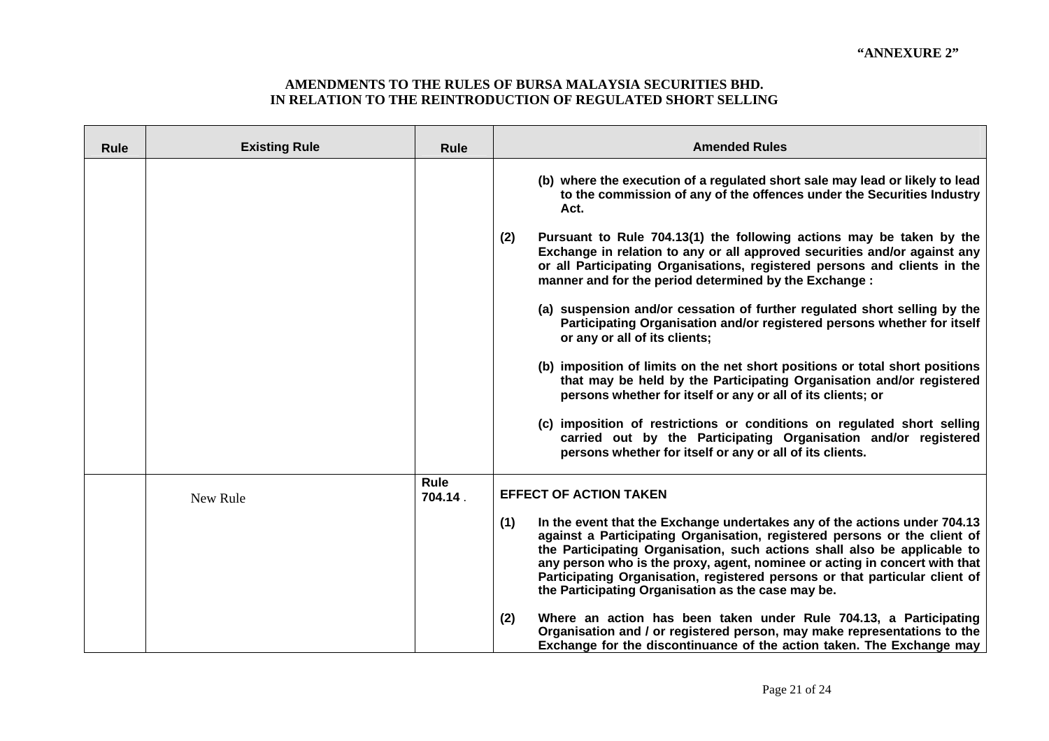| Rule | <b>Existing Rule</b> | <b>Rule</b>     | <b>Amended Rules</b>                                                                                                                                                                                                                                                                                                                                                                                                                                         |
|------|----------------------|-----------------|--------------------------------------------------------------------------------------------------------------------------------------------------------------------------------------------------------------------------------------------------------------------------------------------------------------------------------------------------------------------------------------------------------------------------------------------------------------|
|      |                      |                 | (b) where the execution of a regulated short sale may lead or likely to lead<br>to the commission of any of the offences under the Securities Industry<br>Act.                                                                                                                                                                                                                                                                                               |
|      |                      |                 | Pursuant to Rule 704.13(1) the following actions may be taken by the<br>(2)<br>Exchange in relation to any or all approved securities and/or against any<br>or all Participating Organisations, registered persons and clients in the<br>manner and for the period determined by the Exchange :                                                                                                                                                              |
|      |                      |                 | (a) suspension and/or cessation of further regulated short selling by the<br>Participating Organisation and/or registered persons whether for itself<br>or any or all of its clients;                                                                                                                                                                                                                                                                        |
|      |                      |                 | (b) imposition of limits on the net short positions or total short positions<br>that may be held by the Participating Organisation and/or registered<br>persons whether for itself or any or all of its clients; or                                                                                                                                                                                                                                          |
|      |                      |                 | (c) imposition of restrictions or conditions on regulated short selling<br>carried out by the Participating Organisation and/or registered<br>persons whether for itself or any or all of its clients.                                                                                                                                                                                                                                                       |
|      | New Rule             | Rule<br>704.14. | <b>EFFECT OF ACTION TAKEN</b>                                                                                                                                                                                                                                                                                                                                                                                                                                |
|      |                      |                 | (1)<br>In the event that the Exchange undertakes any of the actions under 704.13<br>against a Participating Organisation, registered persons or the client of<br>the Participating Organisation, such actions shall also be applicable to<br>any person who is the proxy, agent, nominee or acting in concert with that<br>Participating Organisation, registered persons or that particular client of<br>the Participating Organisation as the case may be. |
|      |                      |                 | (2)<br>Where an action has been taken under Rule 704.13, a Participating<br>Organisation and / or registered person, may make representations to the<br>Exchange for the discontinuance of the action taken. The Exchange may                                                                                                                                                                                                                                |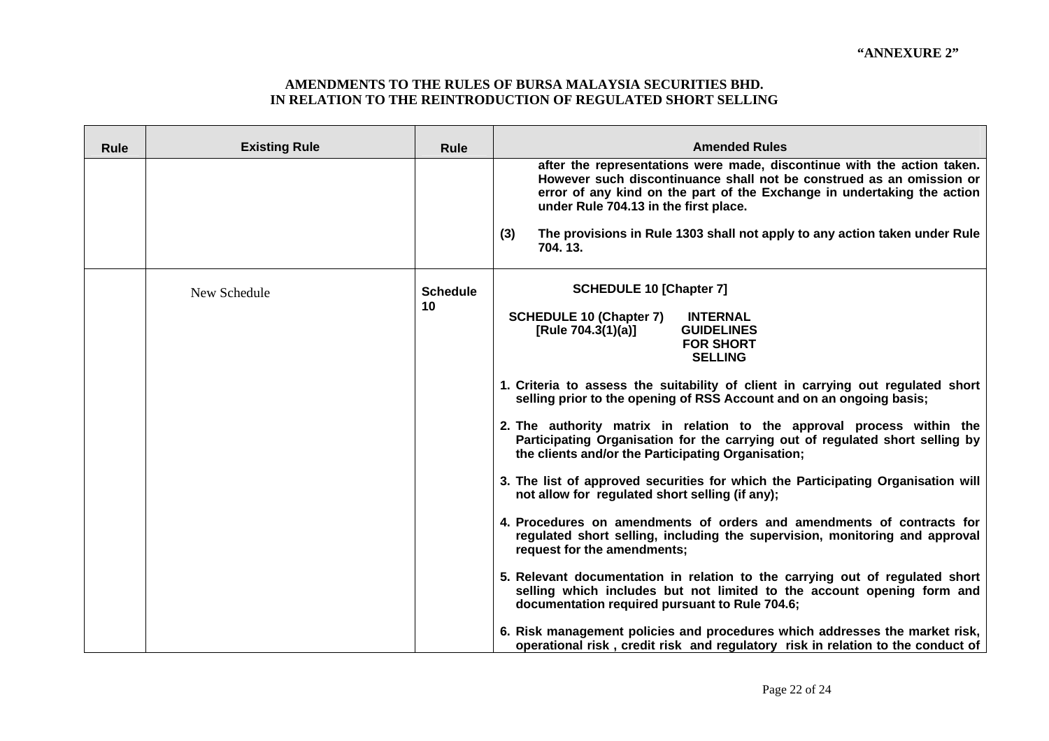| <b>Rule</b> | <b>Existing Rule</b> | <b>Rule</b>           | <b>Amended Rules</b>                                                                                                                                                                                                                                                                                                                                                                                                                                                                                                                                                                                                                                                                    |  |  |  |  |
|-------------|----------------------|-----------------------|-----------------------------------------------------------------------------------------------------------------------------------------------------------------------------------------------------------------------------------------------------------------------------------------------------------------------------------------------------------------------------------------------------------------------------------------------------------------------------------------------------------------------------------------------------------------------------------------------------------------------------------------------------------------------------------------|--|--|--|--|
|             |                      |                       | after the representations were made, discontinue with the action taken.<br>However such discontinuance shall not be construed as an omission or<br>error of any kind on the part of the Exchange in undertaking the action<br>under Rule 704.13 in the first place.<br>(3)<br>The provisions in Rule 1303 shall not apply to any action taken under Rule<br>704.13.                                                                                                                                                                                                                                                                                                                     |  |  |  |  |
|             | New Schedule         | <b>Schedule</b><br>10 | <b>SCHEDULE 10 [Chapter 7]</b><br><b>SCHEDULE 10 (Chapter 7)</b><br><b>INTERNAL</b><br>[Rule 704.3(1)(a)]<br><b>GUIDELINES</b><br><b>FOR SHORT</b><br><b>SELLING</b><br>1. Criteria to assess the suitability of client in carrying out regulated short<br>selling prior to the opening of RSS Account and on an ongoing basis;<br>2. The authority matrix in relation to the approval process within the<br>Participating Organisation for the carrying out of regulated short selling by<br>the clients and/or the Participating Organisation;<br>3. The list of approved securities for which the Participating Organisation will<br>not allow for regulated short selling (if any); |  |  |  |  |
|             |                      |                       | 4. Procedures on amendments of orders and amendments of contracts for<br>regulated short selling, including the supervision, monitoring and approval<br>request for the amendments;<br>5. Relevant documentation in relation to the carrying out of regulated short<br>selling which includes but not limited to the account opening form and<br>documentation required pursuant to Rule 704.6;<br>6. Risk management policies and procedures which addresses the market risk,                                                                                                                                                                                                          |  |  |  |  |
|             |                      |                       | operational risk, credit risk and regulatory risk in relation to the conduct of                                                                                                                                                                                                                                                                                                                                                                                                                                                                                                                                                                                                         |  |  |  |  |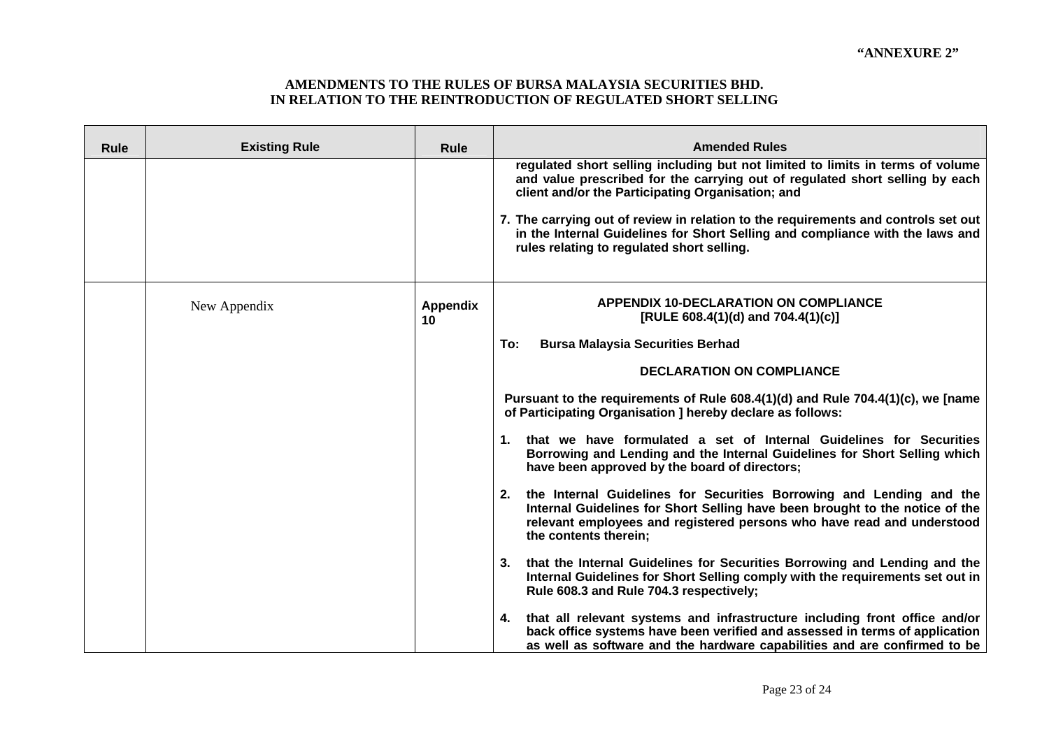| <b>Rule</b> | <b>Existing Rule</b> | <b>Rule</b>    | <b>Amended Rules</b>                                                                                                                                                                                                                                          |
|-------------|----------------------|----------------|---------------------------------------------------------------------------------------------------------------------------------------------------------------------------------------------------------------------------------------------------------------|
|             |                      |                | regulated short selling including but not limited to limits in terms of volume<br>and value prescribed for the carrying out of regulated short selling by each<br>client and/or the Participating Organisation; and                                           |
|             |                      |                | 7. The carrying out of review in relation to the requirements and controls set out<br>in the Internal Guidelines for Short Selling and compliance with the laws and<br>rules relating to regulated short selling.                                             |
|             | New Appendix         | Appendix<br>10 | <b>APPENDIX 10-DECLARATION ON COMPLIANCE</b><br>[RULE 608.4(1)(d) and 704.4(1)(c)]                                                                                                                                                                            |
|             |                      |                | <b>Bursa Malaysia Securities Berhad</b><br>To:                                                                                                                                                                                                                |
|             |                      |                | <b>DECLARATION ON COMPLIANCE</b>                                                                                                                                                                                                                              |
|             |                      |                | Pursuant to the requirements of Rule 608.4(1)(d) and Rule 704.4(1)(c), we [name<br>of Participating Organisation ] hereby declare as follows:                                                                                                                 |
|             |                      |                | that we have formulated a set of Internal Guidelines for Securities<br>1.<br>Borrowing and Lending and the Internal Guidelines for Short Selling which<br>have been approved by the board of directors;                                                       |
|             |                      |                | the Internal Guidelines for Securities Borrowing and Lending and the<br>2.<br>Internal Guidelines for Short Selling have been brought to the notice of the<br>relevant employees and registered persons who have read and understood<br>the contents therein; |
|             |                      |                | 3. that the Internal Guidelines for Securities Borrowing and Lending and the<br>Internal Guidelines for Short Selling comply with the requirements set out in<br>Rule 608.3 and Rule 704.3 respectively;                                                      |
|             |                      |                | 4. that all relevant systems and infrastructure including front office and/or<br>back office systems have been verified and assessed in terms of application<br>as well as software and the hardware capabilities and are confirmed to be                     |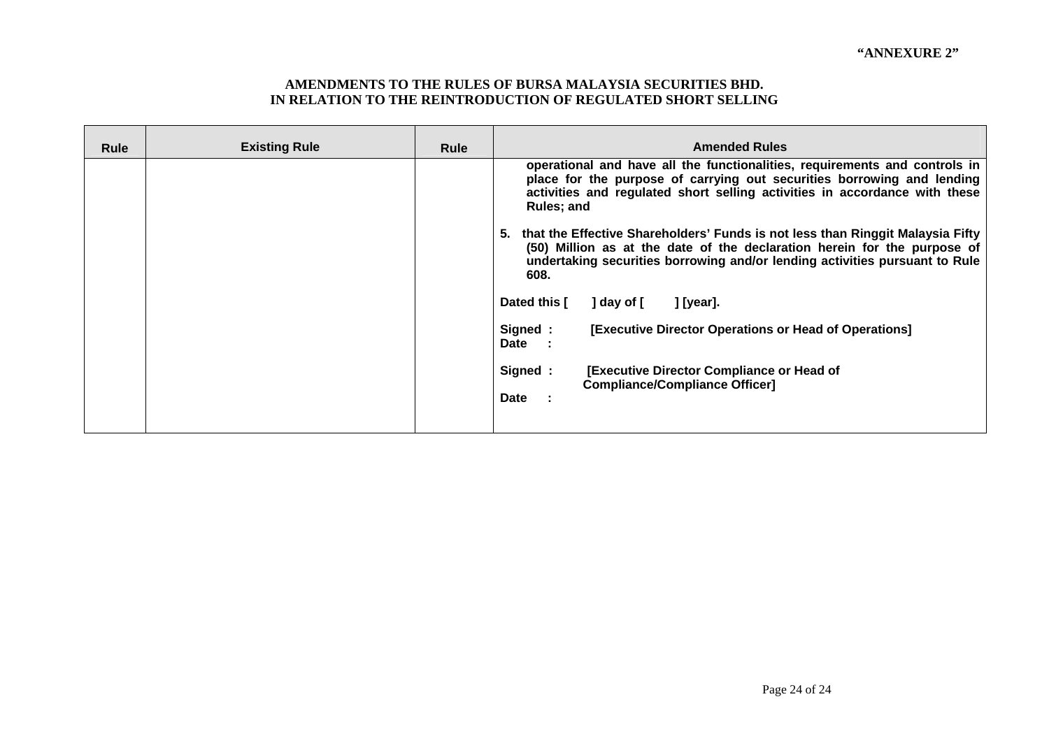| <b>Rule</b> | <b>Existing Rule</b> | <b>Rule</b> | <b>Amended Rules</b>                                                                                                                                                                                                                                                                                                                                                                                                                                                                                     |  |  |  |
|-------------|----------------------|-------------|----------------------------------------------------------------------------------------------------------------------------------------------------------------------------------------------------------------------------------------------------------------------------------------------------------------------------------------------------------------------------------------------------------------------------------------------------------------------------------------------------------|--|--|--|
|             |                      |             | operational and have all the functionalities, requirements and controls in<br>place for the purpose of carrying out securities borrowing and lending<br>activities and regulated short selling activities in accordance with these<br>Rules; and<br>5. that the Effective Shareholders' Funds is not less than Ringgit Malaysia Fifty<br>(50) Million as at the date of the declaration herein for the purpose of<br>undertaking securities borrowing and/or lending activities pursuant to Rule<br>608. |  |  |  |
|             |                      |             | Dated this [<br>] [year].<br>] day of [                                                                                                                                                                                                                                                                                                                                                                                                                                                                  |  |  |  |
|             |                      |             | Signed :<br>[Executive Director Operations or Head of Operations]<br>Date                                                                                                                                                                                                                                                                                                                                                                                                                                |  |  |  |
|             |                      |             | Signed:<br><b>[Executive Director Compliance or Head of</b><br><b>Compliance/Compliance Officer]</b><br>Date                                                                                                                                                                                                                                                                                                                                                                                             |  |  |  |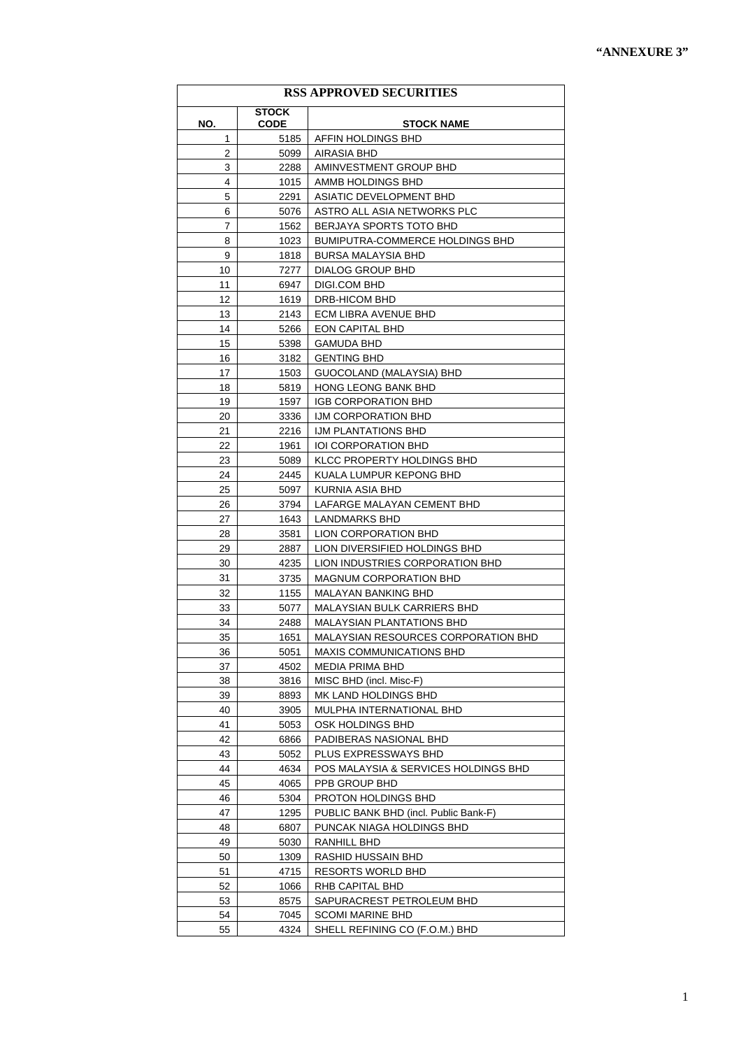| <b>RSS APPROVED SECURITIES</b> |                             |                                                                  |  |  |  |  |  |
|--------------------------------|-----------------------------|------------------------------------------------------------------|--|--|--|--|--|
| NO.                            | <b>STOCK</b><br><b>CODE</b> | <b>STOCK NAME</b>                                                |  |  |  |  |  |
| 1                              | 5185                        | AFFIN HOLDINGS BHD                                               |  |  |  |  |  |
| 2                              | 5099                        | AIRASIA BHD                                                      |  |  |  |  |  |
| 3                              | 2288                        | AMINVESTMENT GROUP BHD                                           |  |  |  |  |  |
| 4                              | 1015                        | AMMB HOLDINGS BHD                                                |  |  |  |  |  |
| 5                              | 2291                        | ASIATIC DEVELOPMENT BHD                                          |  |  |  |  |  |
| 6                              | 5076                        | ASTRO ALL ASIA NETWORKS PLC                                      |  |  |  |  |  |
| 7                              | 1562                        | BERJAYA SPORTS TOTO BHD                                          |  |  |  |  |  |
| 8                              | 1023                        | BUMIPUTRA-COMMERCE HOLDINGS BHD                                  |  |  |  |  |  |
| 9                              | 1818                        | <b>BURSA MALAYSIA BHD</b>                                        |  |  |  |  |  |
| 10                             | 7277                        | DIALOG GROUP BHD                                                 |  |  |  |  |  |
| 11                             | 6947                        | DIGI.COM BHD                                                     |  |  |  |  |  |
| 12                             | 1619                        | DRB-HICOM BHD                                                    |  |  |  |  |  |
| 13                             | 2143                        | ECM LIBRA AVENUE BHD                                             |  |  |  |  |  |
| 14                             | 5266                        | <b>EON CAPITAL BHD</b>                                           |  |  |  |  |  |
| 15                             | 5398                        | <b>GAMUDA BHD</b>                                                |  |  |  |  |  |
| 16                             | 3182                        | <b>GENTING BHD</b>                                               |  |  |  |  |  |
| 17                             | 1503                        | GUOCOLAND (MALAYSIA) BHD                                         |  |  |  |  |  |
| 18                             | 5819                        | HONG LEONG BANK BHD                                              |  |  |  |  |  |
| 19                             | 1597                        | <b>IGB CORPORATION BHD</b>                                       |  |  |  |  |  |
| 20                             | 3336                        | IJM CORPORATION BHD                                              |  |  |  |  |  |
| 21                             | 2216                        | IJM PLANTATIONS BHD                                              |  |  |  |  |  |
| 22                             | 1961                        | <b>IOI CORPORATION BHD</b>                                       |  |  |  |  |  |
| 23                             | 5089                        | KLCC PROPERTY HOLDINGS BHD                                       |  |  |  |  |  |
| 24                             | 2445                        | KUALA LUMPUR KEPONG BHD                                          |  |  |  |  |  |
| 25                             | 5097                        | KURNIA ASIA BHD                                                  |  |  |  |  |  |
| 26                             | 3794                        | LAFARGE MALAYAN CEMENT BHD                                       |  |  |  |  |  |
| 27                             | 1643                        | LANDMARKS BHD                                                    |  |  |  |  |  |
| 28                             | 3581                        | LION CORPORATION BHD                                             |  |  |  |  |  |
| 29                             | 2887                        | LION DIVERSIFIED HOLDINGS BHD                                    |  |  |  |  |  |
| 30                             | 4235                        | LION INDUSTRIES CORPORATION BHD                                  |  |  |  |  |  |
| 31                             | 3735                        | <b>MAGNUM CORPORATION BHD</b>                                    |  |  |  |  |  |
| 32                             | 1155                        | <b>MALAYAN BANKING BHD</b>                                       |  |  |  |  |  |
| 33                             | 5077                        | MALAYSIAN BULK CARRIERS BHD                                      |  |  |  |  |  |
| 34<br>35                       | 2488<br>1651                | MALAYSIAN PLANTATIONS BHD<br>MALAYSIAN RESOURCES CORPORATION BHD |  |  |  |  |  |
| 36                             | 5051                        | <b>MAXIS COMMUNICATIONS BHD</b>                                  |  |  |  |  |  |
| 37                             | 4502                        | <b>MEDIA PRIMA BHD</b>                                           |  |  |  |  |  |
| 38                             | 3816                        | MISC BHD (incl. Misc-F)                                          |  |  |  |  |  |
| 39                             | 8893                        | MK LAND HOLDINGS BHD                                             |  |  |  |  |  |
| 40                             | 3905                        | MULPHA INTERNATIONAL BHD                                         |  |  |  |  |  |
| 41                             | 5053                        | OSK HOLDINGS BHD                                                 |  |  |  |  |  |
| 42                             | 6866                        | PADIBERAS NASIONAL BHD                                           |  |  |  |  |  |
| 43                             | 5052                        | PLUS EXPRESSWAYS BHD                                             |  |  |  |  |  |
| 44                             | 4634                        | POS MALAYSIA & SERVICES HOLDINGS BHD                             |  |  |  |  |  |
| 45                             | 4065                        | PPB GROUP BHD                                                    |  |  |  |  |  |
| 46                             | 5304                        | PROTON HOLDINGS BHD                                              |  |  |  |  |  |
| 47                             | 1295                        | PUBLIC BANK BHD (incl. Public Bank-F)                            |  |  |  |  |  |
| 48                             | 6807                        | PUNCAK NIAGA HOLDINGS BHD                                        |  |  |  |  |  |
| 49                             | 5030                        | RANHILL BHD                                                      |  |  |  |  |  |
| 50                             | 1309                        | RASHID HUSSAIN BHD                                               |  |  |  |  |  |
| 51                             | 4715                        | <b>RESORTS WORLD BHD</b>                                         |  |  |  |  |  |
| 52                             | 1066                        | RHB CAPITAL BHD                                                  |  |  |  |  |  |
| 53                             | 8575                        | SAPURACREST PETROLEUM BHD                                        |  |  |  |  |  |
| 54                             | 7045                        | <b>SCOMI MARINE BHD</b>                                          |  |  |  |  |  |
| 55                             | 4324                        | SHELL REFINING CO (F.O.M.) BHD                                   |  |  |  |  |  |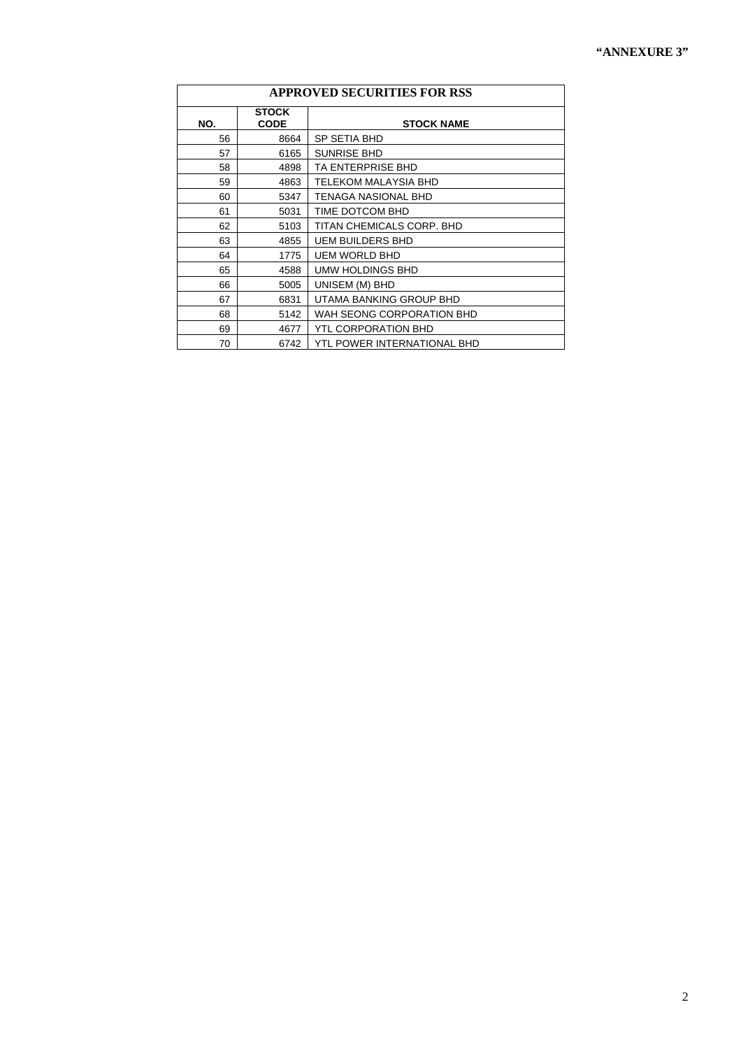| <b>APPROVED SECURITIES FOR RSS</b> |                             |                             |  |  |  |  |
|------------------------------------|-----------------------------|-----------------------------|--|--|--|--|
| NO.                                | <b>STOCK</b><br><b>CODE</b> | <b>STOCK NAME</b>           |  |  |  |  |
| 56                                 | 8664                        | SP SETIA BHD                |  |  |  |  |
| 57                                 | 6165                        | <b>SUNRISE BHD</b>          |  |  |  |  |
| 58                                 | 4898                        | TA ENTERPRISE BHD           |  |  |  |  |
| 59                                 | 4863                        | TELEKOM MALAYSIA BHD        |  |  |  |  |
| 60                                 | 5347                        | TENAGA NASIONAL BHD         |  |  |  |  |
| 61                                 | 5031                        | TIME DOTCOM BHD             |  |  |  |  |
| 62                                 | 5103                        | TITAN CHEMICALS CORP. BHD   |  |  |  |  |
| 63                                 | 4855                        | <b>UEM BUILDERS BHD</b>     |  |  |  |  |
| 64                                 | 1775                        | <b>UEM WORLD BHD</b>        |  |  |  |  |
| 65                                 | 4588                        | UMW HOLDINGS BHD            |  |  |  |  |
| 66                                 | 5005                        | UNISEM (M) BHD              |  |  |  |  |
| 67                                 | 6831                        | UTAMA BANKING GROUP BHD     |  |  |  |  |
| 68                                 | 5142                        | WAH SEONG CORPORATION BHD   |  |  |  |  |
| 69                                 | 4677                        | YTL CORPORATION BHD         |  |  |  |  |
| 70                                 | 6742                        | YTL POWER INTERNATIONAL BHD |  |  |  |  |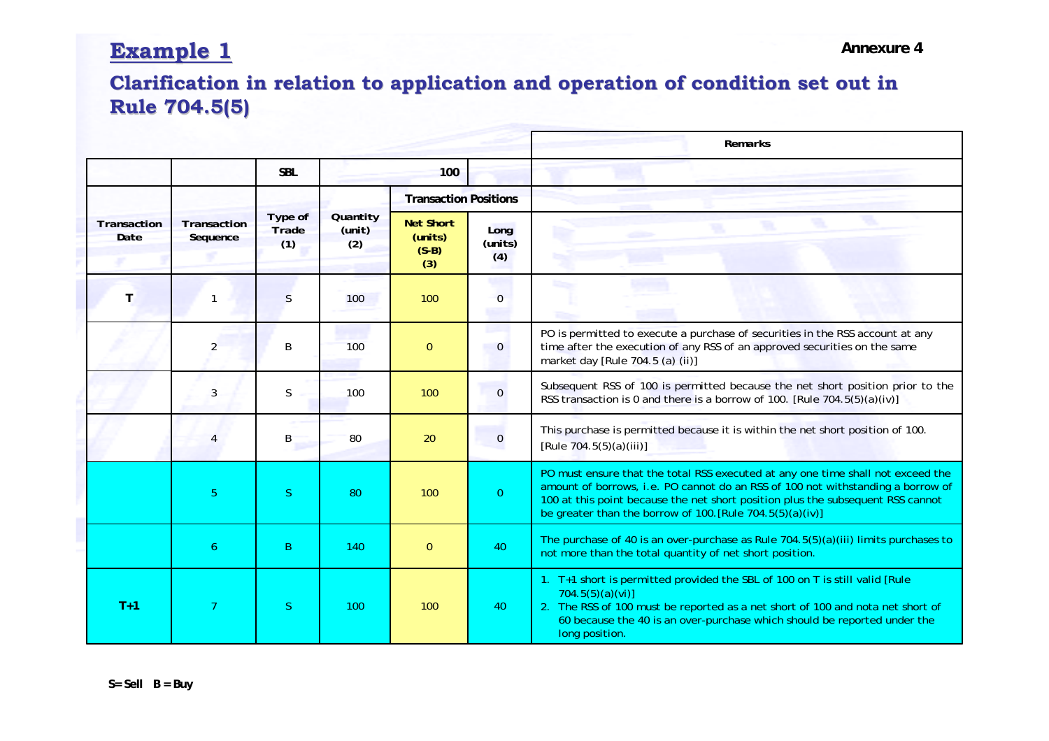# **Example 1 Example 1 Annexure 4**

## **Clarification in relation to application and operation of condition set out in Rule 704.5(5) Rule 704.5(5)**

|                            |                                |                         |                           |                                                 |                       | Remarks                                                                                                                                                                                                                                                                                                            |
|----------------------------|--------------------------------|-------------------------|---------------------------|-------------------------------------------------|-----------------------|--------------------------------------------------------------------------------------------------------------------------------------------------------------------------------------------------------------------------------------------------------------------------------------------------------------------|
|                            |                                | <b>SBL</b>              |                           | 100                                             |                       |                                                                                                                                                                                                                                                                                                                    |
|                            |                                |                         |                           | <b>Transaction Positions</b>                    |                       |                                                                                                                                                                                                                                                                                                                    |
| <b>Transaction</b><br>Date | <b>Transaction</b><br>Sequence | Type of<br>Trade<br>(1) | Quantity<br>(unit)<br>(2) | <b>Net Short</b><br>(units)<br>$(S-B)$<br>$(3)$ | Long<br>(mits)<br>(4) | ١ń.<br>متحدوه                                                                                                                                                                                                                                                                                                      |
| T.                         | 1                              | S                       | 100                       | 100                                             | $\overline{0}$        | œ                                                                                                                                                                                                                                                                                                                  |
|                            | $\overline{2}$                 | B                       | 100                       | $\boldsymbol{0}$                                | $\overline{0}$        | PO is permitted to execute a purchase of securities in the RSS account at any<br>time after the execution of any RSS of an approved securities on the same<br>market day [Rule 704.5 (a) (ii)]                                                                                                                     |
|                            | 3                              | <sub>S</sub>            | 100                       | 100                                             | $\overline{0}$        | Subsequent RSS of 100 is permitted because the net short position prior to the<br>RSS transaction is 0 and there is a borrow of 100. [Rule 704.5(5)(a)(iv)]                                                                                                                                                        |
|                            | 4                              | B                       | 80                        | 20                                              | $\overline{0}$        | This purchase is permitted because it is within the net short position of 100.<br>[Rule 704.5(5)(a)(iii)]                                                                                                                                                                                                          |
|                            | 5                              | S.                      | 80                        | 100                                             | $\overline{0}$        | PO must ensure that the total RSS executed at any one time shall not exceed the<br>amount of borrows, i.e. PO cannot do an RSS of 100 not withstanding a borrow of<br>100 at this point because the net short position plus the subsequent RSS cannot<br>be greater than the borrow of 100. [Rule 704.5(5)(a)(iv)] |
|                            | 6                              | B                       | 140                       | $\Omega$                                        | 40                    | The purchase of 40 is an over-purchase as Rule 704.5(5)(a)(iii) limits purchases to<br>not more than the total quantity of net short position.                                                                                                                                                                     |
| $T+1$                      | $\overline{7}$                 | <sup>S</sup>            | 100                       | 100                                             | 40                    | 1. T+1 short is permitted provided the SBL of 100 on T is still valid [Rule<br>704.5(5)(a)(vi)]<br>2. The RSS of 100 must be reported as a net short of 100 and nota net short of<br>60 because the 40 is an over-purchase which should be reported under the<br>long position.                                    |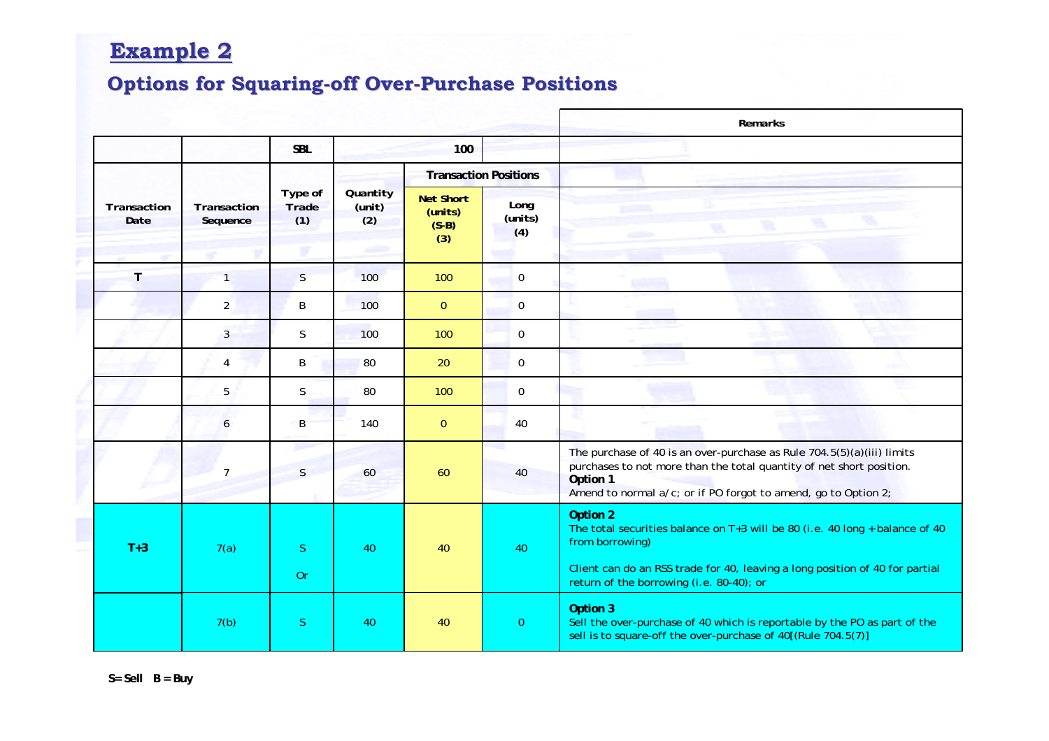# **Example 2 Example 2**

# **Options for Squaring-off Over-Purchase Positions**

|                     |                         |                              |                                   |                                               |                              | Remarks                                                                                                                                                                                                                                   |  |
|---------------------|-------------------------|------------------------------|-----------------------------------|-----------------------------------------------|------------------------------|-------------------------------------------------------------------------------------------------------------------------------------------------------------------------------------------------------------------------------------------|--|
|                     |                         | <b>SBL</b>                   |                                   | 100                                           |                              |                                                                                                                                                                                                                                           |  |
|                     |                         |                              |                                   |                                               | <b>Transaction Positions</b> |                                                                                                                                                                                                                                           |  |
| Transaction<br>Date | Transaction<br>Sequence | Type of<br>Trade<br>(1)<br>盯 | Quantity<br>(unit)<br>(2)<br>حادي | <b>Net Short</b><br>(units)<br>$(S-B)$<br>(3) | Long<br>(units)<br>(4)       | والباري<br>۷.<br>ŦR.<br>Ħ.<br>Ŧ.<br><b>CENTER</b>                                                                                                                                                                                         |  |
| $\mathbf{T}$        | $\overline{1}$          | S                            | 100                               | 100                                           | $\mathbf 0$                  |                                                                                                                                                                                                                                           |  |
|                     | $\overline{2}$          | B                            | 100                               | $\overline{0}$                                | $\mathbf 0$                  |                                                                                                                                                                                                                                           |  |
|                     | $\overline{3}$          | S.                           | 100                               | 100                                           | $\mathbf 0$                  |                                                                                                                                                                                                                                           |  |
|                     | 4                       | Β                            | 80                                | 20                                            | $\mathbf 0$                  |                                                                                                                                                                                                                                           |  |
|                     | 5                       | <sub>S</sub>                 | 80                                | 100                                           | 0                            |                                                                                                                                                                                                                                           |  |
|                     | 6                       | B                            | 140                               | $\overline{0}$                                | 40                           |                                                                                                                                                                                                                                           |  |
|                     | $7\overline{ }$         | S                            | 60                                | 60                                            | -20<br>40                    | The purchase of 40 is an over-purchase as Rule 704.5(5)(a)(iii) limits<br>purchases to not more than the total quantity of net short position.<br>Option 1<br>Amend to normal a/c; or if PO forgot to amend, go to Option 2;              |  |
| $T+3$               | 7(a)                    | S.<br><b>Or</b>              | 40                                | 40                                            | 40                           | Option 2<br>The total securities balance on $T+3$ will be 80 (i.e. 40 long + balance of 40<br>from borrowing)<br>Client can do an RSS trade for 40, leaving a long position of 40 for partial<br>return of the borrowing (i.e. 80-40); or |  |
|                     | 7(b)                    | S.                           | 40                                | 40                                            | $\overline{0}$               | Option 3<br>Sell the over-purchase of 40 which is reportable by the PO as part of the<br>sell is to square-off the over-purchase of 40[(Rule 704.5(7)]                                                                                    |  |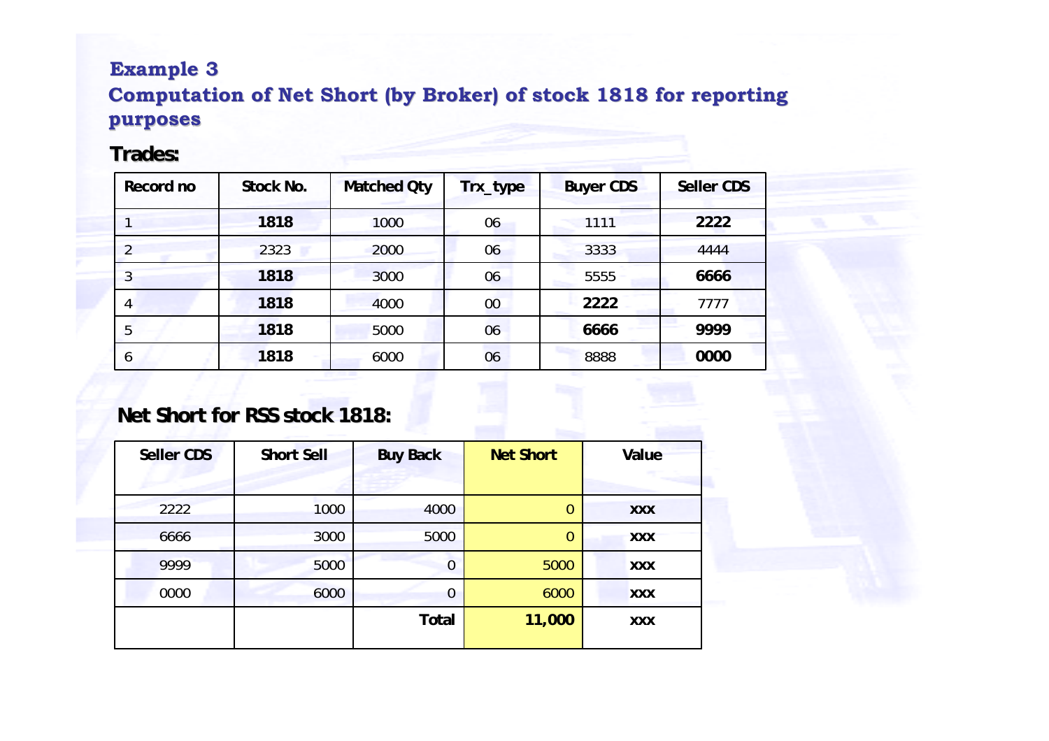## **Example 3 Example 3 Computation of Net Short (by Broker) of stock 1818 for reporting purposes purposes**

### **Trades: Trades:**

| Record no | Stock No. | <b>Matched Qty</b> | Trx_type | <b>Buyer CDS</b> | <b>Seller CDS</b> |
|-----------|-----------|--------------------|----------|------------------|-------------------|
|           | 1818      | 1000               | 06       | 1111             | 2222              |
|           | 2323      | 2000               | 06       | 3333             | 4444              |
| 3         | 1818      | 3000               | 06       | 5555             | 6666              |
| 4         | 1818      | 4000               | 00       | 2222             | 7777              |
| 5         | 1818      | 5000               | 06       | 6666             | 9999              |
| ь         | 1818      | 6000               | 06       | 8888             | 0000              |

### **Net Short for RSS stock 1818: for RSS stock 1818:**

| Seller CDS | <b>Short Sell</b> | <b>Buy Back</b> | <b>Net Short</b> | Value      |
|------------|-------------------|-----------------|------------------|------------|
|            |                   |                 |                  |            |
| 2222       | 1000              | 4000            | 0                | <b>XXX</b> |
| 6666       | 3000              | 5000            | $\overline{0}$   | <b>XXX</b> |
| 9999       | 5000              | 0               | 5000             | <b>XXX</b> |
| 0000       | 6000              | $\overline{0}$  | 6000             | <b>XXX</b> |
|            |                   | <b>Total</b>    | 11,000           | <b>XXX</b> |
|            |                   |                 |                  |            |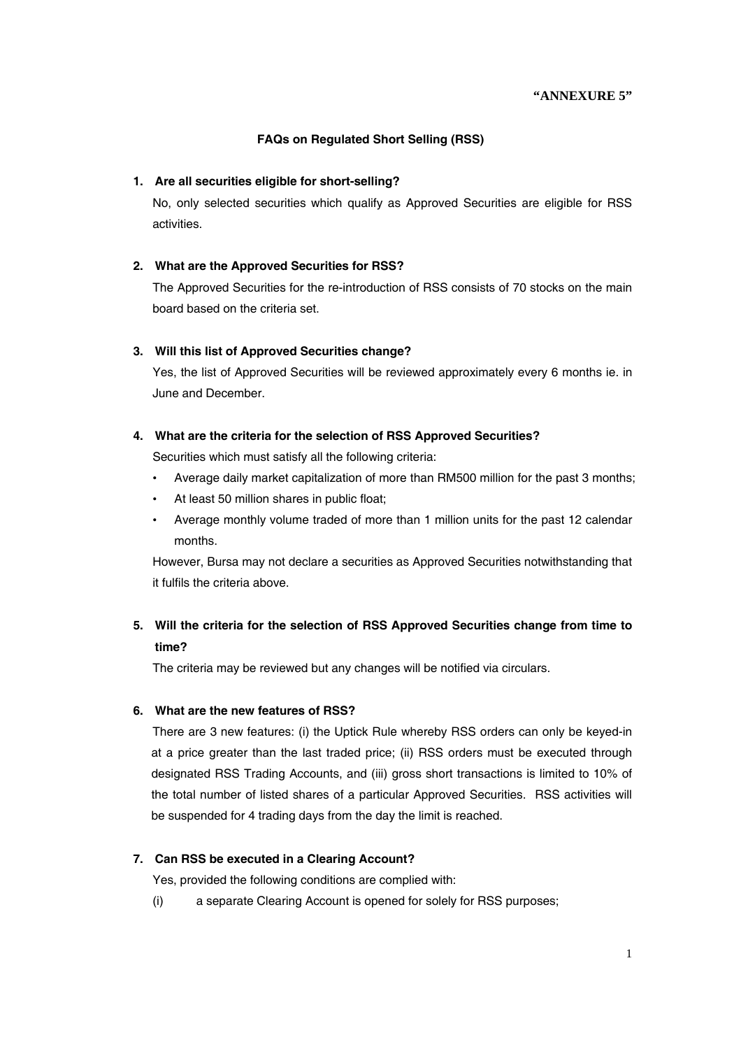## **"ANNEXURE 5"**

## **FAQs on Regulated Short Selling (RSS)**

#### **1. Are all securities eligible for short-selling?**

No, only selected securities which qualify as Approved Securities are eligible for RSS activities.

## **2. What are the Approved Securities for RSS?**

The Approved Securities for the re-introduction of RSS consists of 70 stocks on the main board based on the criteria set.

## **3. Will this list of Approved Securities change?**

Yes, the list of Approved Securities will be reviewed approximately every 6 months ie. in June and December.

### **4. What are the criteria for the selection of RSS Approved Securities?**

Securities which must satisfy all the following criteria:

- Average daily market capitalization of more than RM500 million for the past 3 months;
- At least 50 million shares in public float;
- Average monthly volume traded of more than 1 million units for the past 12 calendar months.

However, Bursa may not declare a securities as Approved Securities notwithstanding that it fulfils the criteria above.

# **5. Will the criteria for the selection of RSS Approved Securities change from time to time?**

The criteria may be reviewed but any changes will be notified via circulars.

### **6. What are the new features of RSS?**

There are 3 new features: (i) the Uptick Rule whereby RSS orders can only be keyed-in at a price greater than the last traded price; (ii) RSS orders must be executed through designated RSS Trading Accounts, and (iii) gross short transactions is limited to 10% of the total number of listed shares of a particular Approved Securities. RSS activities will be suspended for 4 trading days from the day the limit is reached.

### **7. Can RSS be executed in a Clearing Account?**

Yes, provided the following conditions are complied with:

(i) a separate Clearing Account is opened for solely for RSS purposes;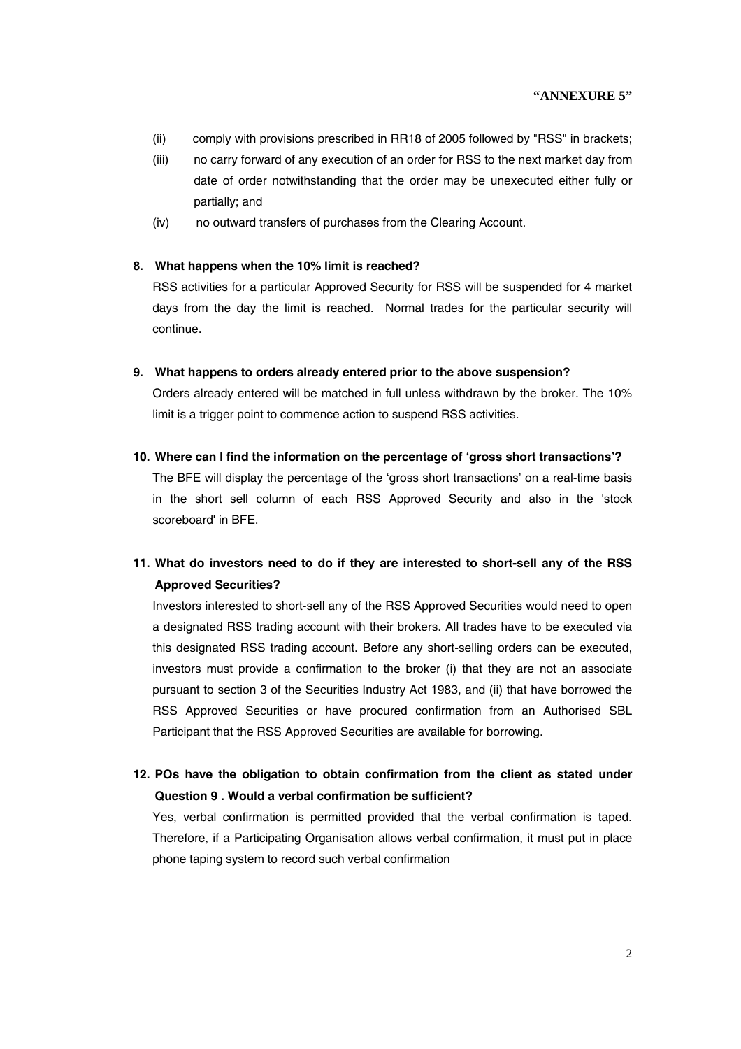## **"ANNEXURE 5"**

- (ii) comply with provisions prescribed in RR18 of 2005 followed by "RSS" in brackets;
- (iii) no carry forward of any execution of an order for RSS to the next market day from date of order notwithstanding that the order may be unexecuted either fully or partially; and
- (iv) no outward transfers of purchases from the Clearing Account.

### **8. What happens when the 10% limit is reached?**

RSS activities for a particular Approved Security for RSS will be suspended for 4 market days from the day the limit is reached. Normal trades for the particular security will continue.

**9. What happens to orders already entered prior to the above suspension?** 

Orders already entered will be matched in full unless withdrawn by the broker. The 10% limit is a trigger point to commence action to suspend RSS activities.

### **10. Where can I find the information on the percentage of 'gross short transactions'?**

The BFE will display the percentage of the 'gross short transactions' on a real-time basis in the short sell column of each RSS Approved Security and also in the 'stock scoreboard' in BFE.

# **11. What do investors need to do if they are interested to short-sell any of the RSS Approved Securities?**

Investors interested to short-sell any of the RSS Approved Securities would need to open a designated RSS trading account with their brokers. All trades have to be executed via this designated RSS trading account. Before any short-selling orders can be executed, investors must provide a confirmation to the broker (i) that they are not an associate pursuant to section 3 of the Securities Industry Act 1983, and (ii) that have borrowed the RSS Approved Securities or have procured confirmation from an Authorised SBL Participant that the RSS Approved Securities are available for borrowing.

# **12. POs have the obligation to obtain confirmation from the client as stated under Question 9 . Would a verbal confirmation be sufficient?**

Yes, verbal confirmation is permitted provided that the verbal confirmation is taped. Therefore, if a Participating Organisation allows verbal confirmation, it must put in place phone taping system to record such verbal confirmation